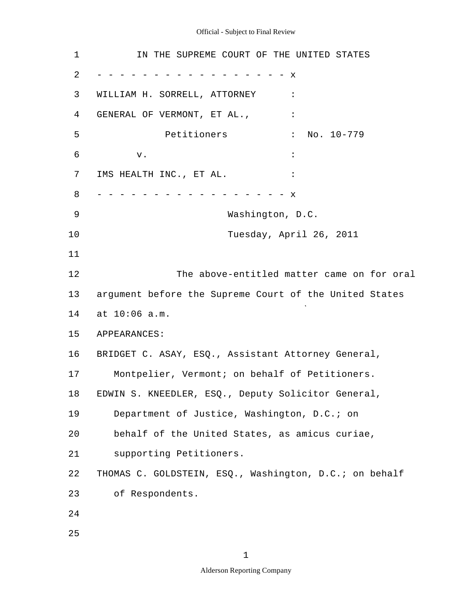| $\mathbf 1$ | IN THE SUPREME COURT OF THE UNITED STATES              |
|-------------|--------------------------------------------------------|
| 2           | x                                                      |
| 3           | WILLIAM H. SORRELL, ATTORNEY<br>$\ddot{\phantom{a}}$   |
| 4           | GENERAL OF VERMONT, ET AL.,                            |
| 5           | Petitioners<br>$\ddot{\cdot}$<br>No. 10-779            |
| 6           | v.                                                     |
| 7           | IMS HEALTH INC., ET AL.                                |
| 8           | X                                                      |
| 9           | Washington, D.C.                                       |
| 10          | Tuesday, April 26, 2011                                |
| 11          |                                                        |
| 12          | The above-entitled matter came on for oral             |
| 13          | argument before the Supreme Court of the United States |
| 14          | at 10:06 a.m.                                          |
| 15          | APPEARANCES:                                           |
| 16          | BRIDGET C. ASAY, ESQ., Assistant Attorney General,     |
| 17          | Montpelier, Vermont; on behalf of Petitioners.         |
| 18          | EDWIN S. KNEEDLER, ESQ., Deputy Solicitor General,     |
| 19          | Department of Justice, Washington, D.C.; on            |
| 20          | behalf of the United States, as amicus curiae,         |
| 21          | supporting Petitioners.                                |
| 22          | THOMAS C. GOLDSTEIN, ESQ., Washington, D.C.; on behalf |
| 23          | of Respondents.                                        |
| 24          |                                                        |
| 25          |                                                        |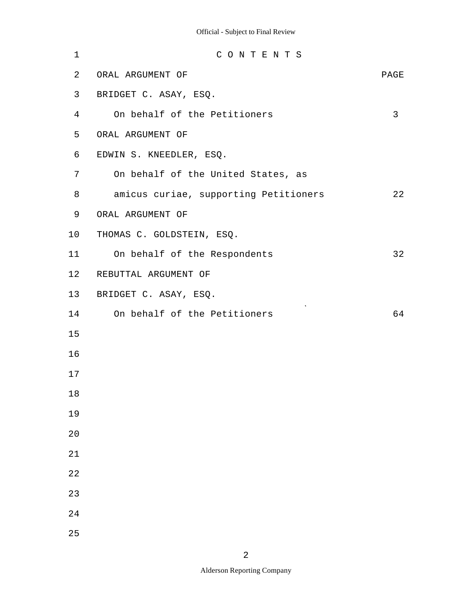| $\mathbf 1$ | CONTENTS                              |      |
|-------------|---------------------------------------|------|
| 2           | ORAL ARGUMENT OF                      | PAGE |
| 3           | BRIDGET C. ASAY, ESQ.                 |      |
| 4           | On behalf of the Petitioners          | 3    |
| 5           | ORAL ARGUMENT OF                      |      |
| 6           | EDWIN S. KNEEDLER, ESQ.               |      |
| 7           | On behalf of the United States, as    |      |
| 8           | amicus curiae, supporting Petitioners | 22   |
| 9           | ORAL ARGUMENT OF                      |      |
| 10          | THOMAS C. GOLDSTEIN, ESQ.             |      |
| 11          | On behalf of the Respondents          | 32   |
| 12          | REBUTTAL ARGUMENT OF                  |      |
| 13          | BRIDGET C. ASAY, ESQ.                 |      |
| 14          | On behalf of the Petitioners          | 64   |
| 15          |                                       |      |
| 16          |                                       |      |
| 17          |                                       |      |
| $18\,$      |                                       |      |
| 19          |                                       |      |
| 20          |                                       |      |
| 21          |                                       |      |
| 22          |                                       |      |
| 23          |                                       |      |
| 24          |                                       |      |
| 25          |                                       |      |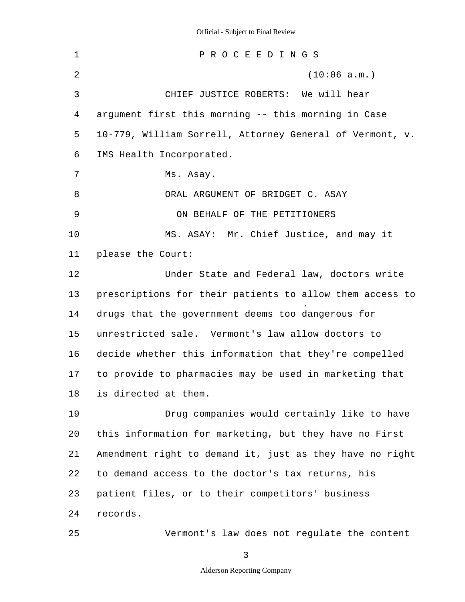1 2 3 4 5 6 7 8 9 10 11 12 13 14 15 16 17 18 19 20 21 22 23 24 25 P R O C E E D I N G S (10:06 a.m.) CHIEF JUSTICE ROBERTS: We will hear argument first this morning -- this morning in Case 10-779, William Sorrell, Attorney General of Vermont, v. IMS Health Incorporated. Ms. Asay. ORAL ARGUMENT OF BRIDGET C. ASAY ON BEHALF OF THE PETITIONERS MS. ASAY: Mr. Chief Justice, and may it please the Court: Under State and Federal law, doctors write prescriptions for their patients to allow them access to drugs that the government deems too dangerous for unrestricted sale. Vermont's law allow doctors to decide whether this information that they're compelled to provide to pharmacies may be used in marketing that is directed at them. Drug companies would certainly like to have this information for marketing, but they have no First Amendment right to demand it, just as they have no right to demand access to the doctor's tax returns, his patient files, or to their competitors' business records. Vermont's law does not regulate the content

3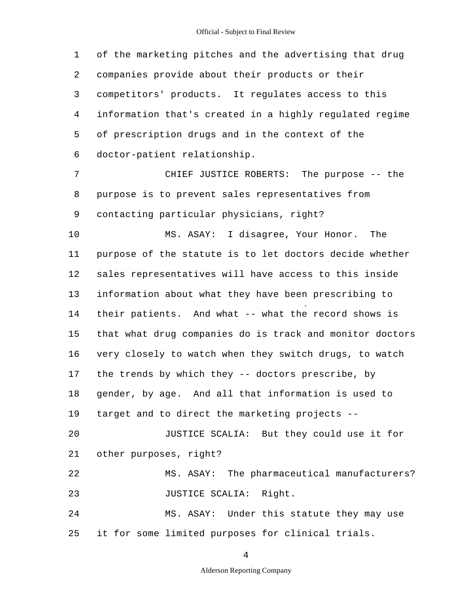1 2 3 4 5 6 of the marketing pitches and the advertising that drug companies provide about their products or their competitors' products. It regulates access to this information that's created in a highly regulated regime of prescription drugs and in the context of the doctor-patient relationship.

7 8 9 CHIEF JUSTICE ROBERTS: The purpose -- the purpose is to prevent sales representatives from contacting particular physicians, right?

10 11 12 13 14 15 16 17 18 19  $20$ 21 22 23 24 MS. ASAY: I disagree, Your Honor. The purpose of the statute is to let doctors decide whether sales representatives will have access to this inside information about what they have been prescribing to their patients. And what -- what the record shows is that what drug companies do is track and monitor doctors very closely to watch when they switch drugs, to watch the trends by which they -- doctors prescribe, by gender, by age. And all that information is used to target and to direct the marketing projects - JUSTICE SCALIA: But they could use it for other purposes, right? MS. ASAY: The pharmaceutical manufacturers? JUSTICE SCALIA: Right. MS. ASAY: Under this statute they may use

25 it for some limited purposes for clinical trials.

4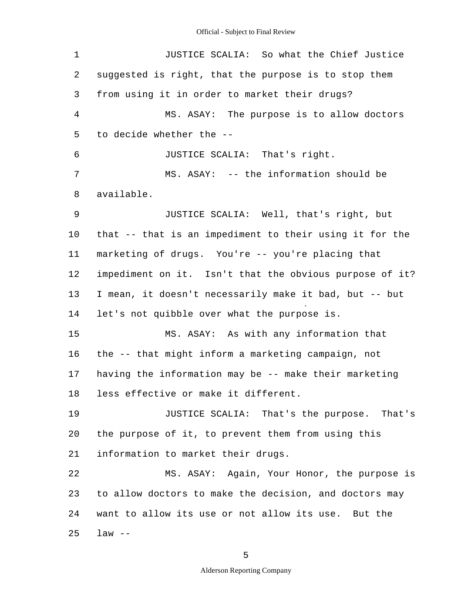1 2 3 4 5 6 7 8 9 10 11 12 13 14 15 16 17 18 19 20 21 22 23 24 25 JUSTICE SCALIA: So what the Chief Justice suggested is right, that the purpose is to stop them from using it in order to market their drugs? MS. ASAY: The purpose is to allow doctors to decide whether the - JUSTICE SCALIA: That's right. MS. ASAY: -- the information should be available. JUSTICE SCALIA: Well, that's right, but that -- that is an impediment to their using it for the marketing of drugs. You're -- you're placing that impediment on it. Isn't that the obvious purpose of it? I mean, it doesn't necessarily make it bad, but -- but let's not quibble over what the purpose is. MS. ASAY: As with any information that the -- that might inform a marketing campaign, not having the information may be -- make their marketing less effective or make it different. JUSTICE SCALIA: That's the purpose. That's the purpose of it, to prevent them from using this information to market their drugs. MS. ASAY: Again, Your Honor, the purpose is to allow doctors to make the decision, and doctors may want to allow its use or not allow its use. But the  $law$   $-$ 

5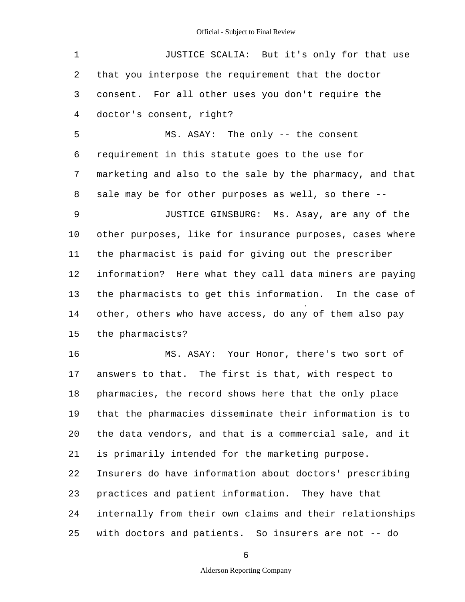| 1  | JUSTICE SCALIA: But it's only for that use               |
|----|----------------------------------------------------------|
| 2  | that you interpose the requirement that the doctor       |
| 3  | consent. For all other uses you don't require the        |
| 4  | doctor's consent, right?                                 |
| 5  | MS. ASAY: The only -- the consent                        |
| 6  | requirement in this statute goes to the use for          |
| 7  | marketing and also to the sale by the pharmacy, and that |
| 8  | sale may be for other purposes as well, so there --      |
| 9  | JUSTICE GINSBURG: Ms. Asay, are any of the               |
| 10 | other purposes, like for insurance purposes, cases where |
| 11 | the pharmacist is paid for giving out the prescriber     |
| 12 | information? Here what they call data miners are paying  |
| 13 | the pharmacists to get this information. In the case of  |
| 14 | other, others who have access, do any of them also pay   |
| 15 | the pharmacists?                                         |
| 16 | MS. ASAY: Your Honor, there's two sort of                |
| 17 | answers to that. The first is that, with respect to      |
| 18 | pharmacies, the record shows here that the only place    |
| 19 | that the pharmacies disseminate their information is to  |
| 20 | the data vendors, and that is a commercial sale, and it  |
| 21 | is primarily intended for the marketing purpose.         |
| 22 | Insurers do have information about doctors' prescribing  |
| 23 | practices and patient information. They have that        |
| 24 | internally from their own claims and their relationships |
| 25 | with doctors and patients. So insurers are not -- do     |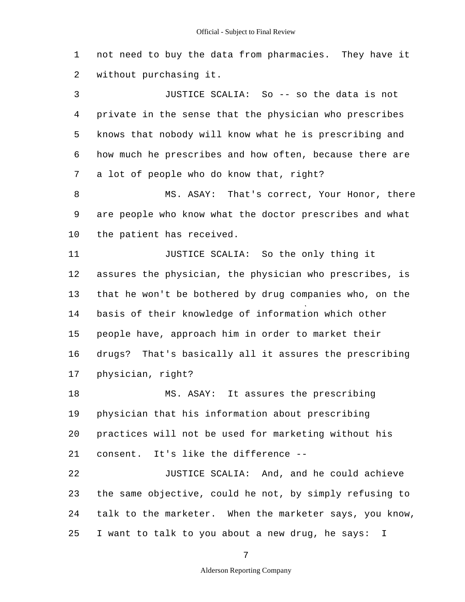1 2 not need to buy the data from pharmacies. They have it without purchasing it.

3 4 5 6 7 JUSTICE SCALIA: So -- so the data is not private in the sense that the physician who prescribes knows that nobody will know what he is prescribing and how much he prescribes and how often, because there are a lot of people who do know that, right?

8 9 10 MS. ASAY: That's correct, Your Honor, there are people who know what the doctor prescribes and what the patient has received.

11 12 13 14 15 16 17 JUSTICE SCALIA: So the only thing it assures the physician, the physician who prescribes, is that he won't be bothered by drug companies who, on the basis of their knowledge of information which other people have, approach him in order to market their drugs? That's basically all it assures the prescribing physician, right?

18 19 20 21 MS. ASAY: It assures the prescribing physician that his information about prescribing practices will not be used for marketing without his consent. It's like the difference -

22 23 24 25 JUSTICE SCALIA: And, and he could achieve the same objective, could he not, by simply refusing to talk to the marketer. When the marketer says, you know, I want to talk to you about a new drug, he says: I

7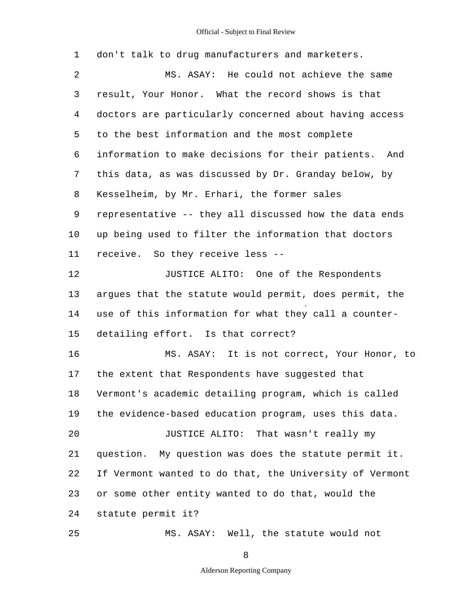1 2 3 4 5 6 7 8 9 10 11 12 13 14 15 16 17 18 19 20 21 22 23 24 25 don't talk to drug manufacturers and marketers. MS. ASAY: He could not achieve the same result, Your Honor. What the record shows is that doctors are particularly concerned about having access to the best information and the most complete information to make decisions for their patients. And this data, as was discussed by Dr. Granday below, by Kesselheim, by Mr. Erhari, the former sales representative -- they all discussed how the data ends up being used to filter the information that doctors receive. So they receive less - JUSTICE ALITO: One of the Respondents argues that the statute would permit, does permit, the use of this information for what they call a counterdetailing effort. Is that correct? MS. ASAY: It is not correct, Your Honor, to the extent that Respondents have suggested that Vermont's academic detailing program, which is called the evidence-based education program, uses this data. JUSTICE ALITO: That wasn't really my question. My question was does the statute permit it. If Vermont wanted to do that, the University of Vermont or some other entity wanted to do that, would the statute permit it? MS. ASAY: Well, the statute would not

8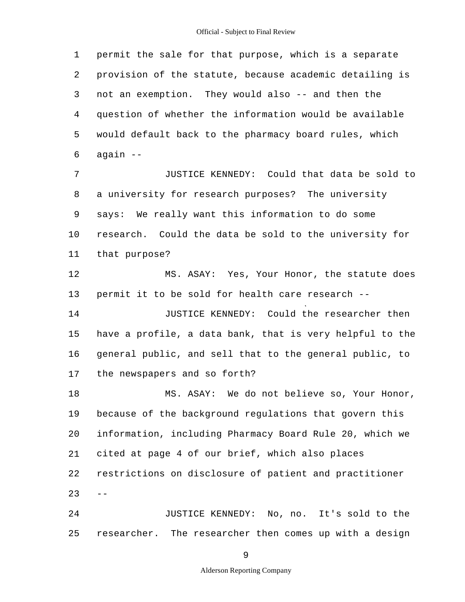1 2 3 4 5 6 7 8 9 10 11 12 13 14 15 16 17 18 19 20 21 22  $23 - -$ 24 25 permit the sale for that purpose, which is a separate provision of the statute, because academic detailing is not an exemption. They would also -- and then the question of whether the information would be available would default back to the pharmacy board rules, which again - JUSTICE KENNEDY: Could that data be sold to a university for research purposes? The university says: We really want this information to do some research. Could the data be sold to the university for that purpose? MS. ASAY: Yes, Your Honor, the statute does permit it to be sold for health care research - JUSTICE KENNEDY: Could the researcher then have a profile, a data bank, that is very helpful to the general public, and sell that to the general public, to the newspapers and so forth? MS. ASAY: We do not believe so, Your Honor, because of the background regulations that govern this information, including Pharmacy Board Rule 20, which we cited at page 4 of our brief, which also places restrictions on disclosure of patient and practitioner JUSTICE KENNEDY: No, no. It's sold to the researcher. The researcher then comes up with a design

9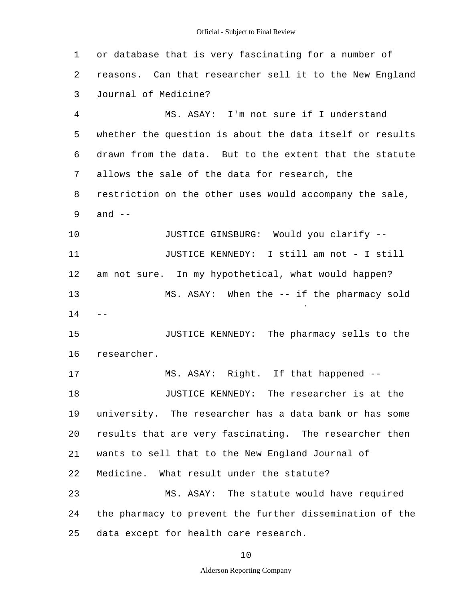1 2 3 4 5 6 7 8 9 10 11 12 13  $14 - -$ 15 16 17 18 19 20 21 22 23 24 25 or database that is very fascinating for a number of reasons. Can that researcher sell it to the New England Journal of Medicine? MS. ASAY: I'm not sure if I understand whether the question is about the data itself or results drawn from the data. But to the extent that the statute allows the sale of the data for research, the restriction on the other uses would accompany the sale, and  $--$ JUSTICE GINSBURG: Would you clarify - JUSTICE KENNEDY: I still am not - I still am not sure. In my hypothetical, what would happen? MS. ASAY: When the -- if the pharmacy sold JUSTICE KENNEDY: The pharmacy sells to the researcher. MS. ASAY: Right. If that happened - JUSTICE KENNEDY: The researcher is at the university. The researcher has a data bank or has some results that are very fascinating. The researcher then wants to sell that to the New England Journal of Medicine. What result under the statute? MS. ASAY: The statute would have required the pharmacy to prevent the further dissemination of the data except for health care research.

10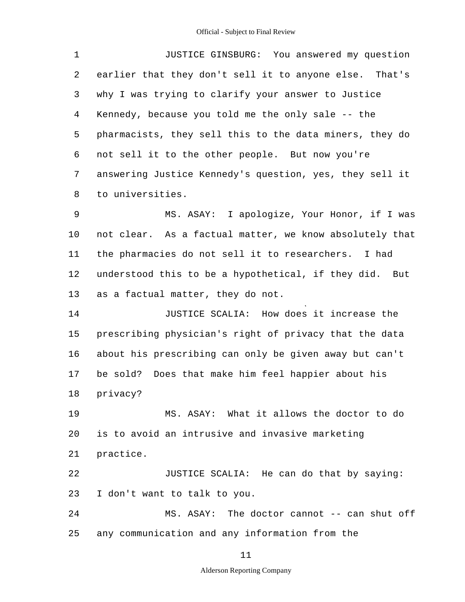1 2 3 4 5 6 7 8 9 10 11 12 13 14 15 16 17 18 19 20 21 22 23 24 25 JUSTICE GINSBURG: You answered my question earlier that they don't sell it to anyone else. That's why I was trying to clarify your answer to Justice Kennedy, because you told me the only sale -- the pharmacists, they sell this to the data miners, they do not sell it to the other people. But now you're answering Justice Kennedy's question, yes, they sell it to universities. MS. ASAY: I apologize, Your Honor, if I was not clear. As a factual matter, we know absolutely that the pharmacies do not sell it to researchers. I had understood this to be a hypothetical, if they did. But as a factual matter, they do not. JUSTICE SCALIA: How does it increase the prescribing physician's right of privacy that the data about his prescribing can only be given away but can't be sold? Does that make him feel happier about his privacy? MS. ASAY: What it allows the doctor to do is to avoid an intrusive and invasive marketing practice. JUSTICE SCALIA: He can do that by saying: I don't want to talk to you. MS. ASAY: The doctor cannot -- can shut off any communication and any information from the

11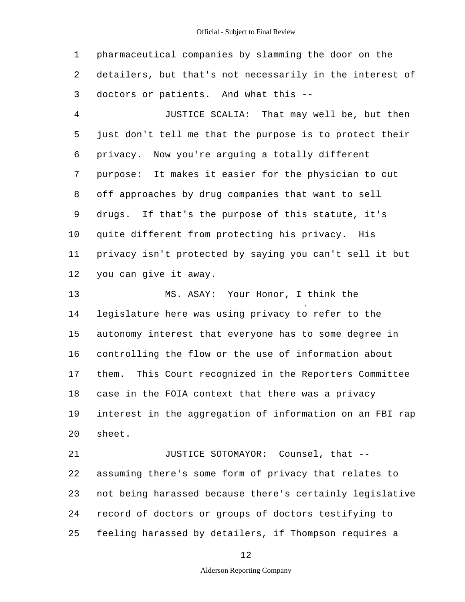1 2 3 pharmaceutical companies by slamming the door on the detailers, but that's not necessarily in the interest of doctors or patients. And what this -

4 5 6 7 8 9 10 11 12 JUSTICE SCALIA: That may well be, but then just don't tell me that the purpose is to protect their privacy. Now you're arguing a totally different purpose: It makes it easier for the physician to cut off approaches by drug companies that want to sell drugs. If that's the purpose of this statute, it's quite different from protecting his privacy. His privacy isn't protected by saying you can't sell it but you can give it away.

13 14 15 16 17 18 19 20 MS. ASAY: Your Honor, I think the legislature here was using privacy to refer to the autonomy interest that everyone has to some degree in controlling the flow or the use of information about them. This Court recognized in the Reporters Committee case in the FOIA context that there was a privacy interest in the aggregation of information on an FBI rap sheet.

21 22 23 24 25 JUSTICE SOTOMAYOR: Counsel, that assuming there's some form of privacy that relates to not being harassed because there's certainly legislative record of doctors or groups of doctors testifying to feeling harassed by detailers, if Thompson requires a

12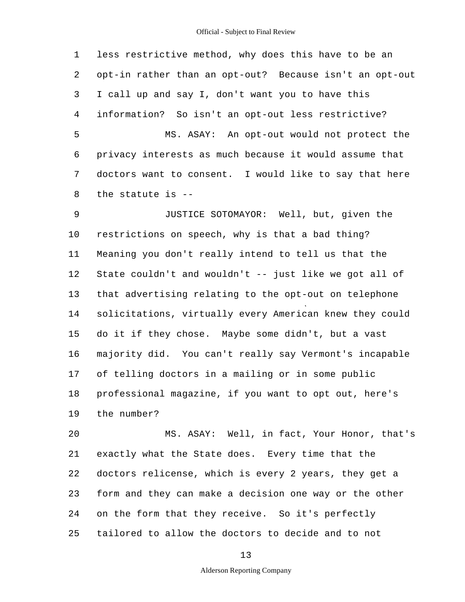1 2 3 4 5 6 7 8 less restrictive method, why does this have to be an opt-in rather than an opt-out? Because isn't an opt-out I call up and say I, don't want you to have this information? So isn't an opt-out less restrictive? MS. ASAY: An opt-out would not protect the privacy interests as much because it would assume that doctors want to consent. I would like to say that here the statute is -

9 10 11 12 13 14 15 16 17 18 19 JUSTICE SOTOMAYOR: Well, but, given the restrictions on speech, why is that a bad thing? Meaning you don't really intend to tell us that the State couldn't and wouldn't -- just like we got all of that advertising relating to the opt-out on telephone solicitations, virtually every American knew they could do it if they chose. Maybe some didn't, but a vast majority did. You can't really say Vermont's incapable of telling doctors in a mailing or in some public professional magazine, if you want to opt out, here's the number?

20 21 22 23 24 25 MS. ASAY: Well, in fact, Your Honor, that's exactly what the State does. Every time that the doctors relicense, which is every 2 years, they get a form and they can make a decision one way or the other on the form that they receive. So it's perfectly tailored to allow the doctors to decide and to not

13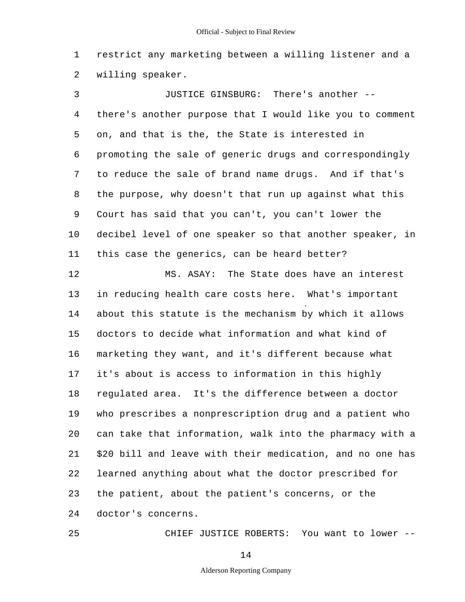1 2 restrict any marketing between a willing listener and a willing speaker.

3 4 5 6 7 8 9 10 11 12 13 14 15 16 17 18 19 20 21 22 23 24 JUSTICE GINSBURG: There's another there's another purpose that I would like you to comment on, and that is the, the State is interested in promoting the sale of generic drugs and correspondingly to reduce the sale of brand name drugs. And if that's the purpose, why doesn't that run up against what this Court has said that you can't, you can't lower the decibel level of one speaker so that another speaker, in this case the generics, can be heard better? MS. ASAY: The State does have an interest in reducing health care costs here. What's important about this statute is the mechanism by which it allows doctors to decide what information and what kind of marketing they want, and it's different because what it's about is access to information in this highly regulated area. It's the difference between a doctor who prescribes a nonprescription drug and a patient who can take that information, walk into the pharmacy with a \$20 bill and leave with their medication, and no one has learned anything about what the doctor prescribed for the patient, about the patient's concerns, or the doctor's concerns.

CHIEF JUSTICE ROBERTS: You want to lower -

14

25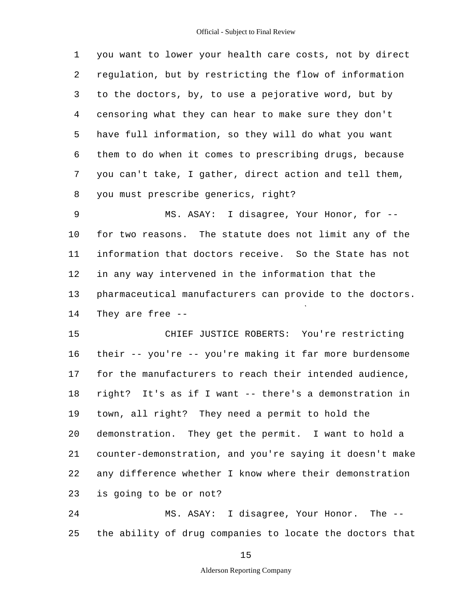1 2 3 4 5 6 7 8 9 10 11 12 13 14 15 16 17 18 19 20 you want to lower your health care costs, not by direct regulation, but by restricting the flow of information to the doctors, by, to use a pejorative word, but by censoring what they can hear to make sure they don't have full information, so they will do what you want them to do when it comes to prescribing drugs, because you can't take, I gather, direct action and tell them, you must prescribe generics, right? MS. ASAY: I disagree, Your Honor, for for two reasons. The statute does not limit any of the information that doctors receive. So the State has not in any way intervened in the information that the pharmaceutical manufacturers can provide to the doctors. They are free - CHIEF JUSTICE ROBERTS: You're restricting their -- you're -- you're making it far more burdensome for the manufacturers to reach their intended audience, right? It's as if I want -- there's a demonstration in town, all right? They need a permit to hold the demonstration. They get the permit. I want to hold a

21 22 23 counter-demonstration, and you're saying it doesn't make any difference whether I know where their demonstration is going to be or not?

24 25 MS. ASAY: I disagree, Your Honor. The the ability of drug companies to locate the doctors that

15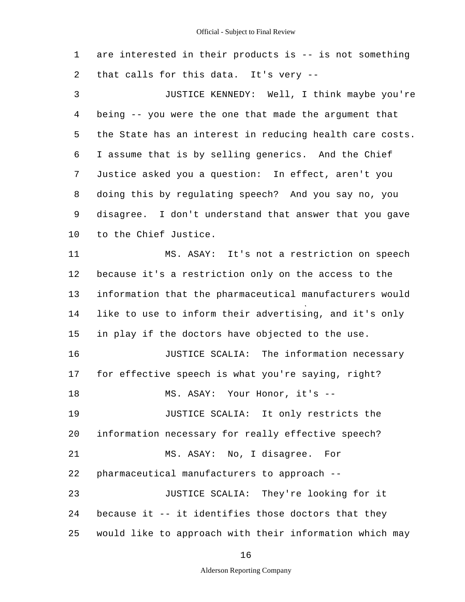1 2 are interested in their products is -- is not something that calls for this data. It's very --

3 4 5 6 7 8 9 10 JUSTICE KENNEDY: Well, I think maybe you're being -- you were the one that made the argument that the State has an interest in reducing health care costs. I assume that is by selling generics. And the Chief Justice asked you a question: In effect, aren't you doing this by regulating speech? And you say no, you disagree. I don't understand that answer that you gave to the Chief Justice.

11 12 13 14 15 16 17 18 19 20 21 22 23 24 25 MS. ASAY: It's not a restriction on speech because it's a restriction only on the access to the information that the pharmaceutical manufacturers would like to use to inform their advertising, and it's only in play if the doctors have objected to the use. JUSTICE SCALIA: The information necessary for effective speech is what you're saying, right? MS. ASAY: Your Honor, it's - JUSTICE SCALIA: It only restricts the information necessary for really effective speech? MS. ASAY: No, I disagree. For pharmaceutical manufacturers to approach - JUSTICE SCALIA: They're looking for it because it -- it identifies those doctors that they would like to approach with their information which may

16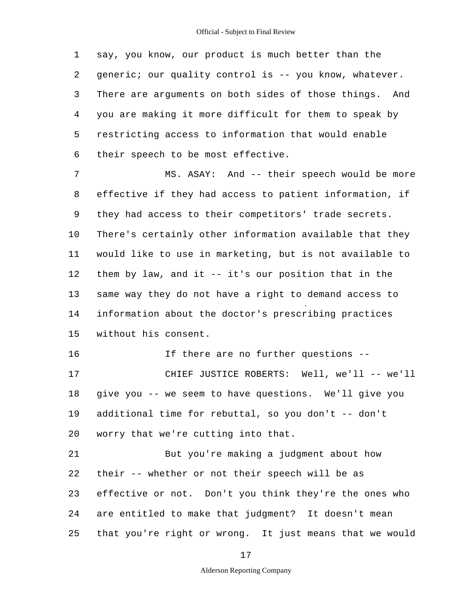1 2 3 4 5 6 say, you know, our product is much better than the generic; our quality control is -- you know, whatever. There are arguments on both sides of those things. And you are making it more difficult for them to speak by restricting access to information that would enable their speech to be most effective.

7 8 9 10 11 12 13 14 15 MS. ASAY: And -- their speech would be more effective if they had access to patient information, if they had access to their competitors' trade secrets. There's certainly other information available that they would like to use in marketing, but is not available to them by law, and it -- it's our position that in the same way they do not have a right to demand access to information about the doctor's prescribing practices without his consent.

16 17 18 19 20 If there are no further questions - CHIEF JUSTICE ROBERTS: Well, we'll -- we'll give you -- we seem to have questions. We'll give you additional time for rebuttal, so you don't -- don't worry that we're cutting into that.

21 22 23 24 25 But you're making a judgment about how their -- whether or not their speech will be as effective or not. Don't you think they're the ones who are entitled to make that judgment? It doesn't mean that you're right or wrong. It just means that we would

17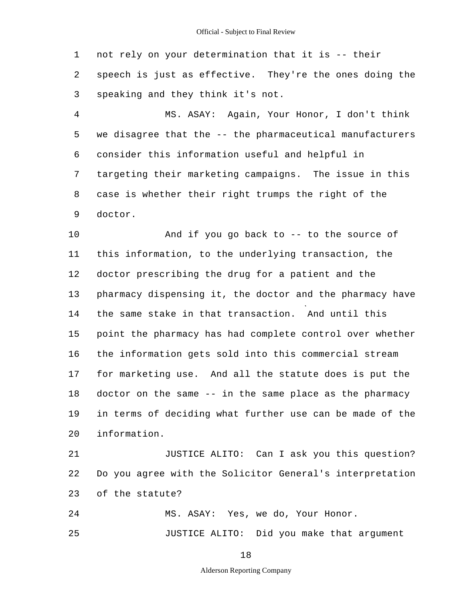1 2 3 4 5 6 7 8 9 10 11 12 13 14 15 16 17 18 19  $20^{\circ}$ 21 22 23 24 not rely on your determination that it is -- their speech is just as effective. They're the ones doing the speaking and they think it's not. MS. ASAY: Again, Your Honor, I don't think we disagree that the -- the pharmaceutical manufacturers consider this information useful and helpful in targeting their marketing campaigns. The issue in this case is whether their right trumps the right of the doctor. And if you go back to -- to the source of this information, to the underlying transaction, the doctor prescribing the drug for a patient and the pharmacy dispensing it, the doctor and the pharmacy have the same stake in that transaction. And until this point the pharmacy has had complete control over whether the information gets sold into this commercial stream for marketing use. And all the statute does is put the doctor on the same -- in the same place as the pharmacy in terms of deciding what further use can be made of the information. JUSTICE ALITO: Can I ask you this question? Do you agree with the Solicitor General's interpretation of the statute? MS. ASAY: Yes, we do, Your Honor.

JUSTICE ALITO: Did you make that argument

18

25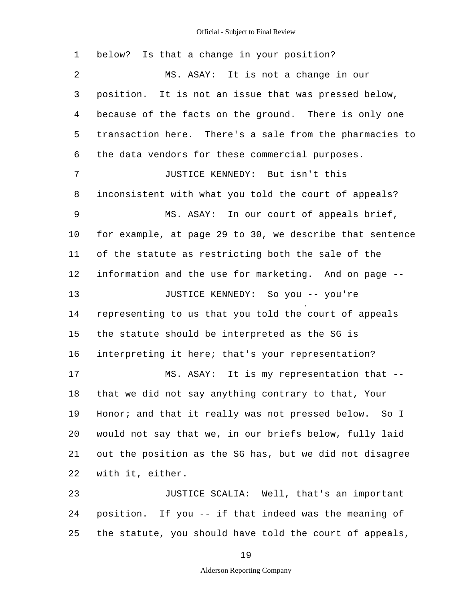1 2 3 4 5 6 7 8 9 10 11 12 13 14 15 16 17 18 19 20 21 22 23 24 25 below? Is that a change in your position? MS. ASAY: It is not a change in our position. It is not an issue that was pressed below, because of the facts on the ground. There is only one transaction here. There's a sale from the pharmacies to the data vendors for these commercial purposes. JUSTICE KENNEDY: But isn't this inconsistent with what you told the court of appeals? MS. ASAY: In our court of appeals brief, for example, at page 29 to 30, we describe that sentence of the statute as restricting both the sale of the information and the use for marketing. And on page - JUSTICE KENNEDY: So you -- you're representing to us that you told the court of appeals the statute should be interpreted as the SG is interpreting it here; that's your representation? MS. ASAY: It is my representation that that we did not say anything contrary to that, Your Honor; and that it really was not pressed below. So I would not say that we, in our briefs below, fully laid out the position as the SG has, but we did not disagree with it, either. JUSTICE SCALIA: Well, that's an important position. If you -- if that indeed was the meaning of the statute, you should have told the court of appeals,

19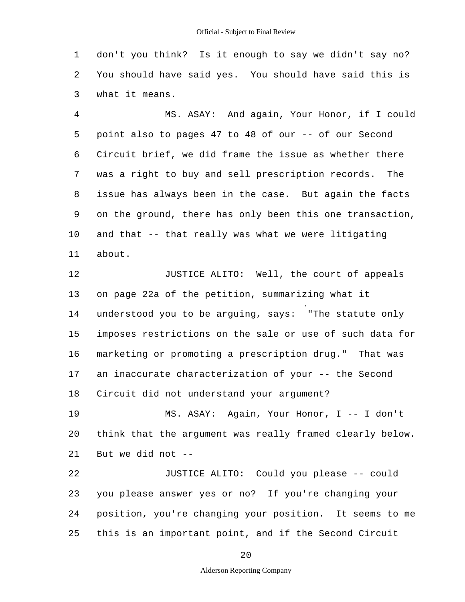1 2 3 don't you think? Is it enough to say we didn't say no? You should have said yes. You should have said this is what it means.

4 5 6 7 8 9 10 11 MS. ASAY: And again, Your Honor, if I could point also to pages 47 to 48 of our -- of our Second Circuit brief, we did frame the issue as whether there was a right to buy and sell prescription records. The issue has always been in the case. But again the facts on the ground, there has only been this one transaction, and that -- that really was what we were litigating about.

12 13 14 15 16 17 18 JUSTICE ALITO: Well, the court of appeals on page 22a of the petition, summarizing what it understood you to be arguing, says: "The statute only imposes restrictions on the sale or use of such data for marketing or promoting a prescription drug." That was an inaccurate characterization of your -- the Second Circuit did not understand your argument?

19 20 21 MS. ASAY: Again, Your Honor, I -- I don't think that the argument was really framed clearly below. But we did not  $-$ 

22 23 24 25 JUSTICE ALITO: Could you please -- could you please answer yes or no? If you're changing your position, you're changing your position. It seems to me this is an important point, and if the Second Circuit

20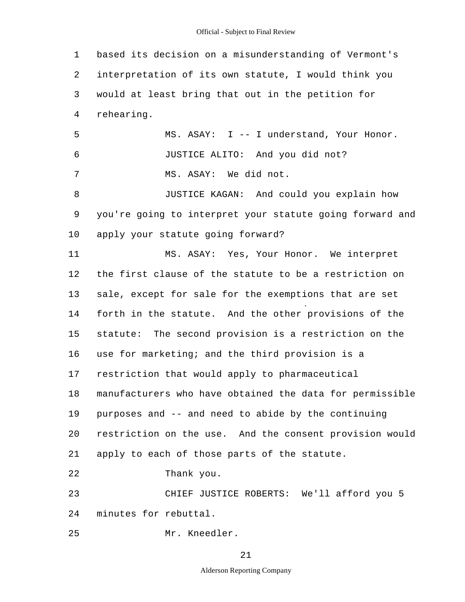1 2 3 4 5 6 7 8 9 10 11 12 13 14 15 16 17 18 19 20 21 22 23 24 25 based its decision on a misunderstanding of Vermont's interpretation of its own statute, I would think you would at least bring that out in the petition for rehearing. MS. ASAY: I -- I understand, Your Honor. JUSTICE ALITO: And you did not? MS. ASAY: We did not. JUSTICE KAGAN: And could you explain how you're going to interpret your statute going forward and apply your statute going forward? MS. ASAY: Yes, Your Honor. We interpret the first clause of the statute to be a restriction on sale, except for sale for the exemptions that are set forth in the statute. And the other provisions of the statute: The second provision is a restriction on the use for marketing; and the third provision is a restriction that would apply to pharmaceutical manufacturers who have obtained the data for permissible purposes and -- and need to abide by the continuing restriction on the use. And the consent provision would apply to each of those parts of the statute. Thank you. CHIEF JUSTICE ROBERTS: We'll afford you 5 minutes for rebuttal. Mr. Kneedler.

21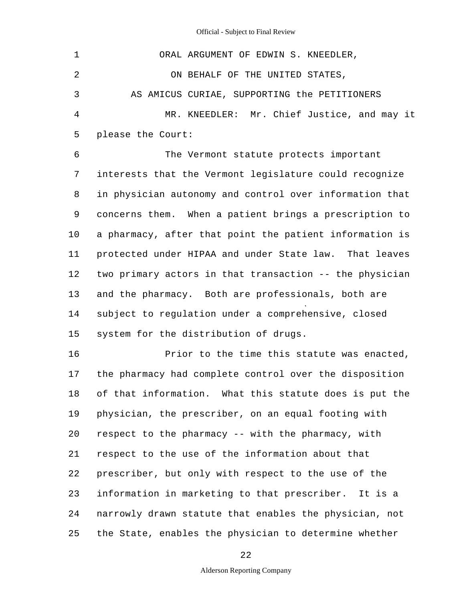| $\mathbf 1$ | ORAL ARGUMENT OF EDWIN S. KNEEDLER,                     |
|-------------|---------------------------------------------------------|
| 2           | ON BEHALF OF THE UNITED STATES,                         |
| 3           | AS AMICUS CURIAE, SUPPORTING the PETITIONERS            |
| 4           | MR. KNEEDLER: Mr. Chief Justice, and may it             |
| 5           | please the Court:                                       |
| 6           | The Vermont statute protects important                  |
| 7           | interests that the Vermont legislature could recognize  |
| 8           | in physician autonomy and control over information that |
| 9           | concerns them. When a patient brings a prescription to  |
| 10          | a pharmacy, after that point the patient information is |
| 11          | protected under HIPAA and under State law. That leaves  |
| 12          | two primary actors in that transaction -- the physician |
| 13          | and the pharmacy. Both are professionals, both are      |
| 14          | subject to regulation under a comprehensive, closed     |
| 15          | system for the distribution of drugs.                   |
| 16          | Prior to the time this statute was enacted,             |
| 17          | the pharmacy had complete control over the disposition  |
| 18          | of that information. What this statute does is put the  |
| 19          | physician, the prescriber, on an equal footing with     |
| 20          | respect to the pharmacy -- with the pharmacy, with      |
| 21          | respect to the use of the information about that        |
| 22          | prescriber, but only with respect to the use of the     |
| 23          | information in marketing to that prescriber. It is a    |

24 25 narrowly drawn statute that enables the physician, not the State, enables the physician to determine whether

22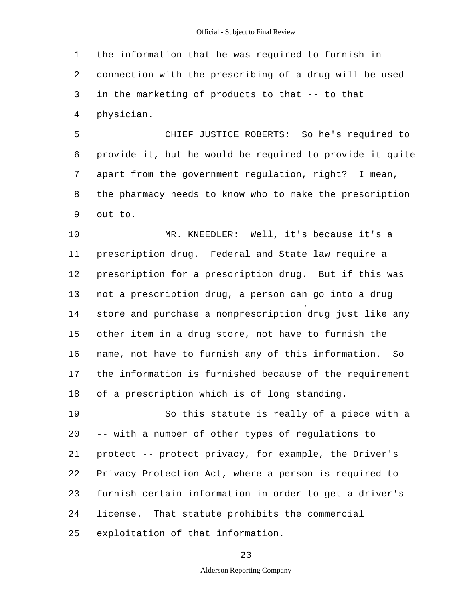1 2 3 4 the information that he was required to furnish in connection with the prescribing of a drug will be used in the marketing of products to that -- to that physician.

5 6 7 8 9 CHIEF JUSTICE ROBERTS: So he's required to provide it, but he would be required to provide it quite apart from the government regulation, right? I mean, the pharmacy needs to know who to make the prescription out to.

10 11 12 13 14 15 16 17 18 MR. KNEEDLER: Well, it's because it's a prescription drug. Federal and State law require a prescription for a prescription drug. But if this was not a prescription drug, a person can go into a drug store and purchase a nonprescription drug just like any other item in a drug store, not have to furnish the name, not have to furnish any of this information. So the information is furnished because of the requirement of a prescription which is of long standing.

19 20 21 22 23 24 25 So this statute is really of a piece with a -- with a number of other types of regulations to protect -- protect privacy, for example, the Driver's Privacy Protection Act, where a person is required to furnish certain information in order to get a driver's license. That statute prohibits the commercial exploitation of that information.

23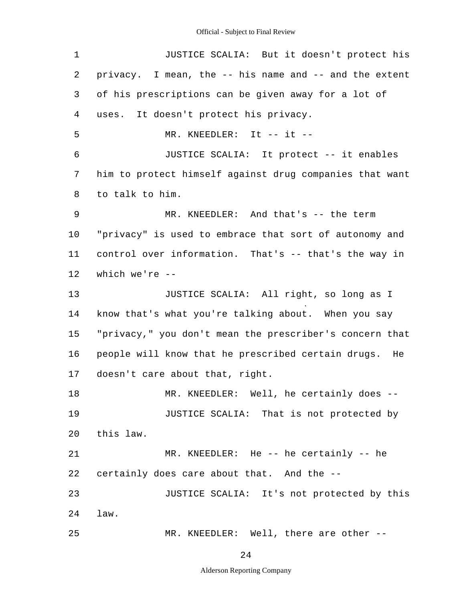| 1  | JUSTICE SCALIA: But it doesn't protect his              |
|----|---------------------------------------------------------|
| 2  | privacy. I mean, the -- his name and -- and the extent  |
| 3  | of his prescriptions can be given away for a lot of     |
| 4  | uses. It doesn't protect his privacy.                   |
| 5  | MR. KNEEDLER: It $--$ it $--$                           |
| 6  | JUSTICE SCALIA: It protect -- it enables                |
| 7  | him to protect himself against drug companies that want |
| 8  | to talk to him.                                         |
| 9  | MR. KNEEDLER: And that's -- the term                    |
| 10 | "privacy" is used to embrace that sort of autonomy and  |
| 11 | control over information. That's -- that's the way in   |
| 12 | which we're $--$                                        |
| 13 | JUSTICE SCALIA: All right, so long as I                 |
| 14 | know that's what you're talking about. When you say     |
| 15 | "privacy," you don't mean the prescriber's concern that |
| 16 | people will know that he prescribed certain drugs. He   |
| 17 | doesn't care about that, right.                         |
| 18 | MR. KNEEDLER: Well, he certainly does --                |
| 19 | JUSTICE SCALIA: That is not protected by                |
| 20 | this law.                                               |
| 21 | MR. KNEEDLER: He -- he certainly -- he                  |
| 22 | certainly does care about that. And the --              |
| 23 | JUSTICE SCALIA: It's not protected by this              |
| 24 | law.                                                    |
| 25 | MR. KNEEDLER: Well, there are other --                  |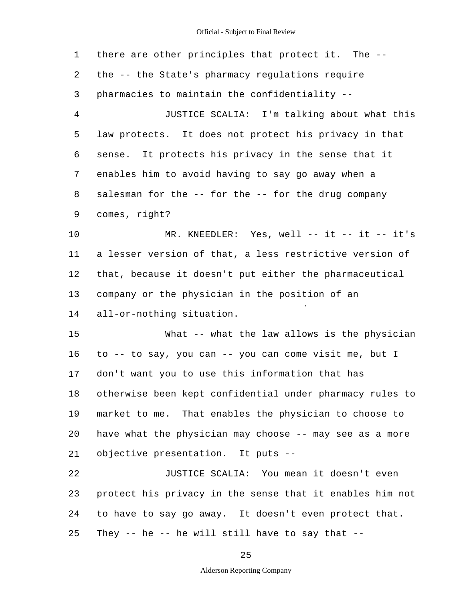1 2 3 4 5 6 7 8 9 10 11 12 13 14 15 16 17 18 19 20 21 22 23 24 25 there are other principles that protect it. The the -- the State's pharmacy regulations require pharmacies to maintain the confidentiality - JUSTICE SCALIA: I'm talking about what this law protects. It does not protect his privacy in that sense. It protects his privacy in the sense that it enables him to avoid having to say go away when a salesman for the -- for the -- for the drug company comes, right? MR. KNEEDLER: Yes, well -- it -- it -- it's a lesser version of that, a less restrictive version of that, because it doesn't put either the pharmaceutical company or the physician in the position of an all-or-nothing situation. What -- what the law allows is the physician to -- to say, you can -- you can come visit me, but I don't want you to use this information that has otherwise been kept confidential under pharmacy rules to market to me. That enables the physician to choose to have what the physician may choose -- may see as a more objective presentation. It puts - JUSTICE SCALIA: You mean it doesn't even protect his privacy in the sense that it enables him not to have to say go away. It doesn't even protect that. They  $--$  he  $--$  he will still have to say that  $--$ 

25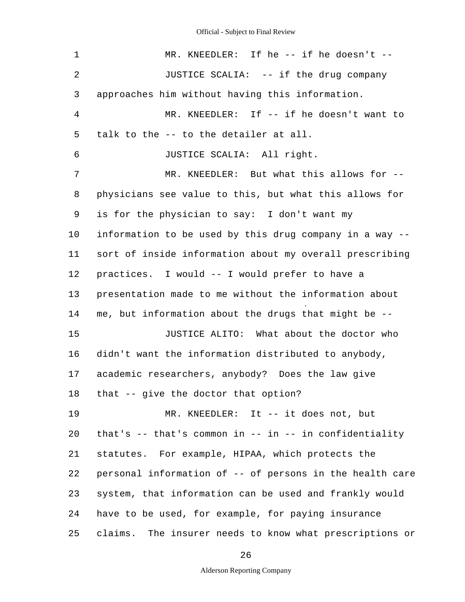| 1              | MR. KNEEDLER: If he -- if he doesn't --                      |
|----------------|--------------------------------------------------------------|
| $\overline{2}$ | JUSTICE SCALIA: -- if the drug company                       |
| 3              | approaches him without having this information.              |
| 4              | MR. KNEEDLER: If -- if he doesn't want to                    |
| 5              | talk to the -- to the detailer at all.                       |
| 6              | JUSTICE SCALIA: All right.                                   |
| 7              | MR. KNEEDLER: But what this allows for --                    |
| 8              | physicians see value to this, but what this allows for       |
| 9              | is for the physician to say: I don't want my                 |
| $10 \,$        | information to be used by this drug company in a way --      |
| 11             | sort of inside information about my overall prescribing      |
| 12             | practices. I would -- I would prefer to have a               |
| 13             | presentation made to me without the information about        |
| 14             | me, but information about the drugs that might be --         |
| 15             | JUSTICE ALITO: What about the doctor who                     |
| 16             | didn't want the information distributed to anybody,          |
| 17             | academic researchers, anybody? Does the law give             |
| 18             | that -- give the doctor that option?                         |
| 19             | MR. KNEEDLER: It -- it does not, but                         |
| 20             | that's $--$ that's common in $--$ in $--$ in confidentiality |
| 21             | statutes. For example, HIPAA, which protects the             |
| 22             | personal information of -- of persons in the health care     |
| 23             | system, that information can be used and frankly would       |
| 24             | have to be used, for example, for paying insurance           |
| 25             | claims. The insurer needs to know what prescriptions or      |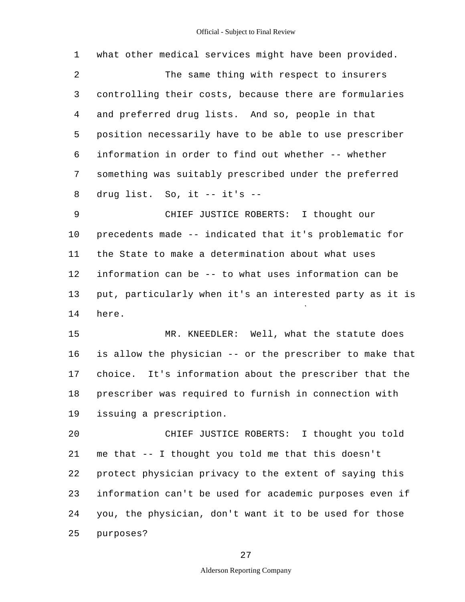| 1  | what other medical services might have been provided.    |
|----|----------------------------------------------------------|
| 2  | The same thing with respect to insurers                  |
| 3  | controlling their costs, because there are formularies   |
| 4  | and preferred drug lists. And so, people in that         |
| 5  | position necessarily have to be able to use prescriber   |
| 6  | information in order to find out whether -- whether      |
| 7  | something was suitably prescribed under the preferred    |
| 8  | drug list. So, it -- it's --                             |
| 9  | CHIEF JUSTICE ROBERTS: I thought our                     |
| 10 | precedents made -- indicated that it's problematic for   |
| 11 | the State to make a determination about what uses        |
| 12 | information can be -- to what uses information can be    |
| 13 | put, particularly when it's an interested party as it is |
| 14 | here.                                                    |
| 15 | MR. KNEEDLER: Well, what the statute does                |
| 16 | is allow the physician -- or the prescriber to make that |
| 17 | choice. It's information about the prescriber that the   |
| 18 | prescriber was required to furnish in connection with    |
| 19 | issuing a prescription.                                  |
| 20 | CHIEF JUSTICE ROBERTS: I thought you told                |
| 21 | me that -- I thought you told me that this doesn't       |
| 22 | protect physician privacy to the extent of saying this   |
| 23 | information can't be used for academic purposes even if  |
| 24 | you, the physician, don't want it to be used for those   |
| 25 | purposes?                                                |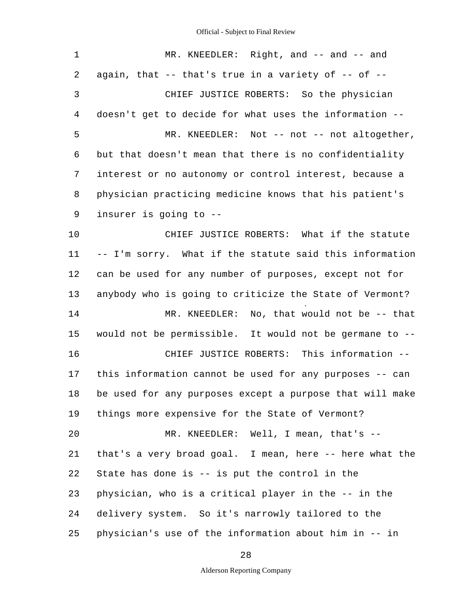| $\mathbf 1$ | MR. KNEEDLER: Right, and -- and -- and                   |
|-------------|----------------------------------------------------------|
| 2           | again, that -- that's true in a variety of -- of --      |
| 3           | CHIEF JUSTICE ROBERTS: So the physician                  |
| 4           | doesn't get to decide for what uses the information --   |
| 5           | MR. KNEEDLER: Not -- not -- not altogether,              |
| 6           | but that doesn't mean that there is no confidentiality   |
| 7           | interest or no autonomy or control interest, because a   |
| 8           | physician practicing medicine knows that his patient's   |
| 9           | insurer is going to --                                   |
| 10          | CHIEF JUSTICE ROBERTS: What if the statute               |
| 11          | -- I'm sorry. What if the statute said this information  |
| 12          | can be used for any number of purposes, except not for   |
| 13          | anybody who is going to criticize the State of Vermont?  |
| 14          | MR. KNEEDLER: No, that would not be -- that              |
| 15          | would not be permissible. It would not be germane to --  |
| 16          | CHIEF JUSTICE ROBERTS: This information --               |
| 17          | this information cannot be used for any purposes -- can  |
| 18          | be used for any purposes except a purpose that will make |
| 19          | things more expensive for the State of Vermont?          |
| 20          | MR. KNEEDLER: Well, I mean, that's --                    |
| 21          | that's a very broad goal. I mean, here -- here what the  |
| 22          | State has done is -- is put the control in the           |
| 23          | physician, who is a critical player in the -- in the     |
| 24          | delivery system. So it's narrowly tailored to the        |
| 25          | physician's use of the information about him in -- in    |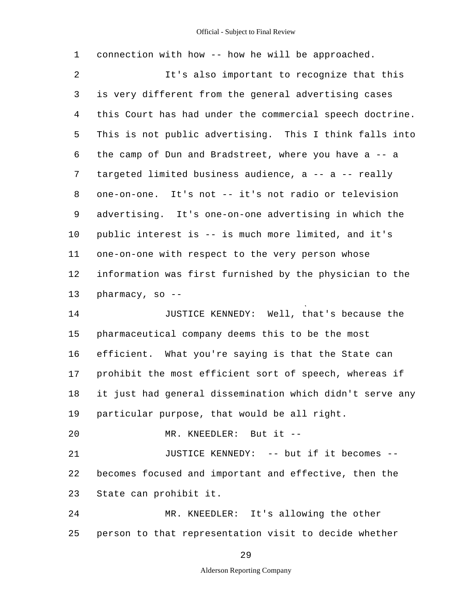1 2 3 4 5 6 7 8 9 10 11 12 13 14 15 16 17 18 19 20 21 22 23 24 25 connection with how -- how he will be approached. It's also important to recognize that this is very different from the general advertising cases this Court has had under the commercial speech doctrine. This is not public advertising. This I think falls into the camp of Dun and Bradstreet, where you have a -- a targeted limited business audience, a -- a -- really one-on-one. It's not -- it's not radio or television advertising. It's one-on-one advertising in which the public interest is -- is much more limited, and it's one-on-one with respect to the very person whose information was first furnished by the physician to the pharmacy, so  $-$ -JUSTICE KENNEDY: Well, that's because the pharmaceutical company deems this to be the most efficient. What you're saying is that the State can prohibit the most efficient sort of speech, whereas if it just had general dissemination which didn't serve any particular purpose, that would be all right. MR. KNEEDLER: But it - JUSTICE KENNEDY: -- but if it becomes -becomes focused and important and effective, then the State can prohibit it. MR. KNEEDLER: It's allowing the other person to that representation visit to decide whether

29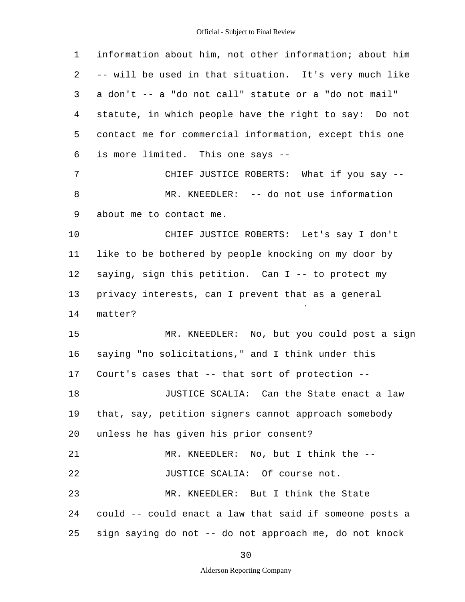| $\mathbf 1$ | information about him, not other information; about him |
|-------------|---------------------------------------------------------|
| 2           | -- will be used in that situation. It's very much like  |
| 3           | a don't -- a "do not call" statute or a "do not mail"   |
| 4           | statute, in which people have the right to say: Do not  |
| 5           | contact me for commercial information, except this one  |
| 6           | is more limited. This one says --                       |
| 7           | CHIEF JUSTICE ROBERTS: What if you say --               |
| 8           | MR. KNEEDLER: -- do not use information                 |
| 9           | about me to contact me.                                 |
| 10          | CHIEF JUSTICE ROBERTS: Let's say I don't                |
| 11          | like to be bothered by people knocking on my door by    |
| 12          | saying, sign this petition. Can I -- to protect my      |
| 13          | privacy interests, can I prevent that as a general      |
| 14          | matter?                                                 |
| 15          | MR. KNEEDLER: No, but you could post a sign             |
| 16          | saying "no solicitations," and I think under this       |
| 17          | Court's cases that -- that sort of protection --        |
| 18          | JUSTICE SCALIA: Can the State enact a law               |
| 19          | that, say, petition signers cannot approach somebody    |
| 20          | unless he has given his prior consent?                  |
| 21          | MR. KNEEDLER: No, but I think the --                    |
| 22          | JUSTICE SCALIA: Of course not.                          |
| 23          | MR. KNEEDLER: But I think the State                     |
| 24          | could -- could enact a law that said if someone posts a |
| 25          | sign saying do not -- do not approach me, do not knock  |

30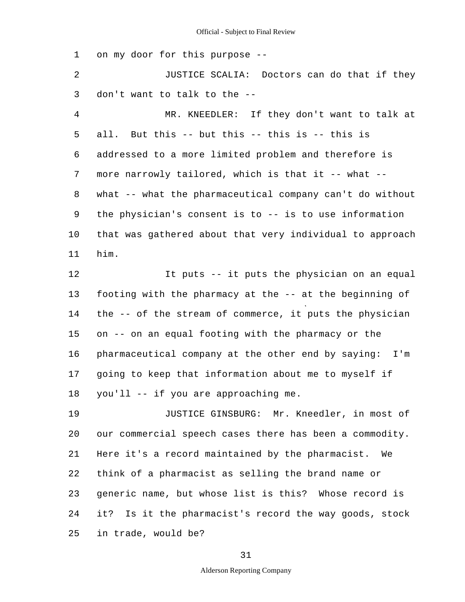1 on my door for this purpose -

2 3 JUSTICE SCALIA: Doctors can do that if they don't want to talk to the -

4 5 6 7 8 9 10 11 MR. KNEEDLER: If they don't want to talk at all. But this -- but this -- this is -- this is addressed to a more limited problem and therefore is more narrowly tailored, which is that it -- what -what -- what the pharmaceutical company can't do without the physician's consent is to -- is to use information that was gathered about that very individual to approach him.

12 13 14 15 16 17 18 It puts -- it puts the physician on an equal footing with the pharmacy at the -- at the beginning of the -- of the stream of commerce, it puts the physician on -- on an equal footing with the pharmacy or the pharmaceutical company at the other end by saying: I'm going to keep that information about me to myself if you'll -- if you are approaching me.

19 20 21 22 23 24 25 JUSTICE GINSBURG: Mr. Kneedler, in most of our commercial speech cases there has been a commodity. Here it's a record maintained by the pharmacist. We think of a pharmacist as selling the brand name or generic name, but whose list is this? Whose record is it? Is it the pharmacist's record the way goods, stock in trade, would be?

31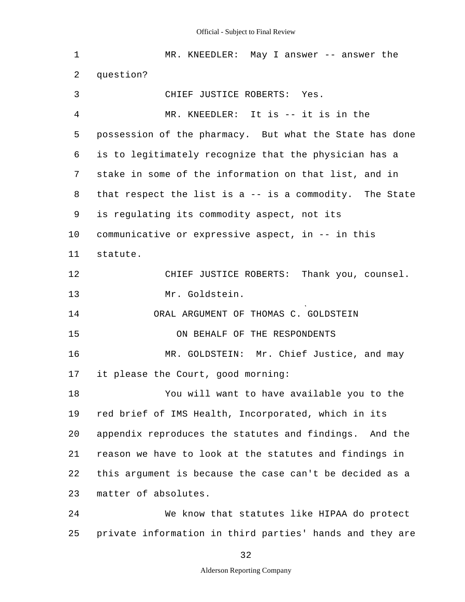| 1  | MR. KNEEDLER: May I answer -- answer the                   |
|----|------------------------------------------------------------|
| 2  | question?                                                  |
| 3  | CHIEF JUSTICE ROBERTS: Yes.                                |
| 4  | MR. KNEEDLER: It is -- it is in the                        |
| 5  | possession of the pharmacy. But what the State has done    |
| 6  | is to legitimately recognize that the physician has a      |
| 7  | stake in some of the information on that list, and in      |
| 8  | that respect the list is $a - -$ is a commodity. The State |
| 9  | is regulating its commodity aspect, not its                |
| 10 | communicative or expressive aspect, in -- in this          |
| 11 | statute.                                                   |
| 12 | CHIEF JUSTICE ROBERTS: Thank you, counsel.                 |
| 13 | Mr. Goldstein.                                             |
| 14 | ORAL ARGUMENT OF THOMAS C. GOLDSTEIN                       |
| 15 | ON BEHALF OF THE RESPONDENTS                               |
| 16 | MR. GOLDSTEIN: Mr. Chief Justice, and may                  |
| 17 | it please the Court, good morning:                         |
| 18 | You will want to have available you to the                 |
| 19 | red brief of IMS Health, Incorporated, which in its        |
| 20 | appendix reproduces the statutes and findings. And the     |
| 21 | reason we have to look at the statutes and findings in     |
| 22 | this argument is because the case can't be decided as a    |
| 23 | matter of absolutes.                                       |
| 24 | We know that statutes like HIPAA do protect                |
| 25 | private information in third parties' hands and they are   |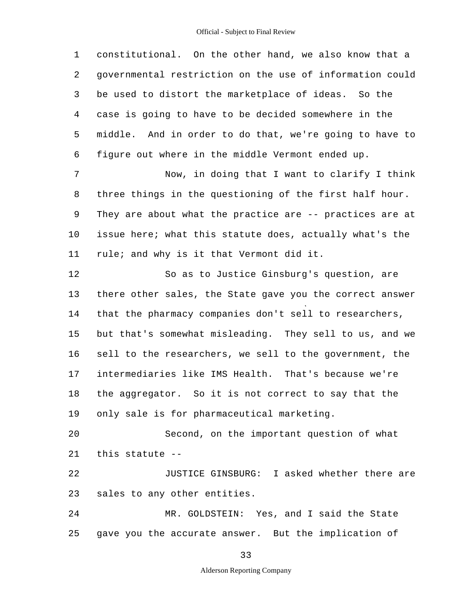1 2 3 4 5 6 7 8 9 10 11 12 13 14 15 16 17 18 19 20 21 22 23 24 25 constitutional. On the other hand, we also know that a governmental restriction on the use of information could be used to distort the marketplace of ideas. So the case is going to have to be decided somewhere in the middle. And in order to do that, we're going to have to figure out where in the middle Vermont ended up. Now, in doing that I want to clarify I think three things in the questioning of the first half hour. They are about what the practice are -- practices are at issue here; what this statute does, actually what's the rule; and why is it that Vermont did it. So as to Justice Ginsburg's question, are there other sales, the State gave you the correct answer that the pharmacy companies don't sell to researchers, but that's somewhat misleading. They sell to us, and we sell to the researchers, we sell to the government, the intermediaries like IMS Health. That's because we're the aggregator. So it is not correct to say that the only sale is for pharmaceutical marketing. Second, on the important question of what this statute - JUSTICE GINSBURG: I asked whether there are sales to any other entities. MR. GOLDSTEIN: Yes, and I said the State gave you the accurate answer. But the implication of

33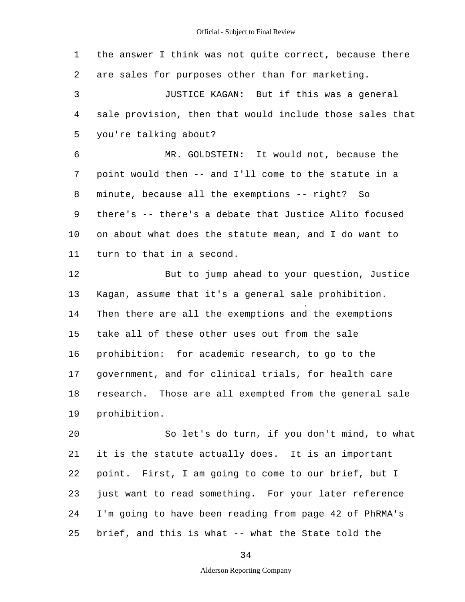1 2 3 4 5 6 7 8 9 10 11 12 13 14 15 16 17 18 19  $20$ 21 the answer I think was not quite correct, because there are sales for purposes other than for marketing. JUSTICE KAGAN: But if this was a general sale provision, then that would include those sales that you're talking about? MR. GOLDSTEIN: It would not, because the point would then -- and I'll come to the statute in a minute, because all the exemptions -- right? So there's -- there's a debate that Justice Alito focused on about what does the statute mean, and I do want to turn to that in a second. But to jump ahead to your question, Justice Kagan, assume that it's a general sale prohibition. Then there are all the exemptions and the exemptions take all of these other uses out from the sale prohibition: for academic research, to go to the government, and for clinical trials, for health care research. Those are all exempted from the general sale prohibition. So let's do turn, if you don't mind, to what it is the statute actually does. It is an important

22 23 24 25 point. First, I am going to come to our brief, but I just want to read something. For your later reference I'm going to have been reading from page 42 of PhRMA's brief, and this is what -- what the State told the

34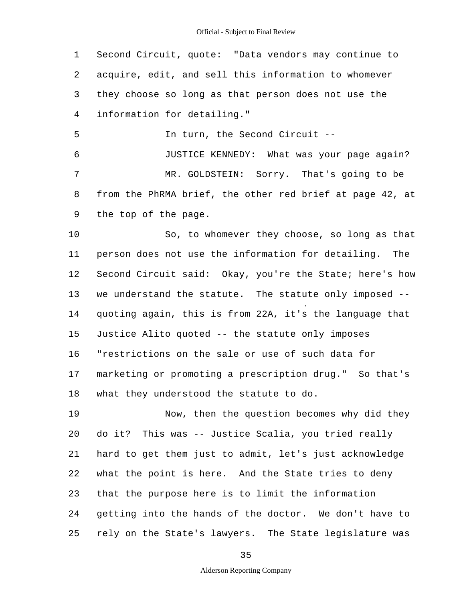1 2 3 4 Second Circuit, quote: "Data vendors may continue to acquire, edit, and sell this information to whomever they choose so long as that person does not use the information for detailing."

5 In turn, the Second Circuit -

6 7 8 9 JUSTICE KENNEDY: What was your page again? MR. GOLDSTEIN: Sorry. That's going to be from the PhRMA brief, the other red brief at page 42, at the top of the page.

10 11 12 13 14 15 16 17 18 So, to whomever they choose, so long as that person does not use the information for detailing. The Second Circuit said: Okay, you're the State; here's how we understand the statute. The statute only imposed quoting again, this is from 22A, it's the language that Justice Alito quoted -- the statute only imposes "restrictions on the sale or use of such data for marketing or promoting a prescription drug." So that's what they understood the statute to do.

19 20 21 22 23 24 25 Now, then the question becomes why did they do it? This was -- Justice Scalia, you tried really hard to get them just to admit, let's just acknowledge what the point is here. And the State tries to deny that the purpose here is to limit the information getting into the hands of the doctor. We don't have to rely on the State's lawyers. The State legislature was

35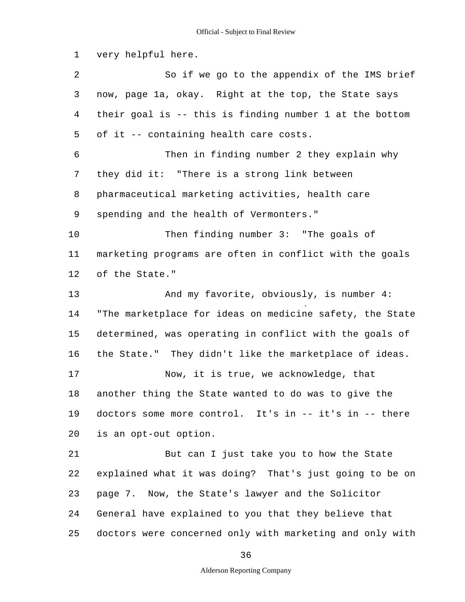1 2 3 4 5 6 7 8 9 10 11 12 13 14 15 16 17 18 19 20 21 22 23 24 25 very helpful here. So if we go to the appendix of the IMS brief now, page 1a, okay. Right at the top, the State says their goal is -- this is finding number 1 at the bottom of it -- containing health care costs. Then in finding number 2 they explain why they did it: "There is a strong link between pharmaceutical marketing activities, health care spending and the health of Vermonters." Then finding number 3: "The goals of marketing programs are often in conflict with the goals of the State." And my favorite, obviously, is number 4: "The marketplace for ideas on medicine safety, the State determined, was operating in conflict with the goals of the State." They didn't like the marketplace of ideas. Now, it is true, we acknowledge, that another thing the State wanted to do was to give the doctors some more control. It's in -- it's in -- there is an opt-out option. But can I just take you to how the State explained what it was doing? That's just going to be on page 7. Now, the State's lawyer and the Solicitor General have explained to you that they believe that doctors were concerned only with marketing and only with

36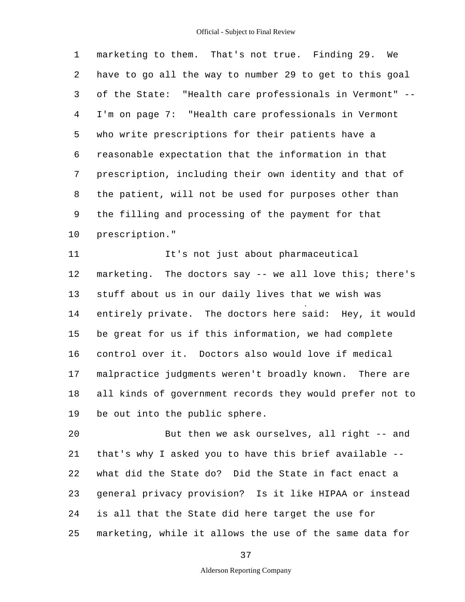1 2 3 4 5 6 7 8 9 10 marketing to them. That's not true. Finding 29. We have to go all the way to number 29 to get to this goal of the State: "Health care professionals in Vermont" - I'm on page 7: "Health care professionals in Vermont who write prescriptions for their patients have a reasonable expectation that the information in that prescription, including their own identity and that of the patient, will not be used for purposes other than the filling and processing of the payment for that prescription."

11 12 13 14 15 16 17 18 19 It's not just about pharmaceutical marketing. The doctors say -- we all love this; there's stuff about us in our daily lives that we wish was entirely private. The doctors here said: Hey, it would be great for us if this information, we had complete control over it. Doctors also would love if medical malpractice judgments weren't broadly known. There are all kinds of government records they would prefer not to be out into the public sphere.

20 21 22 23 24 25 But then we ask ourselves, all right -- and that's why I asked you to have this brief available what did the State do? Did the State in fact enact a general privacy provision? Is it like HIPAA or instead is all that the State did here target the use for marketing, while it allows the use of the same data for

37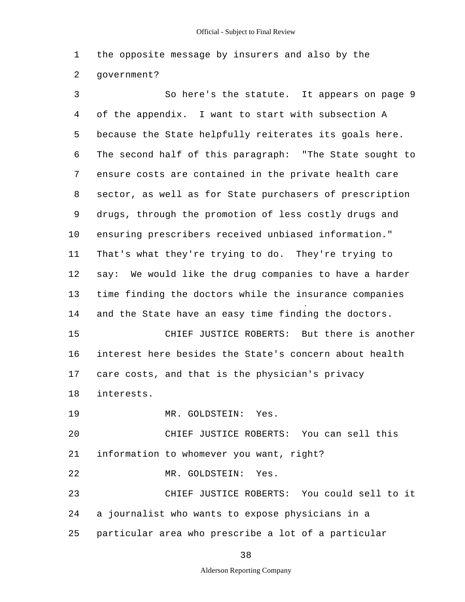1 2 the opposite message by insurers and also by the government?

3 4 5 6 7 8 9 10 11 12 13 14 15 16 17 18 19  $20$ 21 22 23 24 25 So here's the statute. It appears on page 9 of the appendix. I want to start with subsection A because the State helpfully reiterates its goals here. The second half of this paragraph: "The State sought to ensure costs are contained in the private health care sector, as well as for State purchasers of prescription drugs, through the promotion of less costly drugs and ensuring prescribers received unbiased information." That's what they're trying to do. They're trying to say: We would like the drug companies to have a harder time finding the doctors while the insurance companies and the State have an easy time finding the doctors. CHIEF JUSTICE ROBERTS: But there is another interest here besides the State's concern about health care costs, and that is the physician's privacy interests. MR. GOLDSTEIN: Yes. CHIEF JUSTICE ROBERTS: You can sell this information to whomever you want, right? MR. GOLDSTEIN: Yes. CHIEF JUSTICE ROBERTS: You could sell to it a journalist who wants to expose physicians in a particular area who prescribe a lot of a particular

38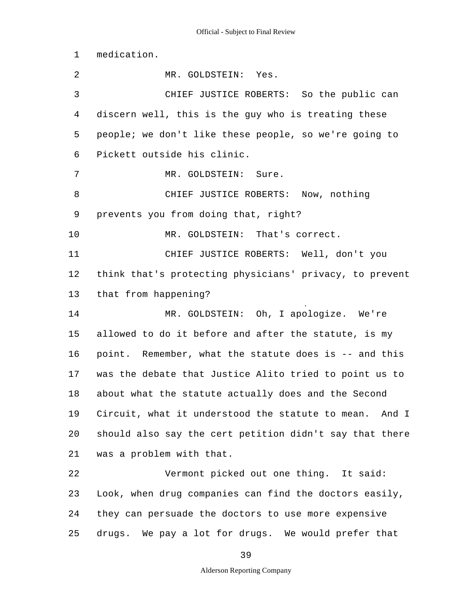1 2 3 4 5 6 7 8 9 10 11 12 13 14 15 16 17 18 19 20 21 22 23 24 25 medication. MR. GOLDSTEIN: Yes. CHIEF JUSTICE ROBERTS: So the public can discern well, this is the guy who is treating these people; we don't like these people, so we're going to Pickett outside his clinic. MR. GOLDSTEIN: Sure. CHIEF JUSTICE ROBERTS: Now, nothing prevents you from doing that, right? MR. GOLDSTEIN: That's correct. CHIEF JUSTICE ROBERTS: Well, don't you think that's protecting physicians' privacy, to prevent that from happening? MR. GOLDSTEIN: Oh, I apologize. We're allowed to do it before and after the statute, is my point. Remember, what the statute does is -- and this was the debate that Justice Alito tried to point us to about what the statute actually does and the Second Circuit, what it understood the statute to mean. And I should also say the cert petition didn't say that there was a problem with that. Vermont picked out one thing. It said: Look, when drug companies can find the doctors easily, they can persuade the doctors to use more expensive drugs. We pay a lot for drugs. We would prefer that

39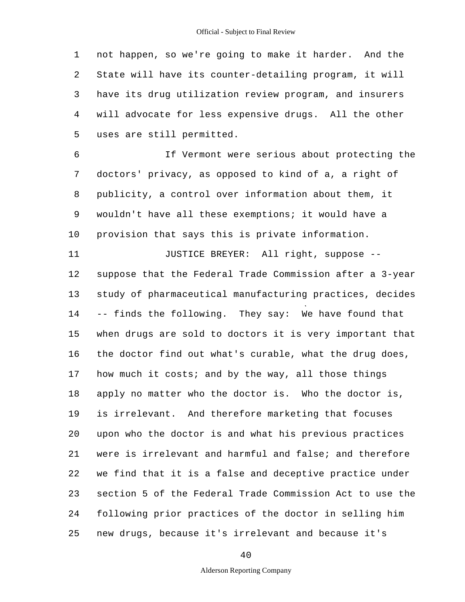1 2 3 4 5 not happen, so we're going to make it harder. And the State will have its counter-detailing program, it will have its drug utilization review program, and insurers will advocate for less expensive drugs. All the other uses are still permitted.

6 7 8 9 10 If Vermont were serious about protecting the doctors' privacy, as opposed to kind of a, a right of publicity, a control over information about them, it wouldn't have all these exemptions; it would have a provision that says this is private information.

11 12 13 14 15 16 17 18 19 20 21 22 23 24 25 JUSTICE BREYER: All right, suppose suppose that the Federal Trade Commission after a 3-year study of pharmaceutical manufacturing practices, decides -- finds the following. They say: We have found that when drugs are sold to doctors it is very important that the doctor find out what's curable, what the drug does, how much it costs; and by the way, all those things apply no matter who the doctor is. Who the doctor is, is irrelevant. And therefore marketing that focuses upon who the doctor is and what his previous practices were is irrelevant and harmful and false; and therefore we find that it is a false and deceptive practice under section 5 of the Federal Trade Commission Act to use the following prior practices of the doctor in selling him new drugs, because it's irrelevant and because it's

40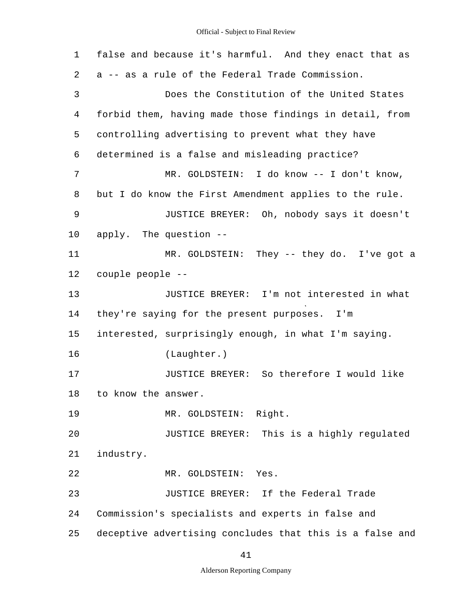| false and because it's harmful. And they enact that as  |  |  |  |  |  |  |  |
|---------------------------------------------------------|--|--|--|--|--|--|--|
| a -- as a rule of the Federal Trade Commission.         |  |  |  |  |  |  |  |
| Does the Constitution of the United States              |  |  |  |  |  |  |  |
| forbid them, having made those findings in detail, from |  |  |  |  |  |  |  |
| controlling advertising to prevent what they have       |  |  |  |  |  |  |  |
| determined is a false and misleading practice?          |  |  |  |  |  |  |  |
| MR. GOLDSTEIN: I do know -- I don't know,               |  |  |  |  |  |  |  |
| but I do know the First Amendment applies to the rule.  |  |  |  |  |  |  |  |
| JUSTICE BREYER: Oh, nobody says it doesn't              |  |  |  |  |  |  |  |
| apply. The question --                                  |  |  |  |  |  |  |  |
| MR. GOLDSTEIN: They -- they do. I've got a              |  |  |  |  |  |  |  |
| couple people --                                        |  |  |  |  |  |  |  |
| JUSTICE BREYER: I'm not interested in what              |  |  |  |  |  |  |  |
| they're saying for the present purposes. I'm            |  |  |  |  |  |  |  |
| interested, surprisingly enough, in what I'm saying.    |  |  |  |  |  |  |  |
| (Laughter.)                                             |  |  |  |  |  |  |  |
| JUSTICE BREYER: So therefore I would like               |  |  |  |  |  |  |  |
| to know the answer.                                     |  |  |  |  |  |  |  |
| MR. GOLDSTEIN: Right.                                   |  |  |  |  |  |  |  |
| JUSTICE BREYER: This is a highly regulated              |  |  |  |  |  |  |  |
| industry.                                               |  |  |  |  |  |  |  |
| MR. GOLDSTEIN:<br>Yes.                                  |  |  |  |  |  |  |  |
| JUSTICE BREYER: If the Federal Trade                    |  |  |  |  |  |  |  |
|                                                         |  |  |  |  |  |  |  |
| Commission's specialists and experts in false and       |  |  |  |  |  |  |  |
|                                                         |  |  |  |  |  |  |  |

41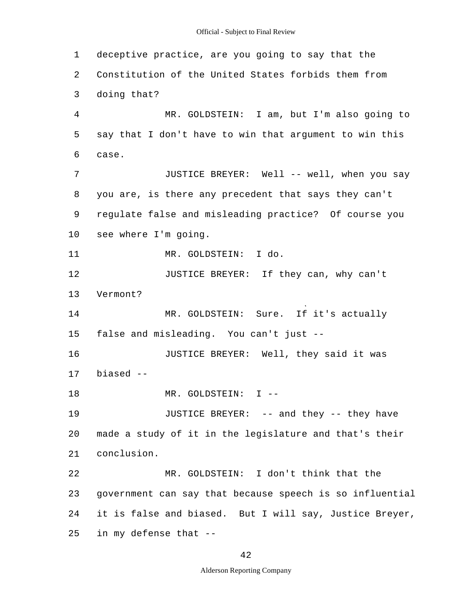1 2 3 4 5 6 7 8 9 10 11 12 13 14 15 16 17 18 19 20 21 22 23 24 25 deceptive practice, are you going to say that the Constitution of the United States forbids them from doing that? MR. GOLDSTEIN: I am, but I'm also going to say that I don't have to win that argument to win this case. JUSTICE BREYER: Well -- well, when you say you are, is there any precedent that says they can't regulate false and misleading practice? Of course you see where I'm going. MR. GOLDSTEIN: I do. JUSTICE BREYER: If they can, why can't Vermont? MR. GOLDSTEIN: Sure. If it's actually false and misleading. You can't just - JUSTICE BREYER: Well, they said it was biased - MR. GOLDSTEIN: I --JUSTICE BREYER: -- and they -- they have made a study of it in the legislature and that's their conclusion. MR. GOLDSTEIN: I don't think that the government can say that because speech is so influential it is false and biased. But I will say, Justice Breyer, in my defense that -

42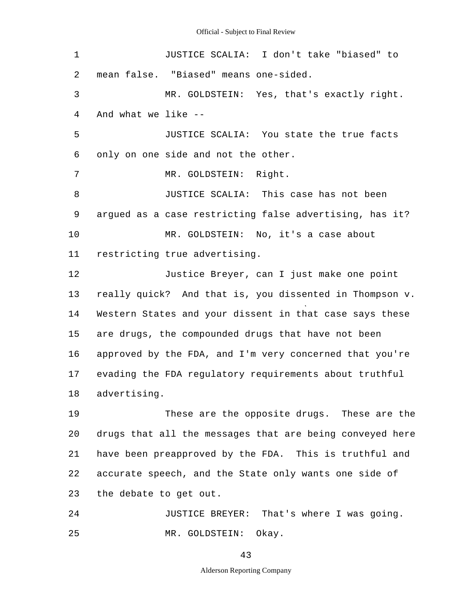1 2 3 4 5 6 7 8 9 10 11 12 13 14 15 16 17 18 19 20 21 22 23 24 25 JUSTICE SCALIA: I don't take "biased" to mean false. "Biased" means one-sided. MR. GOLDSTEIN: Yes, that's exactly right. And what we like - JUSTICE SCALIA: You state the true facts only on one side and not the other. MR. GOLDSTEIN: Right. JUSTICE SCALIA: This case has not been argued as a case restricting false advertising, has it? MR. GOLDSTEIN: No, it's a case about restricting true advertising. Justice Breyer, can I just make one point really quick? And that is, you dissented in Thompson v. Western States and your dissent in that case says these are drugs, the compounded drugs that have not been approved by the FDA, and I'm very concerned that you're evading the FDA regulatory requirements about truthful advertising. These are the opposite drugs. These are the drugs that all the messages that are being conveyed here have been preapproved by the FDA. This is truthful and accurate speech, and the State only wants one side of the debate to get out. JUSTICE BREYER: That's where I was going. MR. GOLDSTEIN: Okay.

43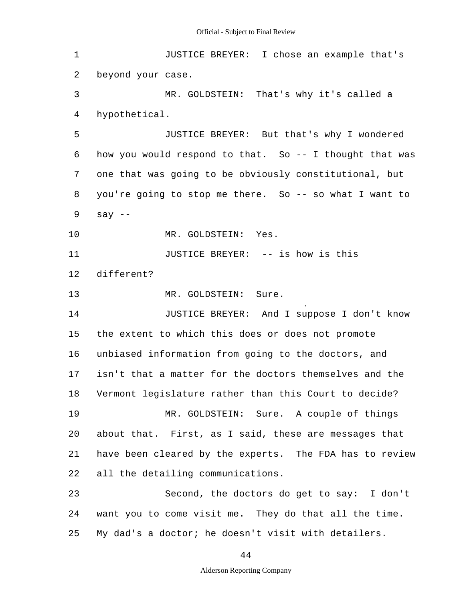1 2 3 4 5 6 7 8 9 10 11 12 13 14 15 16 17 18 19 20 21 22 23 24 25 JUSTICE BREYER: I chose an example that's beyond your case. MR. GOLDSTEIN: That's why it's called a hypothetical. JUSTICE BREYER: But that's why I wondered how you would respond to that. So -- I thought that was one that was going to be obviously constitutional, but you're going to stop me there. So -- so what I want to say  $--$ MR. GOLDSTEIN: Yes. JUSTICE BREYER: -- is how is this different? MR. GOLDSTEIN: Sure. JUSTICE BREYER: And I suppose I don't know the extent to which this does or does not promote unbiased information from going to the doctors, and isn't that a matter for the doctors themselves and the Vermont legislature rather than this Court to decide? MR. GOLDSTEIN: Sure. A couple of things about that. First, as I said, these are messages that have been cleared by the experts. The FDA has to review all the detailing communications. Second, the doctors do get to say: I don't want you to come visit me. They do that all the time. My dad's a doctor; he doesn't visit with detailers.

44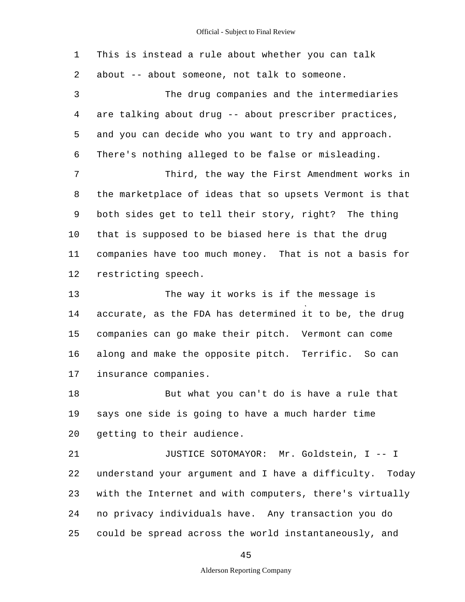| 1  | This is instead a rule about whether you can talk       |
|----|---------------------------------------------------------|
| 2  | about -- about someone, not talk to someone.            |
| 3  | The drug companies and the intermediaries               |
| 4  | are talking about drug -- about prescriber practices,   |
| 5  | and you can decide who you want to try and approach.    |
| 6  | There's nothing alleged to be false or misleading.      |
| 7  | Third, the way the First Amendment works in             |
| 8  | the marketplace of ideas that so upsets Vermont is that |
| 9  | both sides get to tell their story, right? The thing    |
| 10 | that is supposed to be biased here is that the drug     |
| 11 | companies have too much money. That is not a basis for  |
| 12 | restricting speech.                                     |
| 13 | The way it works is if the message is                   |
| 14 | accurate, as the FDA has determined it to be, the drug  |
| 15 | companies can go make their pitch. Vermont can come     |
| 16 | along and make the opposite pitch. Terrific. So can     |
| 17 | insurance companies.                                    |
| 18 | But what you can't do is have a rule that               |
| 19 | says one side is going to have a much harder time       |
| 20 | getting to their audience.                              |
| 21 | JUSTICE SOTOMAYOR: Mr. Goldstein, I -- I                |
| 22 | understand your argument and I have a difficulty. Today |
| 23 | with the Internet and with computers, there's virtually |
| 24 | no privacy individuals have. Any transaction you do     |
| 25 | could be spread across the world instantaneously, and   |
|    |                                                         |

45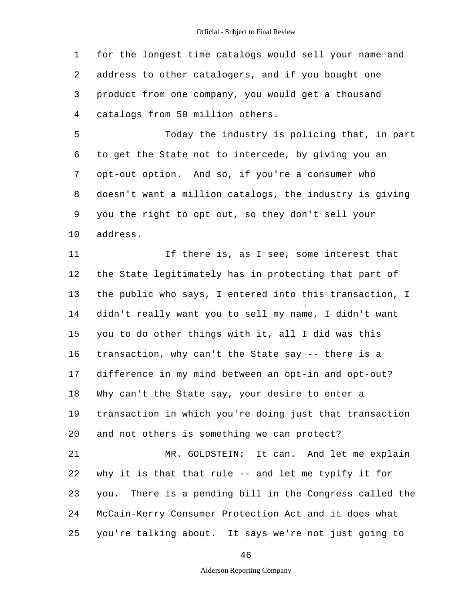1 2 3 4 for the longest time catalogs would sell your name and address to other catalogers, and if you bought one product from one company, you would get a thousand catalogs from 50 million others.

5 6 7 8 9 10 Today the industry is policing that, in part to get the State not to intercede, by giving you an opt-out option. And so, if you're a consumer who doesn't want a million catalogs, the industry is giving you the right to opt out, so they don't sell your address.

11 12 13 14 15 16 17 18 19 20 21 22 23 24 25 If there is, as I see, some interest that the State legitimately has in protecting that part of the public who says, I entered into this transaction, I didn't really want you to sell my name, I didn't want you to do other things with it, all I did was this transaction, why can't the State say -- there is a difference in my mind between an opt-in and opt-out? Why can't the State say, your desire to enter a transaction in which you're doing just that transaction and not others is something we can protect? MR. GOLDSTEIN: It can. And let me explain why it is that that rule -- and let me typify it for you. There is a pending bill in the Congress called the McCain-Kerry Consumer Protection Act and it does what you're talking about. It says we're not just going to

46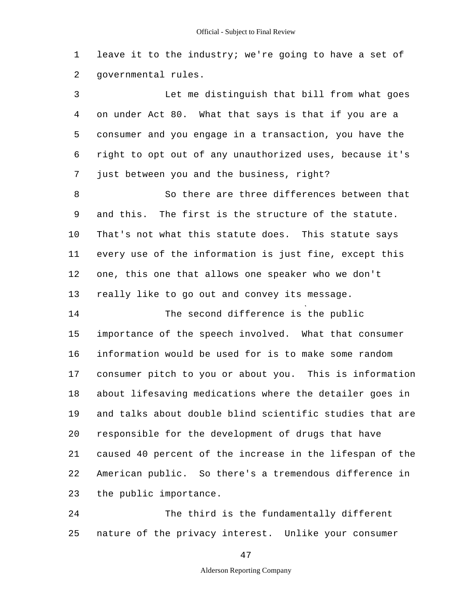1 2 leave it to the industry; we're going to have a set of governmental rules.

3 4 5 6 7 Let me distinguish that bill from what goes on under Act 80. What that says is that if you are a consumer and you engage in a transaction, you have the right to opt out of any unauthorized uses, because it's just between you and the business, right?

8 9 10 11 12 13 So there are three differences between that and this. The first is the structure of the statute. That's not what this statute does. This statute says every use of the information is just fine, except this one, this one that allows one speaker who we don't really like to go out and convey its message.

14 15 16 17 18 19 20 21 22 23 The second difference is the public importance of the speech involved. What that consumer information would be used for is to make some random consumer pitch to you or about you. This is information about lifesaving medications where the detailer goes in and talks about double blind scientific studies that are responsible for the development of drugs that have caused 40 percent of the increase in the lifespan of the American public. So there's a tremendous difference in the public importance.

24 25 The third is the fundamentally different nature of the privacy interest. Unlike your consumer

47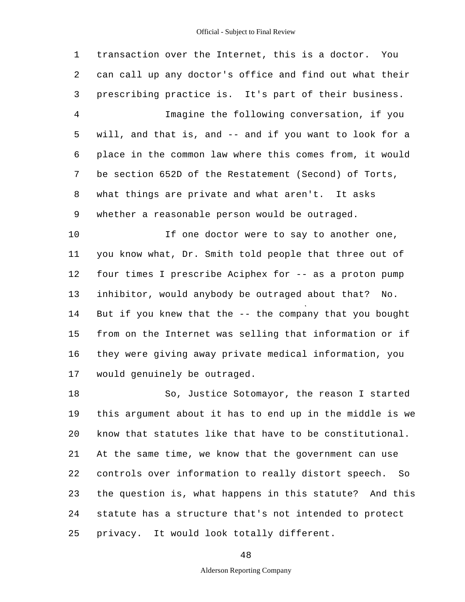1 2 3 4 5 6 7 8 9 10 11 12 13 14 15 16 17 18 19 20 21 transaction over the Internet, this is a doctor. You can call up any doctor's office and find out what their prescribing practice is. It's part of their business. Imagine the following conversation, if you will, and that is, and -- and if you want to look for a place in the common law where this comes from, it would be section 652D of the Restatement (Second) of Torts, what things are private and what aren't. It asks whether a reasonable person would be outraged. If one doctor were to say to another one, you know what, Dr. Smith told people that three out of four times I prescribe Aciphex for -- as a proton pump inhibitor, would anybody be outraged about that? No. But if you knew that the -- the company that you bought from on the Internet was selling that information or if they were giving away private medical information, you would genuinely be outraged. So, Justice Sotomayor, the reason I started this argument about it has to end up in the middle is we know that statutes like that have to be constitutional. At the same time, we know that the government can use

22 23 24 25 controls over information to really distort speech. So the question is, what happens in this statute? And this statute has a structure that's not intended to protect privacy. It would look totally different.

48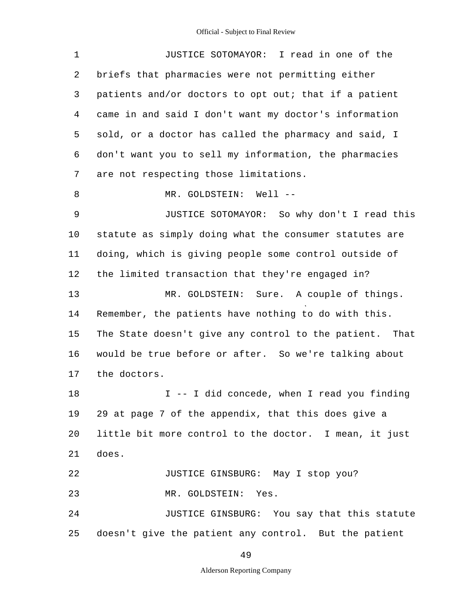| 1              | JUSTICE SOTOMAYOR: I read in one of the                 |
|----------------|---------------------------------------------------------|
| 2              | briefs that pharmacies were not permitting either       |
| 3              | patients and/or doctors to opt out; that if a patient   |
| $\overline{4}$ | came in and said I don't want my doctor's information   |
| 5              | sold, or a doctor has called the pharmacy and said, I   |
| 6              | don't want you to sell my information, the pharmacies   |
| 7              | are not respecting those limitations.                   |
| 8              | MR. GOLDSTEIN: Well --                                  |
| 9              | JUSTICE SOTOMAYOR: So why don't I read this             |
| 10             | statute as simply doing what the consumer statutes are  |
| 11             | doing, which is giving people some control outside of   |
| 12             | the limited transaction that they're engaged in?        |
| 13             | Sure. A couple of things.<br>MR. GOLDSTEIN:             |
| 14             | Remember, the patients have nothing to do with this.    |
| 15             | The State doesn't give any control to the patient. That |
| 16             | would be true before or after. So we're talking about   |
| 17             | the doctors.                                            |
| 18             | I -- I did concede, when I read you finding             |
| 19             | 29 at page 7 of the appendix, that this does give a     |
| 20             | little bit more control to the doctor. I mean, it just  |
| 21             | does.                                                   |
| 22             | JUSTICE GINSBURG: May I stop you?                       |
| 23             | MR. GOLDSTEIN:<br>Yes.                                  |
| 24             | JUSTICE GINSBURG: You say that this statute             |
| 25             | doesn't give the patient any control. But the patient   |

49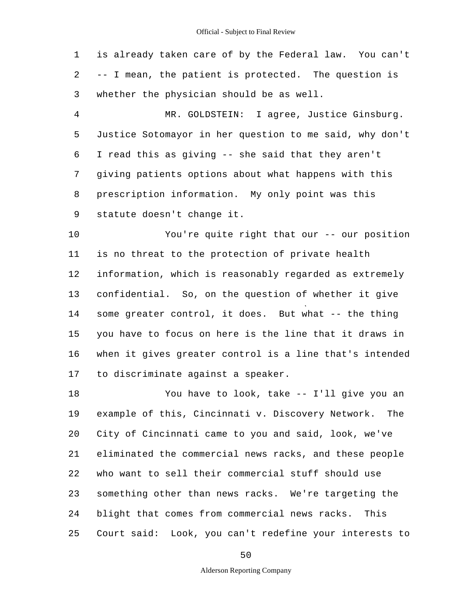1 2 3 is already taken care of by the Federal law. You can't -- I mean, the patient is protected. The question is whether the physician should be as well.

4 5 6 7 8 9 MR. GOLDSTEIN: I agree, Justice Ginsburg. Justice Sotomayor in her question to me said, why don't I read this as giving -- she said that they aren't giving patients options about what happens with this prescription information. My only point was this statute doesn't change it.

10 11 12 13 14 15 16 17 You're quite right that our -- our position is no threat to the protection of private health information, which is reasonably regarded as extremely confidential. So, on the question of whether it give some greater control, it does. But what -- the thing you have to focus on here is the line that it draws in when it gives greater control is a line that's intended to discriminate against a speaker.

18 19 20 21 22 23 24 25 You have to look, take -- I'll give you an example of this, Cincinnati v. Discovery Network. The City of Cincinnati came to you and said, look, we've eliminated the commercial news racks, and these people who want to sell their commercial stuff should use something other than news racks. We're targeting the blight that comes from commercial news racks. This Court said: Look, you can't redefine your interests to

50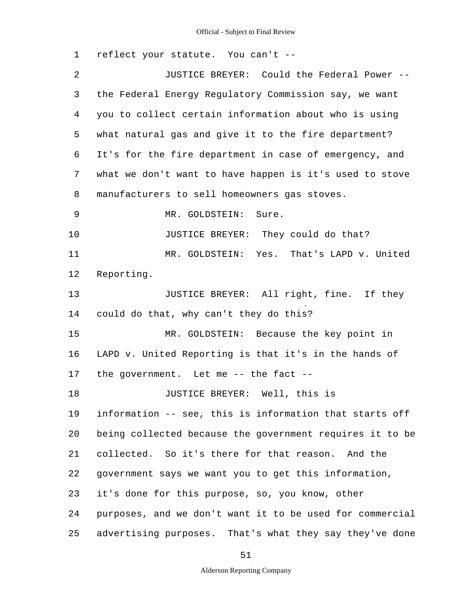1 2 3 4 5 6 7 8 9 10 11 12 13 14 15 16 17 18 19 20 21 22 23 24 25 reflect your statute. You can't - JUSTICE BREYER: Could the Federal Power the Federal Energy Regulatory Commission say, we want you to collect certain information about who is using what natural gas and give it to the fire department? It's for the fire department in case of emergency, and what we don't want to have happen is it's used to stove manufacturers to sell homeowners gas stoves. MR. GOLDSTEIN: Sure. JUSTICE BREYER: They could do that? MR. GOLDSTEIN: Yes. That's LAPD v. United Reporting. JUSTICE BREYER: All right, fine. If they could do that, why can't they do this? MR. GOLDSTEIN: Because the key point in LAPD v. United Reporting is that it's in the hands of the government. Let me -- the fact - JUSTICE BREYER: Well, this is information -- see, this is information that starts off being collected because the government requires it to be collected. So it's there for that reason. And the government says we want you to get this information, it's done for this purpose, so, you know, other purposes, and we don't want it to be used for commercial advertising purposes. That's what they say they've done

51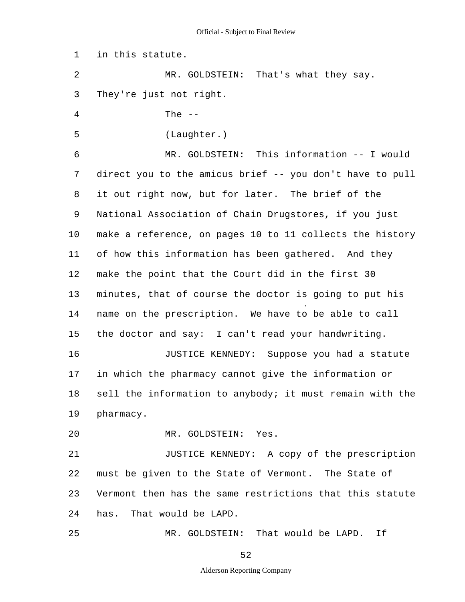1 2 3 4 5 6 7 8 9 10 11 12 13 14 15 16 17 18 19 20 21 22 23 24 25 in this statute. MR. GOLDSTEIN: That's what they say. They're just not right. The  $-$ (Laughter.) MR. GOLDSTEIN: This information -- I would direct you to the amicus brief -- you don't have to pull it out right now, but for later. The brief of the National Association of Chain Drugstores, if you just make a reference, on pages 10 to 11 collects the history of how this information has been gathered. And they make the point that the Court did in the first 30 minutes, that of course the doctor is going to put his name on the prescription. We have to be able to call the doctor and say: I can't read your handwriting. JUSTICE KENNEDY: Suppose you had a statute in which the pharmacy cannot give the information or sell the information to anybody; it must remain with the pharmacy. MR. GOLDSTEIN: Yes. JUSTICE KENNEDY: A copy of the prescription must be given to the State of Vermont. The State of Vermont then has the same restrictions that this statute has. That would be LAPD. MR. GOLDSTEIN: That would be LAPD. If

52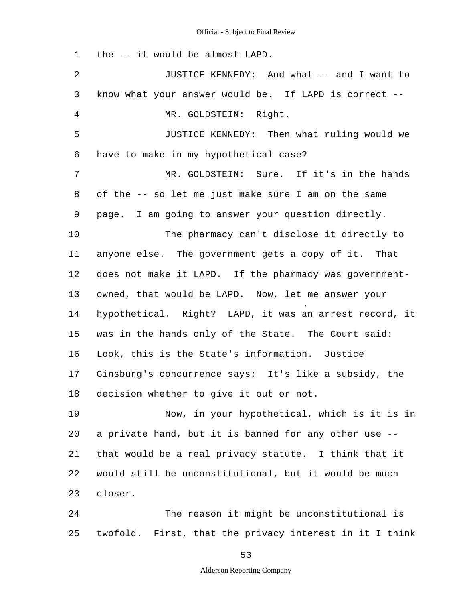1 2 3 4 5 6 7 8 9 10 11 12 13 14 15 16 17 18 19 20 21 22 23 24 25 the -- it would be almost LAPD. JUSTICE KENNEDY: And what -- and I want to know what your answer would be. If LAPD is correct - MR. GOLDSTEIN: Right. JUSTICE KENNEDY: Then what ruling would we have to make in my hypothetical case? MR. GOLDSTEIN: Sure. If it's in the hands of the -- so let me just make sure I am on the same page. I am going to answer your question directly. The pharmacy can't disclose it directly to anyone else. The government gets a copy of it. That does not make it LAPD. If the pharmacy was governmentowned, that would be LAPD. Now, let me answer your hypothetical. Right? LAPD, it was an arrest record, it was in the hands only of the State. The Court said: Look, this is the State's information. Justice Ginsburg's concurrence says: It's like a subsidy, the decision whether to give it out or not. Now, in your hypothetical, which is it is in a private hand, but it is banned for any other use that would be a real privacy statute. I think that it would still be unconstitutional, but it would be much closer. The reason it might be unconstitutional is twofold. First, that the privacy interest in it I think

53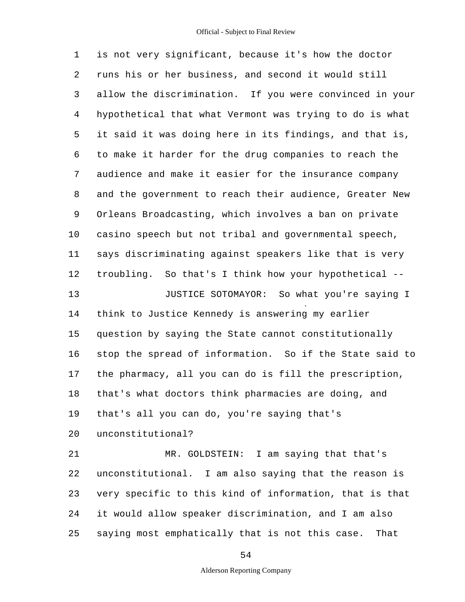1 2 3 4 5 6 7 8 9 10 11 12 13 14 15 16 17 18 19  $20$ 21 22 23 24 25 is not very significant, because it's how the doctor runs his or her business, and second it would still allow the discrimination. If you were convinced in your hypothetical that what Vermont was trying to do is what it said it was doing here in its findings, and that is, to make it harder for the drug companies to reach the audience and make it easier for the insurance company and the government to reach their audience, Greater New Orleans Broadcasting, which involves a ban on private casino speech but not tribal and governmental speech, says discriminating against speakers like that is very troubling. So that's I think how your hypothetical - JUSTICE SOTOMAYOR: So what you're saying I think to Justice Kennedy is answering my earlier question by saying the State cannot constitutionally stop the spread of information. So if the State said to the pharmacy, all you can do is fill the prescription, that's what doctors think pharmacies are doing, and that's all you can do, you're saying that's unconstitutional? MR. GOLDSTEIN: I am saying that that's unconstitutional. I am also saying that the reason is very specific to this kind of information, that is that it would allow speaker discrimination, and I am also saying most emphatically that is not this case. That

54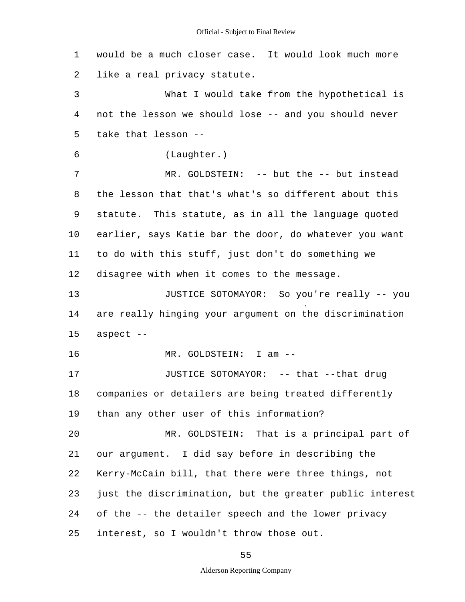1 2 3 4 5 6 7 8 9 10 11 12 13 14 15 16 17 18 19  $20$ 21 22 23 24 25 would be a much closer case. It would look much more like a real privacy statute. What I would take from the hypothetical is not the lesson we should lose -- and you should never take that lesson - (Laughter.) MR. GOLDSTEIN: -- but the -- but instead the lesson that that's what's so different about this statute. This statute, as in all the language quoted earlier, says Katie bar the door, do whatever you want to do with this stuff, just don't do something we disagree with when it comes to the message. JUSTICE SOTOMAYOR: So you're really -- you are really hinging your argument on the discrimination aspect  $--$ MR. GOLDSTEIN: I am --JUSTICE SOTOMAYOR: -- that --that drug companies or detailers are being treated differently than any other user of this information? MR. GOLDSTEIN: That is a principal part of our argument. I did say before in describing the Kerry-McCain bill, that there were three things, not just the discrimination, but the greater public interest of the -- the detailer speech and the lower privacy interest, so I wouldn't throw those out.

55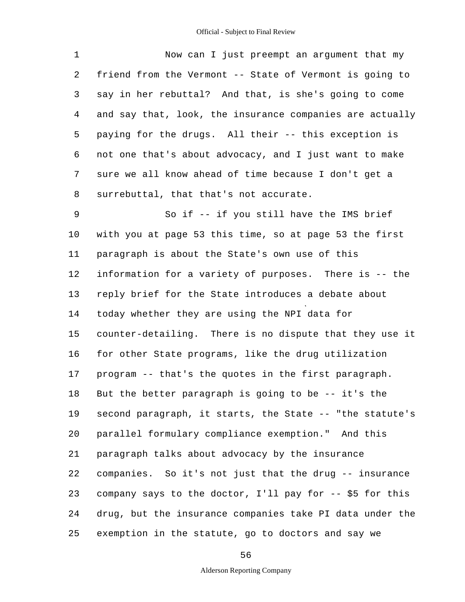| 1  | Now can I just preempt an argument that my               |
|----|----------------------------------------------------------|
| 2  | friend from the Vermont -- State of Vermont is going to  |
| 3  | say in her rebuttal? And that, is she's going to come    |
| 4  | and say that, look, the insurance companies are actually |
| 5  | paying for the drugs. All their -- this exception is     |
| 6  | not one that's about advocacy, and I just want to make   |
| 7  | sure we all know ahead of time because I don't get a     |
| 8  | surrebuttal, that that's not accurate.                   |
| 9  | So if -- if you still have the IMS brief                 |
| 10 | with you at page 53 this time, so at page 53 the first   |
| 11 | paragraph is about the State's own use of this           |
| 12 | information for a variety of purposes. There is -- the   |
| 13 | reply brief for the State introduces a debate about      |
| 14 | today whether they are using the NPI data for            |
| 15 | counter-detailing. There is no dispute that they use it  |
| 16 | for other State programs, like the drug utilization      |
| 17 | program -- that's the quotes in the first paragraph.     |
| 18 | But the better paragraph is going to be -- it's the      |
| 19 | second paragraph, it starts, the State -- "the statute's |
| 20 | parallel formulary compliance exemption." And this       |
| 21 | paragraph talks about advocacy by the insurance          |
| 22 | companies. So it's not just that the drug -- insurance   |
| 23 | company says to the doctor, I'll pay for -- \$5 for this |
| 24 | drug, but the insurance companies take PI data under the |
| 25 | exemption in the statute, go to doctors and say we       |

56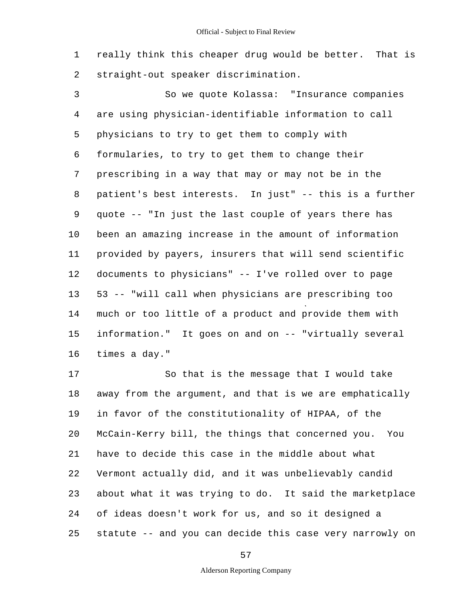1 2 really think this cheaper drug would be better. That is straight-out speaker discrimination.

3 4 5 6 7 8 9 10 11 12 13 14 15 16 So we quote Kolassa: "Insurance companies are using physician-identifiable information to call physicians to try to get them to comply with formularies, to try to get them to change their prescribing in a way that may or may not be in the patient's best interests. In just" -- this is a further quote -- "In just the last couple of years there has been an amazing increase in the amount of information provided by payers, insurers that will send scientific documents to physicians" -- I've rolled over to page 53 -- "will call when physicians are prescribing too much or too little of a product and provide them with information." It goes on and on -- "virtually several times a day."

17 18 19 20 21 22 23 24 25 So that is the message that I would take away from the argument, and that is we are emphatically in favor of the constitutionality of HIPAA, of the McCain-Kerry bill, the things that concerned you. You have to decide this case in the middle about what Vermont actually did, and it was unbelievably candid about what it was trying to do. It said the marketplace of ideas doesn't work for us, and so it designed a statute -- and you can decide this case very narrowly on

57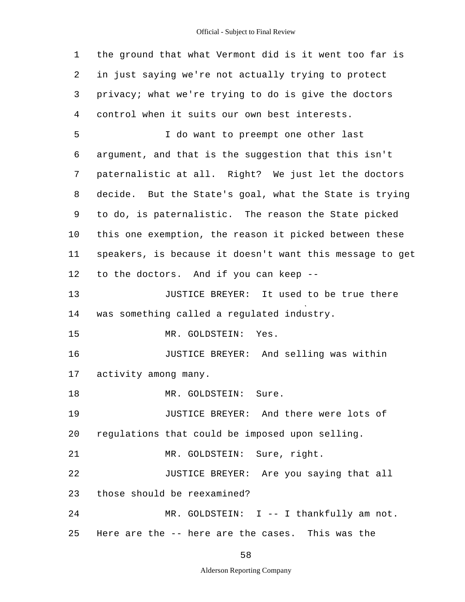| $\mathbf{1}$   | the ground that what Vermont did is it went too far is   |  |  |  |  |  |  |
|----------------|----------------------------------------------------------|--|--|--|--|--|--|
| 2              | in just saying we're not actually trying to protect      |  |  |  |  |  |  |
| 3              | privacy; what we're trying to do is give the doctors     |  |  |  |  |  |  |
| $\overline{4}$ | control when it suits our own best interests.            |  |  |  |  |  |  |
| 5              | I do want to preempt one other last                      |  |  |  |  |  |  |
| 6              | argument, and that is the suggestion that this isn't     |  |  |  |  |  |  |
| 7              | paternalistic at all. Right? We just let the doctors     |  |  |  |  |  |  |
| 8              | decide. But the State's goal, what the State is trying   |  |  |  |  |  |  |
| 9              | to do, is paternalistic. The reason the State picked     |  |  |  |  |  |  |
| 10             | this one exemption, the reason it picked between these   |  |  |  |  |  |  |
| 11             | speakers, is because it doesn't want this message to get |  |  |  |  |  |  |
| 12             | to the doctors. And if you can keep --                   |  |  |  |  |  |  |
| 13             | JUSTICE BREYER: It used to be true there                 |  |  |  |  |  |  |
| 14             | was something called a regulated industry.               |  |  |  |  |  |  |
| 15             | Yes.<br>MR. GOLDSTEIN:                                   |  |  |  |  |  |  |
| 16             | JUSTICE BREYER: And selling was within                   |  |  |  |  |  |  |
| 17             | activity among many.                                     |  |  |  |  |  |  |
| 18             | MR. GOLDSTEIN:<br>Sure.                                  |  |  |  |  |  |  |
| 19             | JUSTICE BREYER: And there were lots of                   |  |  |  |  |  |  |
| 20             | regulations that could be imposed upon selling.          |  |  |  |  |  |  |
| 21             | MR. GOLDSTEIN: Sure, right.                              |  |  |  |  |  |  |
| 22             | JUSTICE BREYER: Are you saying that all                  |  |  |  |  |  |  |
| 23             | those should be reexamined?                              |  |  |  |  |  |  |
| 24             | MR. GOLDSTEIN: I -- I thankfully am not.                 |  |  |  |  |  |  |
| 25             | Here are the -- here are the cases. This was the         |  |  |  |  |  |  |

58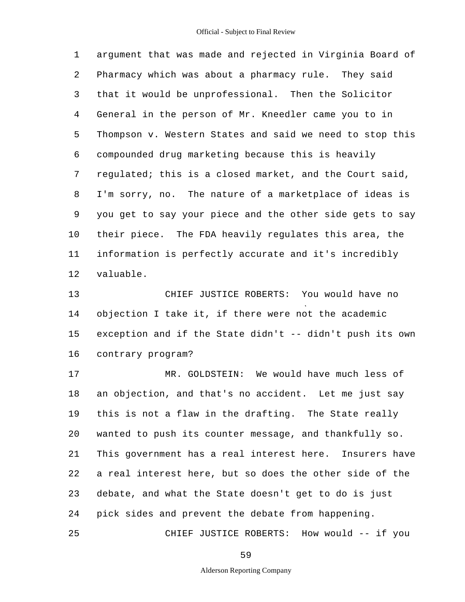1 2 3 4 5 6 7 8 9 10 11 12 argument that was made and rejected in Virginia Board of Pharmacy which was about a pharmacy rule. They said that it would be unprofessional. Then the Solicitor General in the person of Mr. Kneedler came you to in Thompson v. Western States and said we need to stop this compounded drug marketing because this is heavily regulated; this is a closed market, and the Court said, I'm sorry, no. The nature of a marketplace of ideas is you get to say your piece and the other side gets to say their piece. The FDA heavily regulates this area, the information is perfectly accurate and it's incredibly valuable.

13 14 15 16 CHIEF JUSTICE ROBERTS: You would have no objection I take it, if there were not the academic exception and if the State didn't -- didn't push its own contrary program?

17 18 19 20 21 22 23 24 25 MR. GOLDSTEIN: We would have much less of an objection, and that's no accident. Let me just say this is not a flaw in the drafting. The State really wanted to push its counter message, and thankfully so. This government has a real interest here. Insurers have a real interest here, but so does the other side of the debate, and what the State doesn't get to do is just pick sides and prevent the debate from happening.

CHIEF JUSTICE ROBERTS: How would -- if you

59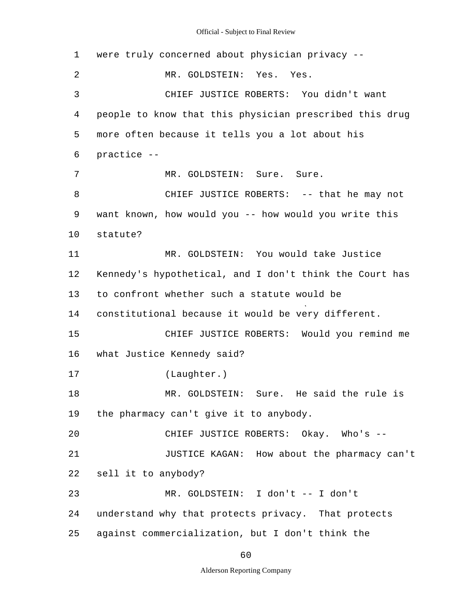1 2 3 4 5 6 7 8 9 10 11 12 13 14 15 16 17 18 19 20 21 22 23 24 25 were truly concerned about physician privacy - MR. GOLDSTEIN: Yes. Yes. CHIEF JUSTICE ROBERTS: You didn't want people to know that this physician prescribed this drug more often because it tells you a lot about his practice - MR. GOLDSTEIN: Sure. Sure. CHIEF JUSTICE ROBERTS: -- that he may not want known, how would you -- how would you write this statute? MR. GOLDSTEIN: You would take Justice Kennedy's hypothetical, and I don't think the Court has to confront whether such a statute would be constitutional because it would be very different. CHIEF JUSTICE ROBERTS: Would you remind me what Justice Kennedy said? (Laughter.) MR. GOLDSTEIN: Sure. He said the rule is the pharmacy can't give it to anybody. CHIEF JUSTICE ROBERTS: Okay. Who's --JUSTICE KAGAN: How about the pharmacy can't sell it to anybody? MR. GOLDSTEIN: I don't -- I don't understand why that protects privacy. That protects against commercialization, but I don't think the

60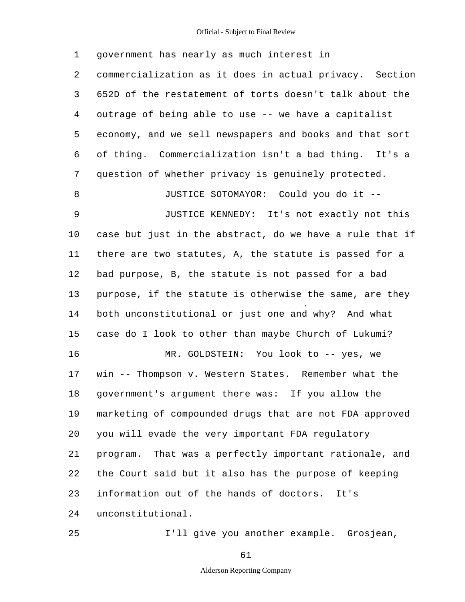1 2 3 4 5 6 7 8 9 10 11 12 13 14 15 16 17 18 19 20 21 22 23 24 25 government has nearly as much interest in commercialization as it does in actual privacy. Section 652D of the restatement of torts doesn't talk about the outrage of being able to use -- we have a capitalist economy, and we sell newspapers and books and that sort of thing. Commercialization isn't a bad thing. It's a question of whether privacy is genuinely protected. JUSTICE SOTOMAYOR: Could you do it - JUSTICE KENNEDY: It's not exactly not this case but just in the abstract, do we have a rule that if there are two statutes, A, the statute is passed for a bad purpose, B, the statute is not passed for a bad purpose, if the statute is otherwise the same, are they both unconstitutional or just one and why? And what case do I look to other than maybe Church of Lukumi? MR. GOLDSTEIN: You look to -- yes, we win -- Thompson v. Western States. Remember what the government's argument there was: If you allow the marketing of compounded drugs that are not FDA approved you will evade the very important FDA regulatory program. That was a perfectly important rationale, and the Court said but it also has the purpose of keeping information out of the hands of doctors. It's unconstitutional. I'll give you another example. Grosjean,

### 61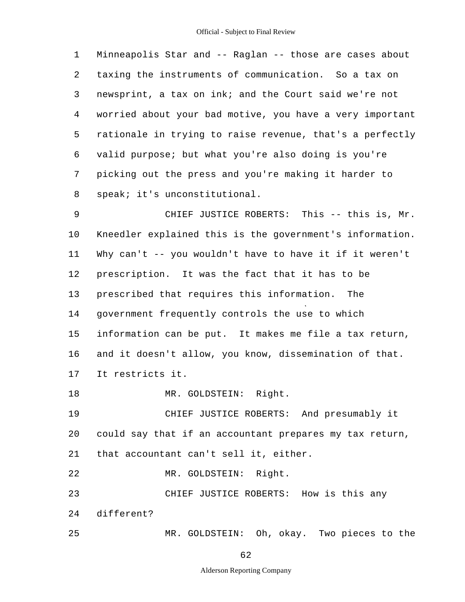1 2 3 4 5 6 7 8 Minneapolis Star and -- Raglan -- those are cases about taxing the instruments of communication. So a tax on newsprint, a tax on ink; and the Court said we're not worried about your bad motive, you have a very important rationale in trying to raise revenue, that's a perfectly valid purpose; but what you're also doing is you're picking out the press and you're making it harder to speak; it's unconstitutional.

9 10 11 12 13 14 15 16 17 CHIEF JUSTICE ROBERTS: This -- this is, Mr. Kneedler explained this is the government's information. Why can't -- you wouldn't have to have it if it weren't prescription. It was the fact that it has to be prescribed that requires this information. The government frequently controls the use to which information can be put. It makes me file a tax return, and it doesn't allow, you know, dissemination of that. It restricts it.

18 MR. GOLDSTEIN: Right.

19 20 21 CHIEF JUSTICE ROBERTS: And presumably it could say that if an accountant prepares my tax return, that accountant can't sell it, either.

22 MR. GOLDSTEIN: Right.

23 24 CHIEF JUSTICE ROBERTS: How is this any different?

25 MR. GOLDSTEIN: Oh, okay. Two pieces to the

62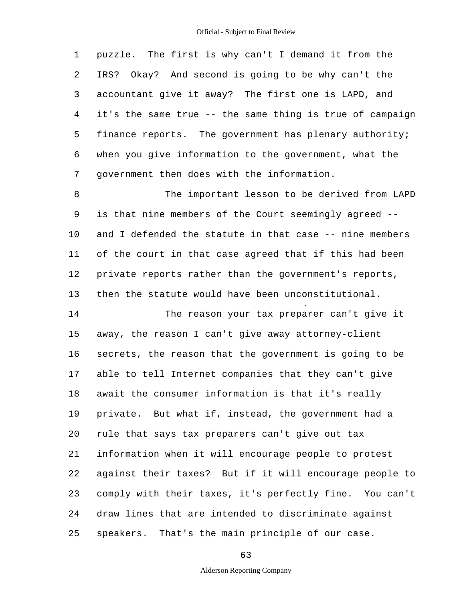1 2 3 4 5 6 7 puzzle. The first is why can't I demand it from the IRS? Okay? And second is going to be why can't the accountant give it away? The first one is LAPD, and it's the same true -- the same thing is true of campaign finance reports. The government has plenary authority; when you give information to the government, what the government then does with the information.

8 9 10 11 12 13 The important lesson to be derived from LAPD is that nine members of the Court seemingly agreed and I defended the statute in that case -- nine members of the court in that case agreed that if this had been private reports rather than the government's reports, then the statute would have been unconstitutional.

14 15 16 17 18 19 20 21 22 23 24 25 The reason your tax preparer can't give it away, the reason I can't give away attorney-client secrets, the reason that the government is going to be able to tell Internet companies that they can't give await the consumer information is that it's really private. But what if, instead, the government had a rule that says tax preparers can't give out tax information when it will encourage people to protest against their taxes? But if it will encourage people to comply with their taxes, it's perfectly fine. You can't draw lines that are intended to discriminate against speakers. That's the main principle of our case.

63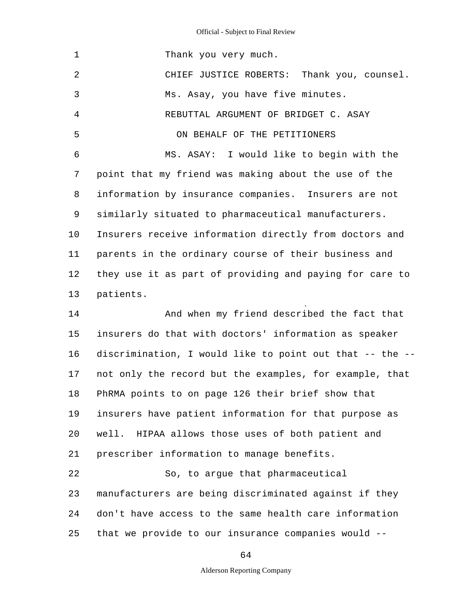| 1  | Thank you very much.                                     |
|----|----------------------------------------------------------|
| 2  | CHIEF JUSTICE ROBERTS: Thank you, counsel.               |
| 3  | Ms. Asay, you have five minutes.                         |
| 4  | REBUTTAL ARGUMENT OF BRIDGET C. ASAY                     |
| 5  | ON BEHALF OF THE PETITIONERS                             |
| 6  | MS. ASAY: I would like to begin with the                 |
| 7  | point that my friend was making about the use of the     |
| 8  | information by insurance companies. Insurers are not     |
| 9  | similarly situated to pharmaceutical manufacturers.      |
| 10 | Insurers receive information directly from doctors and   |
| 11 | parents in the ordinary course of their business and     |
| 12 | they use it as part of providing and paying for care to  |
| 13 | patients.                                                |
| 14 | And when my friend described the fact that               |
| 15 | insurers do that with doctors' information as speaker    |
| 16 | discrimination, I would like to point out that -- the -- |
| 17 | not only the record but the examples, for example, that  |
| 18 | PhRMA points to on page 126 their brief show that        |
| 19 | insurers have patient information for that purpose as    |
| 20 | well. HIPAA allows those uses of both patient and        |
| 21 | prescriber information to manage benefits.               |
| 22 | So, to argue that pharmaceutical                         |
| 23 | manufacturers are being discriminated against if they    |
| 24 | don't have access to the same health care information    |
| 25 | that we provide to our insurance companies would --      |
|    |                                                          |

64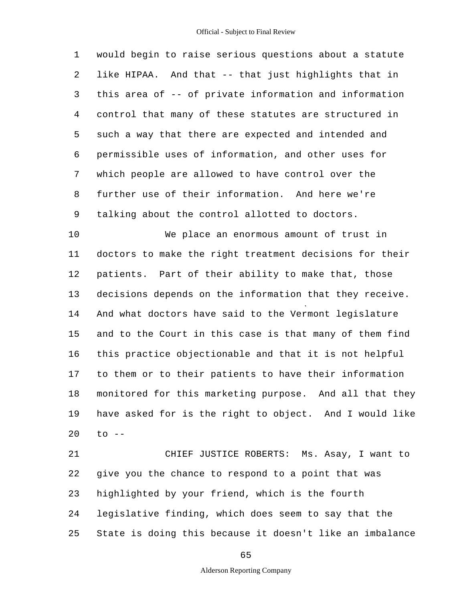1 2 3 4 5 6 7 8 9 would begin to raise serious questions about a statute like HIPAA. And that -- that just highlights that in this area of -- of private information and information control that many of these statutes are structured in such a way that there are expected and intended and permissible uses of information, and other uses for which people are allowed to have control over the further use of their information. And here we're talking about the control allotted to doctors.

10 11 12 13 14 15 16 17 18 19 20 We place an enormous amount of trust in doctors to make the right treatment decisions for their patients. Part of their ability to make that, those decisions depends on the information that they receive. And what doctors have said to the Vermont legislature and to the Court in this case is that many of them find this practice objectionable and that it is not helpful to them or to their patients to have their information monitored for this marketing purpose. And all that they have asked for is the right to object. And I would like  $to$   $--$ 

21 22 23 24 25 CHIEF JUSTICE ROBERTS: Ms. Asay, I want to give you the chance to respond to a point that was highlighted by your friend, which is the fourth legislative finding, which does seem to say that the State is doing this because it doesn't like an imbalance

65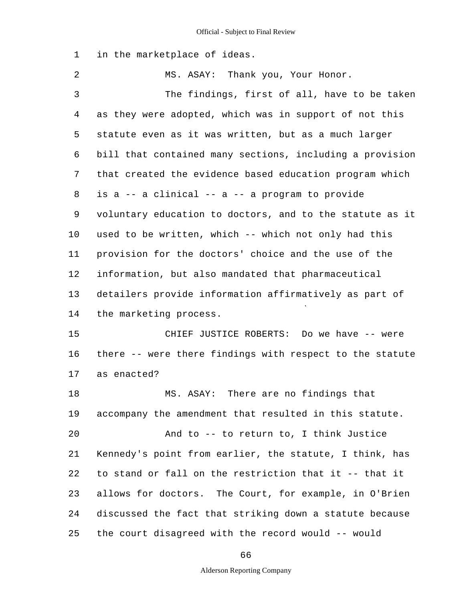1 in the marketplace of ideas.

2 3 4 5 6 7 8 9 10 11 12 13 14 15 16 17 18 19 20 21 22 23 24 25 MS. ASAY: Thank you, Your Honor. The findings, first of all, have to be taken as they were adopted, which was in support of not this statute even as it was written, but as a much larger bill that contained many sections, including a provision that created the evidence based education program which is a -- a clinical -- a -- a program to provide voluntary education to doctors, and to the statute as it used to be written, which -- which not only had this provision for the doctors' choice and the use of the information, but also mandated that pharmaceutical detailers provide information affirmatively as part of the marketing process. CHIEF JUSTICE ROBERTS: Do we have -- were there -- were there findings with respect to the statute as enacted? MS. ASAY: There are no findings that accompany the amendment that resulted in this statute. And to -- to return to, I think Justice Kennedy's point from earlier, the statute, I think, has to stand or fall on the restriction that it -- that it allows for doctors. The Court, for example, in O'Brien discussed the fact that striking down a statute because the court disagreed with the record would -- would

66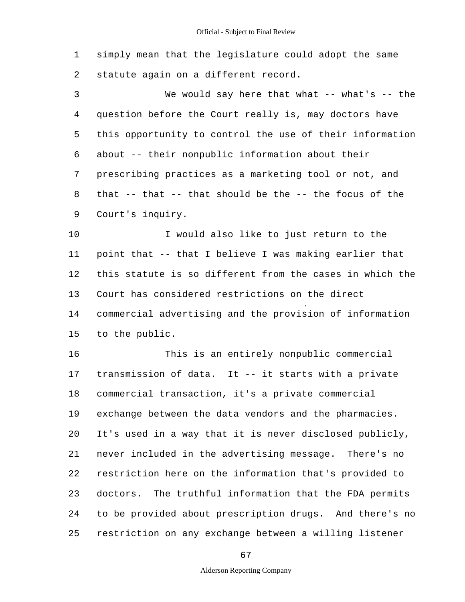1 2 simply mean that the legislature could adopt the same statute again on a different record.

3 4 5 6 7 8 9 We would say here that what  $-$ - what's  $-$ - the question before the Court really is, may doctors have this opportunity to control the use of their information about -- their nonpublic information about their prescribing practices as a marketing tool or not, and that -- that -- that should be the -- the focus of the Court's inquiry.

10 11 12 13 14 15 I would also like to just return to the point that -- that I believe I was making earlier that this statute is so different from the cases in which the Court has considered restrictions on the direct commercial advertising and the provision of information to the public.

16 17 18 19 20 21 22 23 24 25 This is an entirely nonpublic commercial transmission of data. It -- it starts with a private commercial transaction, it's a private commercial exchange between the data vendors and the pharmacies. It's used in a way that it is never disclosed publicly, never included in the advertising message. There's no restriction here on the information that's provided to doctors. The truthful information that the FDA permits to be provided about prescription drugs. And there's no restriction on any exchange between a willing listener

67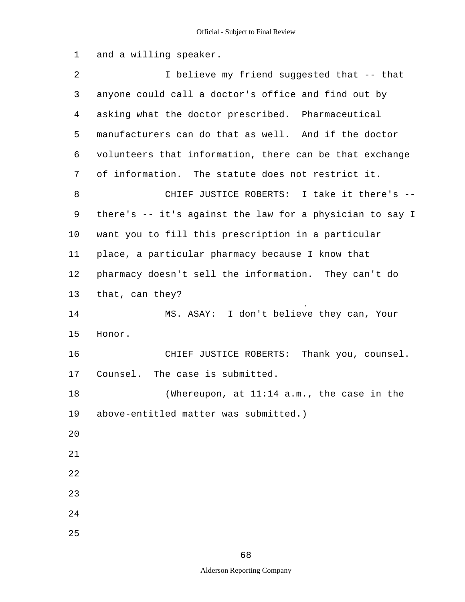1 and a willing speaker.

| 2       | I believe my friend suggested that -- that               |
|---------|----------------------------------------------------------|
| 3       | anyone could call a doctor's office and find out by      |
| 4       | asking what the doctor prescribed. Pharmaceutical        |
| 5       | manufacturers can do that as well. And if the doctor     |
| 6       | volunteers that information, there can be that exchange  |
| 7       | of information. The statute does not restrict it.        |
| 8       | CHIEF JUSTICE ROBERTS: I take it there's --              |
| 9       | there's -- it's against the law for a physician to say I |
| $10 \,$ | want you to fill this prescription in a particular       |
| 11      | place, a particular pharmacy because I know that         |
| 12      | pharmacy doesn't sell the information. They can't do     |
| 13      | that, can they?                                          |
| 14      | MS. ASAY: I don't believe they can, Your                 |
| 15      | Honor.                                                   |
| 16      | CHIEF JUSTICE ROBERTS: Thank you, counsel.               |
| 17      | The case is submitted.<br>Counsel.                       |
| 18      | (Whereupon, at $11:14$ a.m., the case in the             |
| 19      | above-entitled matter was submitted.)                    |
| 20      |                                                          |
| 21      |                                                          |
| 22      |                                                          |
| 23      |                                                          |
| 24      |                                                          |
| 25      |                                                          |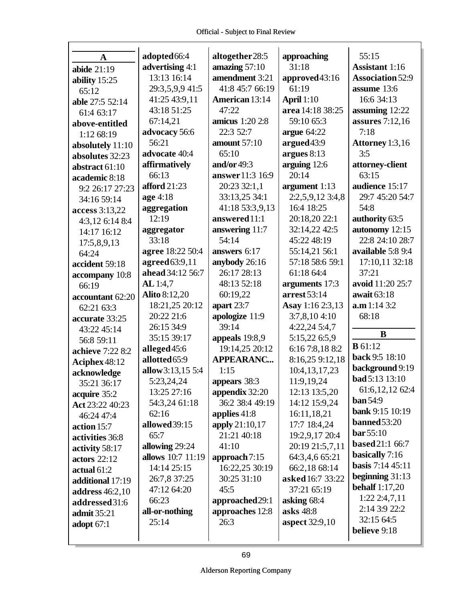| A                | adopted 66:4         | altogether28:5        | approaching           | 55:15                   |
|------------------|----------------------|-----------------------|-----------------------|-------------------------|
| abide $21:19$    | advertising 4:1      | amazing $57:10$       | 31:18                 | <b>Assistant</b> 1:16   |
| ability $15:25$  | 13:13 16:14          | amendment 3:21        | approved43:16         | <b>Association 52:9</b> |
| 65:12            | 29:3,5,9,9 41:5      | 41:8 45:7 66:19       | 61:19                 | assume 13:6             |
| able 27:5 52:14  | 41:25 43:9,11        | <b>American 13:14</b> | <b>April</b> 1:10     | 16:6 34:13              |
| 61:4 63:17       | 43:18 51:25          | 47:22                 | area 14:18 38:25      | assuming 12:22          |
| above-entitled   | 67:14,21             | amicus 1:20 2:8       | 59:10 65:3            | assures $7:12,16$       |
| 1:12 68:19       | advocacy 56:6        | 22:3 52:7             | argue $64:22$         | 7:18                    |
| absolutely 11:10 | 56:21                | <b>amount</b> 57:10   | argued 43:9           | Attorney 1:3,16         |
| absolutes 32:23  | advocate 40:4        | 65:10                 | argues $8:13$         | 3:5                     |
| abstract 61:10   | affirmatively        | and/or $49:3$         | arguing 12:6          | attorney-client         |
| academic 8:18    | 66:13                | answer 11:3 16:9      | 20:14                 | 63:15                   |
| 9:2 26:17 27:23  | afford $21:23$       | 20:23 32:1,1          | argument 1:13         | audience 15:17          |
| 34:16 59:14      | age 4:18             | 33:13,25 34:1         | 2:2,5,9,12 3:4,8      | 29:7 45:20 54:7         |
| access 3:13,22   | aggregation          | 41:18 53:3,9,13       | 16:4 18:25            | 54:8                    |
| 4:3,12 6:14 8:4  | 12:19                | answered 11:1         | 20:18,20 22:1         | authority 63:5          |
| 14:17 16:12      | aggregator           | answering 11:7        | 32:14,22 42:5         | autonomy 12:15          |
| 17:5,8,9,13      | 33:18                | 54:14                 | 45:22 48:19           | 22:8 24:10 28:7         |
| 64:24            | agree 18:22 50:4     | answers 6:17          | 55:14,21 56:1         | available 5:8 9:4       |
| accident 59:18   | agreed 63:9,11       | anybody 26:16         | 57:18 58:6 59:1       | 17:10,11 32:18          |
| accompany 10:8   | ahead 34:12 56:7     | 26:17 28:13           | 61:18 64:4            | 37:21                   |
| 66:19            | AL 1:4,7             | 48:13 52:18           | arguments 17:3        | avoid 11:20 25:7        |
| accountant 62:20 | <b>Alito 8:12,20</b> | 60:19,22              | arrest 53:14          | await 63:18             |
| 62:21 63:3       | 18:21,25 20:12       | apart 23:7            | Asay 1:16 2:3,13      | a.m 1:14 3:2            |
| accurate 33:25   | 20:22 21:6           | apologize 11:9        | 3:7,8,104:10          | 68:18                   |
| 43:22 45:14      | 26:15 34:9           | 39:14                 | 4:22,24 5:4,7         | B                       |
| 56:8 59:11       | 35:15 39:17          | appeals 19:8,9        | 5:15,22 6:5,9         | <b>B</b> 61:12          |
| achieve 7:22 8:2 | alleged 45:6         | 19:14,25 20:12        | 6:16 7:8,18 8:2       |                         |
| Aciphex 48:12    | allotted 65:9        | <b>APPEARANC</b>      | 8:16,25 9:12,18       | back 9:5 18:10          |
| acknowledge      | allow 3:13,15 5:4    | 1:15                  | 10:4,13,17,23         | background 9:19         |
| 35:21 36:17      | 5:23,24,24           | appears 38:3          | 11:9,19,24            | bad 5:13 13:10          |
| acquire 35:2     | 13:25 27:16          | appendix 32:20        | 12:13 13:5,20         | 61:6,12,12 62:4         |
| Act 23:22 40:23  | 54:3,24 61:18        | 36:2 38:4 49:19       | 14:12 15:9,24         | <b>ban</b> 54:9         |
| 46:24 47:4       | 62:16                | applies 41:8          | 16:11,18,21           | <b>bank</b> 9:15 10:19  |
| action 15:7      | allowed 39:15        | apply 21:10,17        | 17:7 18:4,24          | $banned 53:20$          |
| activities 36:8  | 65:7                 | 21:21 40:18           | 19:2,9,17 20:4        | bar 55:10               |
| activity 58:17   | allowing 29:24       | 41:10                 | 20:19 21:5,7,11       | <b>based</b> 21:1 66:7  |
| actors $22:12$   | allows 10:7 11:19    | approach 7:15         | 64:3,4,6 65:21        | basically 7:16          |
| actual $61:2$    | 14:14 25:15          | 16:22,25 30:19        | 66:2,18 68:14         | <b>basis</b> 7:14 45:11 |
| additional 17:19 | 26:7,8 37:25         | 30:25 31:10           | asked 16:7 33:22      | beginning $31:13$       |
| address 46:2,10  | 47:12 64:20          | 45:5                  | 37:21 65:19           | <b>behalf</b> 1:17,20   |
| addressed31:6    | 66:23                | approached 29:1       | asking 68:4           | 1:222:4,7,11            |
| admit 35:21      | all-or-nothing       | approaches 12:8       | asks 48:8             | 2:14 3:9 22:2           |
| adopt $67:1$     | 25:14                | 26:3                  | <b>aspect</b> 32:9,10 | 32:15 64:5              |
|                  |                      |                       |                       | believe 9:18            |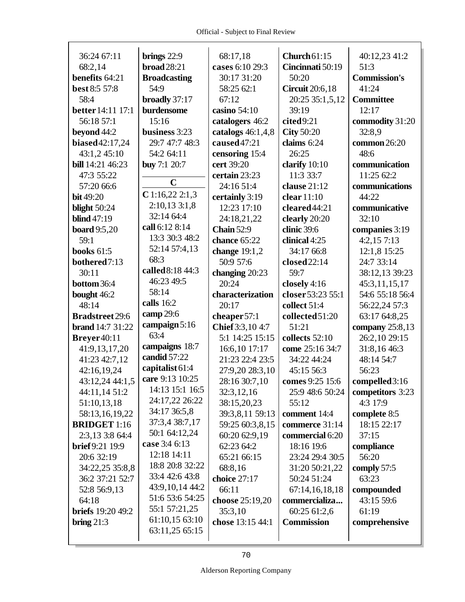$\Gamma$ 

| 36:24 67:11              | brings $22:9$                    | 68:17,18            | Church $61:15$         | 40:12,23 41:2       |
|--------------------------|----------------------------------|---------------------|------------------------|---------------------|
| 68:2,14                  | broad $28:21$                    | cases 6:10 29:3     | Cincinnati 50:19       | 51:3                |
| benefits 64:21           | <b>Broadcasting</b>              | 30:17 31:20         | 50:20                  | <b>Commission's</b> |
| best 8:5 57:8            | 54:9                             | 58:25 62:1          | <b>Circuit</b> 20:6,18 | 41:24               |
| 58:4                     | broadly 37:17                    | 67:12               | 20:25 35:1,5,12        | <b>Committee</b>    |
| <b>better</b> 14:11 17:1 | burdensome                       | casino 54:10        | 39:19                  | 12:17               |
| 56:18 57:1               | 15:16                            | catalogers 46:2     | cited9:21              | commodity 31:20     |
| beyond 44:2              | business 3:23                    | catalogs $46:1,4,8$ | <b>City 50:20</b>      | 32:8.9              |
| biased 42:17,24          | 29:7 47:7 48:3                   | caused 47:21        | claims 6:24            | common 26:20        |
| 43:1,2 45:10             | 54:2 64:11                       | censoring 15:4      | 26:25                  | 48:6                |
| bill 14:21 46:23         | <b>buy</b> 7:1 20:7              | cert 39:20          | clarify 10:10          | communication       |
| 47:3 55:22               |                                  | certain 23:23       | 11:3 33:7              | 11:25 62:2          |
| 57:20 66:6               | $\mathbf C$                      | 24:16 51:4          | clause 21:12           | communications      |
| <b>bit</b> 49:20         | $C$ 1:16,22 2:1,3                | certainly 3:19      | clear $11:10$          | 44:22               |
| blight $50:24$           | $2:10,13$ $3:1,8$                | 12:23 17:10         | cleared 44:21          | communicative       |
| <b>blind</b> 47:19       | 32:14 64:4                       | 24:18,21,22         | clearly 20:20          | 32:10               |
| <b>board</b> 9:5,20      | call 6:12 8:14                   | <b>Chain</b> 52:9   | clinic 39:6            | companies 3:19      |
| 59:1                     | 13:3 30:3 48:2                   | chance 65:22        | clinical 4:25          | 4:2,157:13          |
| <b>books</b> 61:5        | 52:14 57:4,13                    | change 19:1,2       | 34:17 66:8             | 12:1,8 15:25        |
| bothered7:13             | 68:3                             | 50:9 57:6           | closed 22:14           | 24:7 33:14          |
| 30:11                    | called 8:18 44:3                 | changing 20:23      | 59:7                   | 38:12,13 39:23      |
| bottom 36:4              | 46:23 49:5                       | 20:24               | closely 4:16           | 45:3,11,15,17       |
| bought 46:2              | 58:14                            | characterization    | closer 53:23 55:1      | 54:6 55:18 56:4     |
| 48:14                    | calls 16:2                       | 20:17               | collect 51:4           | 56:22,24 57:3       |
| <b>Bradstreet 29:6</b>   | camp 29:6                        | cheaper 57:1        | collected 51:20        | 63:17 64:8,25       |
| <b>brand</b> 14:7 31:22  | campaign 5:16                    | Chief 3:3,10 4:7    | 51:21                  | company $25:8,13$   |
| Breyer40:11              | 63:4                             | 5:1 14:25 15:15     | collects 52:10         | 26:2,10 29:15       |
|                          |                                  |                     |                        |                     |
| 41:9,13,17,20            | campaigns 18:7                   | 16:6,10 17:17       | come 25:16 34:7        | 31:8,16 46:3        |
| 41:23 42:7,12            | candid 57:22                     | 21:23 22:4 23:5     | 34:22 44:24            | 48:14 54:7          |
| 42:16,19,24              | capitalist 61:4                  | 27:9,20 28:3,10     | 45:15 56:3             | 56:23               |
| 43:12,24 44:1,5          | care 9:13 10:25                  | 28:16 30:7,10       | comes 9:25 15:6        | compelled 3:16      |
| 44:11,14 51:2            | 14:13 15:1 16:5                  | 32:3,12,16          | 25:9 48:6 50:24        | competitors 3:23    |
| 51:10,13,18              | 24:17,22 26:22                   | 38:15,20,23         | 55:12                  | 4:3 17:9            |
| 58:13,16,19,22           | 34:17 36:5,8                     | 39:3,8,11 59:13     | comment 14:4           | complete 8:5        |
| <b>BRIDGET</b> 1:16      | 37:3,4 38:7,17                   | 59:25 60:3,8,15     | commerce 31:14         | 18:15 22:17         |
| 2:3,13 3:8 64:4          | 50:1 64:12,24                    | 60:20 62:9,19       | commercial 6:20        | 37:15               |
| <b>brief</b> 9:21 19:9   | case 3:4 6:13                    | 62:23 64:2          | 18:16 19:6             | compliance          |
| 20:6 32:19               | 12:18 14:11                      | 65:21 66:15         | 23:24 29:4 30:5        | 56:20               |
| 34:22,25 35:8,8          | 18:8 20:8 32:22                  | 68:8,16             | 31:20 50:21,22         | comply 57:5         |
| 36:2 37:21 52:7          | 33:4 42:6 43:8                   | choice 27:17        | 50:24 51:24            | 63:23               |
| 52:8 56:9,13             | 43:9,10,14 44:2                  | 66:11               | 67:14,16,18,18         | compounded          |
| 64:18                    | 51:6 53:6 54:25                  | choose 25:19,20     | commercializa          | 43:15 59:6          |
| <b>briefs</b> 19:20 49:2 | 55:1 57:21,25                    | 35:3,10             | 60:25 61:2,6           | 61:19               |
| bring $21:3$             | 61:10,15 63:10<br>63:11,25 65:15 | chose 13:15 44:1    | <b>Commission</b>      | comprehensive       |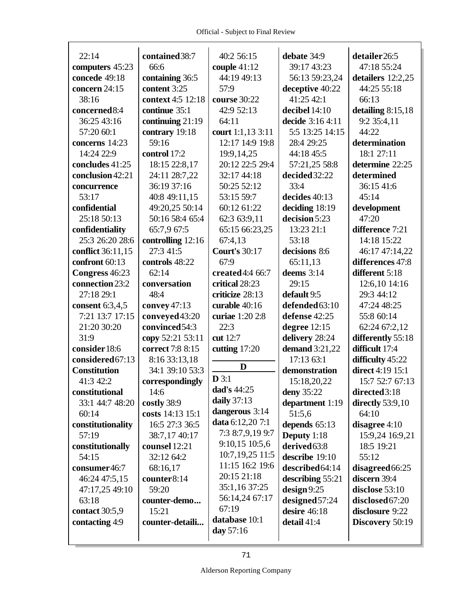| 22:14               | contained 38:7    | 40:2 56:15                           | debate 34:9           | detailer26:5        |
|---------------------|-------------------|--------------------------------------|-----------------------|---------------------|
| computers 45:23     | 66:6              | couple $41:12$                       | 39:17 43:23           | 47:18 55:24         |
| concede 49:18       | containing 36:5   | 44:19 49:13                          | 56:13 59:23,24        | detailers 12:2,25   |
| concern 24:15       | content 3:25      | 57:9                                 | deceptive 40:22       | 44:25 55:18         |
| 38:16               | context 4:5 12:18 | course 30:22                         | 41:25 42:1            | 66:13               |
| concerned 8:4       | continue 35:1     | 42:9 52:13                           | decibel 14:10         | detailing $8:15,18$ |
| 36:25 43:16         | continuing 21:19  | 64:11                                | decide 3:16 4:11      | 9:2 35:4,11         |
| 57:20 60:1          | contrary 19:18    | court 1:1,13 3:11                    | 5:5 13:25 14:15       | 44:22               |
| concerns 14:23      | 59:16             | 12:17 14:9 19:8                      | 28:4 29:25            | determination       |
| 14:24 22:9          | control 17:2      | 19:9,14,25                           | 44:18 45:5            | 18:1 27:11          |
| concludes 41:25     | 18:15 22:8,17     | 20:12 22:5 29:4                      | 57:21,25 58:8         | determine 22:25     |
| conclusion 42:21    | 24:11 28:7,22     | 32:17 44:18                          | decided 32:22         | determined          |
| concurrence         | 36:19 37:16       | 50:25 52:12                          | 33:4                  | 36:15 41:6          |
| 53:17               | 40:8 49:11,15     | 53:15 59:7                           | decides 40:13         | 45:14               |
| confidential        | 49:20,25 50:14    | 60:12 61:22                          | deciding 18:19        | development         |
| 25:18 50:13         | 50:16 58:4 65:4   | 62:3 63:9,11                         | decision 5:23         | 47:20               |
| confidentiality     | 65:7,9 67:5       | 65:15 66:23,25                       | 13:23 21:1            | difference 7:21     |
| 25:3 26:20 28:6     | controlling 12:16 | 67:4,13                              | 53:18                 | 14:18 15:22         |
| conflict 36:11,15   | 27:3 41:5         | <b>Court's 30:17</b>                 | decisions 8:6         | 46:17 47:14,22      |
| confront 60:13      | controls 48:22    | 67:9                                 | 65:11,13              | differences 47:8    |
| Congress 46:23      | 62:14             | created 4:4 66:7                     | deems $3:14$          | different 5:18      |
| connection 23:2     | conversation      | critical 28:23                       | 29:15                 | 12:6,10 14:16       |
| 27:18 29:1          | 48:4              | criticize 28:13                      | default 9:5           | 29:3 44:12          |
| consent 6:3,4,5     | convey $47:13$    | curable 40:16                        | defended 63:10        | 47:24 48:25         |
| 7:21 13:7 17:15     | conveyed 43:20    | curiae 1:20 2:8                      | defense 42:25         | 55:8 60:14          |
| 21:20 30:20         | convinced 54:3    | 22:3                                 | degree $12:15$        | 62:24 67:2,12       |
| 31:9                | copy 52:21 53:11  | cut 12:7                             | delivery 28:24        | differently 55:18   |
| consider 18:6       | correct 7:8 8:15  | cutting $17:20$                      | <b>demand</b> 3:21,22 | difficult 17:4      |
| considered 67:13    | 8:16 33:13,18     | D                                    | 17:13 63:1            | difficulty 45:22    |
| <b>Constitution</b> | 34:1 39:10 53:3   |                                      | demonstration         | direct 4:19 15:1    |
| 41:3 42:2           | correspondingly   | $\mathbf{D} 3:1$                     | 15:18,20,22           | 15:7 52:7 67:13     |
| constitutional      | 14:6              | dad's 44:25                          | deny 35:22            | directed3:18        |
| 33:1 44:7 48:20     | costly 38:9       | daily $37:13$                        | department 1:19       | directly $53:9,10$  |
| 60:14               | costs 14:13 15:1  | dangerous 3:14                       | 51:5,6                | 64:10               |
| constitutionality   | 16:5 27:3 36:5    | data 6:12,20 7:1                     | depends 65:13         | disagree $4:10$     |
| 57:19               | 38:7,17 40:17     | 7:3 8:7,9,19 9:7                     | Deputy 1:18           | 15:9,24 16:9,21     |
| constitutionally    | counsel 12:21     | 9:10,15 10:5,6                       | derived 63:8          | 18:5 19:21          |
| 54:15               | 32:12 64:2        | 10:7, 19, 25 11:5<br>11:15 16:2 19:6 | describe 19:10        | 55:12               |
| consumer46:7        | 68:16,17          |                                      | described 64:14       | disagreed 66:25     |
| 46:24 47:5,15       | counter8:14       | 20:15 21:18                          | describing 55:21      | discern 39:4        |
| 47:17,25 49:10      | 59:20             | 35:1,16 37:25                        | design 9:25           | disclose 53:10      |
| 63:18               | counter-demo      | 56:14,24 67:17<br>67:19              | designed 57:24        | disclosed 67:20     |
| contact 30:5,9      | 15:21             | database 10:1                        | desire 46:18          | disclosure 9:22     |
| contacting 4:9      | counter-detaili   |                                      | detail 41:4           | Discovery 50:19     |
|                     |                   | day 57:16                            |                       |                     |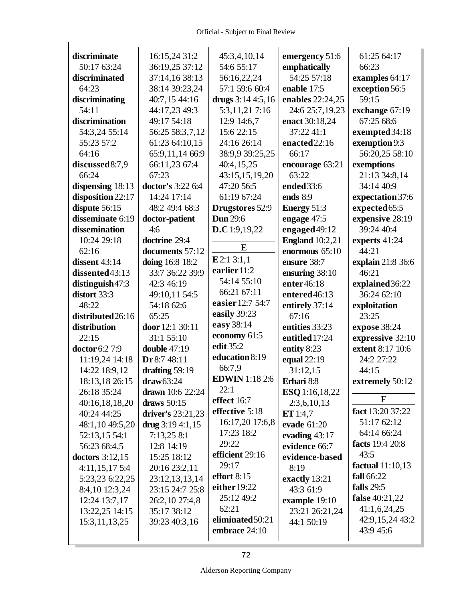$\Gamma$ 

| discriminate          | 16:15,24 31:2       | 45:3,4,10,14           | emergency 51:6         | 61:25 64:17       |
|-----------------------|---------------------|------------------------|------------------------|-------------------|
| 50:17 63:24           | 36:19,25 37:12      | 54:6 55:17             | emphatically           | 66:23             |
| discriminated         | 37:14,16 38:13      | 56:16,22,24            | 54:25 57:18            | examples 64:17    |
| 64:23                 | 38:14 39:23,24      | 57:1 59:6 60:4         | enable 17:5            | exception 56:5    |
| discriminating        | 40:7,15 44:16       | drugs $3:144:5,16$     | enables 22:24,25       | 59:15             |
| 54:11                 | 44:17,23 49:3       | 5:3,11,21 7:16         | 24:6 25:7,19,23        | exchange 67:19    |
| discrimination        | 49:17 54:18         | 12:9 14:6,7            | enact 30:18,24         | 67:25 68:6        |
| 54:3,24 55:14         | 56:25 58:3,7,12     | 15:6 22:15             | 37:22 41:1             | exempted 34:18    |
| 55:23 57:2            | 61:23 64:10,15      | 24:16 26:14            | enacted 22:16          | exemption 9:3     |
| 64:16                 | 65:9,11,14 66:9     | 38:9,9 39:25,25        | 66:17                  | 56:20,25 58:10    |
| discussed 8:7,9       | 66:11,23 67:4       | 40:4,15,25             | encourage 63:21        | exemptions        |
| 66:24                 | 67:23               | 43:15,15,19,20         | 63:22                  | 21:13 34:8,14     |
| dispensing 18:13      | doctor's 3:22 6:4   | 47:20 56:5             | ended 33:6             | 34:14 40:9        |
| disposition 22:17     | 14:24 17:14         | 61:19 67:24            | ends 8:9               | expectation 37:6  |
| dispute 56:15         | 48:2 49:4 68:3      | <b>Drugstores</b> 52:9 | Energy 51:3            | expected 65:5     |
| disseminate 6:19      | doctor-patient      | <b>Dun</b> 29:6        | engage 47:5            | expensive 28:19   |
| dissemination         | 4:6                 | D.C 1:9,19,22          | engaged 49:12          | 39:24 40:4        |
| 10:24 29:18           | doctrine 29:4       |                        | <b>England</b> 10:2,21 | experts 41:24     |
| 62:16                 | documents 57:12     | E                      | enormous 65:10         | 44:21             |
| dissent $43:14$       | doing 16:8 18:2     | E2:13:1,1              | ensure 38:7            | explain 21:8 36:6 |
| dissented43:13        | 33:7 36:22 39:9     | earlier 11:2           | ensuring 38:10         | 46:21             |
| distinguish47:3       | 42:3 46:19          | 54:14 55:10            | enter46:18             | explained 36:22   |
| distort 33:3          | 49:10,11 54:5       | 66:21 67:11            | entered46:13           | 36:24 62:10       |
| 48:22                 | 54:18 62:6          | easier 12:7 54:7       | entirely 37:14         | exploitation      |
| distributed 26:16     | 65:25               | easily 39:23           | 67:16                  | 23:25             |
| distribution          | door 12:1 30:11     | easy 38:14             | entities 33:23         | expose 38:24      |
| 22:15                 | 31:1 55:10          | economy 61:5           | entitled 17:24         | expressive 32:10  |
| <b>doctor</b> 6:2 7:9 | <b>double</b> 47:19 | edit 35:2              | entity 8:23            | extent 8:17 10:6  |
| 11:19,24 14:18        | Dr 8:7 48:11        | education 8:19         | equal 22:19            | 24:2 27:22        |
| 14:22 18:9,12         | drafting 59:19      | 66:7,9                 | 31:12,15               | 44:15             |
| 18:13,18 26:15        | draw63:24           | <b>EDWIN</b> 1:18 2:6  | Erhari 8:8             | extremely 50:12   |
| 26:18 35:24           | drawn 10:6 22:24    | 22:1                   | ESQ 1:16,18,22         |                   |
| 40:16,18,18,20        | draws $50:15$       | effect 16:7            | 2:3,6,10,13            | F                 |
| 40:24 44:25           | driver's 23:21,23   | effective 5:18         | ET 1:4,7               | fact 13:20 37:22  |
| 48:1,10 49:5,20       | drug $3:194:1,15$   | 16:17,20 17:6,8        | evade 61:20            | 51:17 62:12       |
| 52:13,15 54:1         | 7:13,25 8:1         | 17:23 18:2             | evading 43:17          | 64:14 66:24       |
| 56:23 68:4,5          | 12:8 14:19          | 29:22                  | evidence 66:7          | facts 19:4 20:8   |
| doctors 3:12,15       | 15:25 18:12         | efficient 29:16        | evidence-based         | 43:5              |
| 4:11,15,175:4         | 20:16 23:2,11       | 29:17                  | 8:19                   | factual 11:10,13  |
| 5:23,23 6:22,25       | 23:12,13,13,14      | effort 8:15            | exactly 13:21          | fall 66:22        |
| 8:4,10 12:3,24        | 23:15 24:7 25:8     | either 19:22           | 43:3 61:9              | falls $29:5$      |
| 12:24 13:7,17         | 26:2,10 27:4,8      | 25:12 49:2             | example 19:10          | false 40:21,22    |
| 13:22,25 14:15        | 35:17 38:12         | 62:21                  | 23:21 26:21,24         | 41:1,6,24,25      |
| 15:3, 11, 13, 25      | 39:23 40:3,16       | eliminated 50:21       | 44:1 50:19             | 42:9,15,24 43:2   |
|                       |                     | embrace 24:10          |                        | 43:9 45:6         |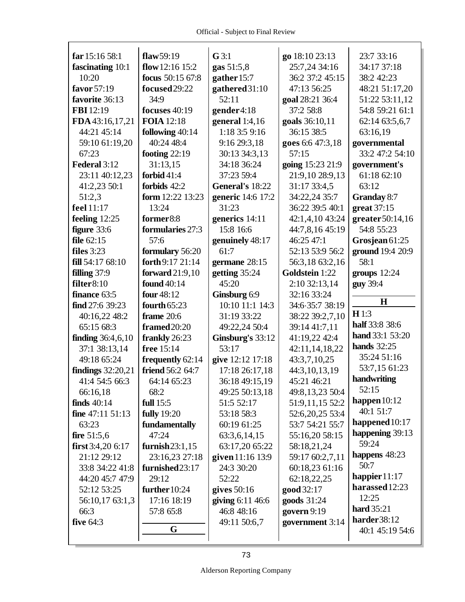| far 15:16 58:1      | flaw $59:19$       | $G$ 3:1           | go 18:10 23:13   | 23:7 33:16         |
|---------------------|--------------------|-------------------|------------------|--------------------|
| fascinating 10:1    | flow 12:16 15:2    | gas 51:5,8        | 25:7,24 34:16    | 34:17 37:18        |
| 10:20               | focus 50:15 67:8   | gather 15:7       | 36:2 37:2 45:15  | 38:2 42:23         |
| favor 57:19         | focused 29:22      | gathered 31:10    | 47:13 56:25      | 48:21 51:17,20     |
| favorite 36:13      | 34:9               | 52:11             | goal 28:21 36:4  | 51:22 53:11,12     |
| FBI 12:19           | focuses 40:19      | gender4:18        | 37:2 58:8        | 54:8 59:21 61:1    |
| FDA 43:16,17,21     | <b>FOIA</b> 12:18  | general 1:4,16    | goals 36:10,11   | 62:14 63:5,6,7     |
| 44:21 45:14         | following 40:14    | 1:18 3:5 9:16     | 36:15 38:5       | 63:16,19           |
| 59:10 61:19,20      | 40:24 48:4         | 9:16 29:3,18      | goes 6:6 47:3,18 | governmental       |
| 67:23               | footing $22:19$    | 30:13 34:3,13     | 57:15            | 33:2 47:2 54:10    |
| Federal 3:12        | 31:13,15           | 34:18 36:24       | going 15:23 21:9 | government's       |
| 23:11 40:12,23      | forbid $41:4$      | 37:23 59:4        | 21:9,10 28:9,13  | 61:18 62:10        |
| 41:2,23 50:1        | forbids 42:2       | General's 18:22   | 31:17 33:4,5     | 63:12              |
| 51:2,3              | form 12:22 13:23   | generic 14:6 17:2 | 34:22,24 35:7    | <b>Granday 8:7</b> |
| feel 11:17          | 13:24              | 31:23             | 36:22 39:5 40:1  | great 37:15        |
| feeling $12:25$     | former8:8          | generics 14:11    | 42:1,4,10 43:24  | greater 50:14,16   |
| figure 33:6         | formularies 27:3   | 15:8 16:6         | 44:7,8,16 45:19  | 54:8 55:23         |
| file $62:15$        | 57:6               | genuinely 48:17   | 46:25 47:1       | Grosjean 61:25     |
| files $3:23$        | formulary 56:20    | 61:7              | 52:13 53:9 56:2  | ground 19:4 20:9   |
| fill $54:1768:10$   | forth 9:17 21:14   | germane 28:15     | 56:3,18 63:2,16  | 58:1               |
| filling $37:9$      | forward $21:9,10$  | getting 35:24     | Goldstein 1:22   | groups $12:24$     |
| filter 8:10         | found 40:14        | 45:20             | 2:10 32:13,14    | guy 39:4           |
| finance 63:5        | four 48:12         | Ginsburg 6:9      | 32:16 33:24      |                    |
| find 27:6 39:23     | fourth $65:23$     | 10:10 11:1 14:3   | 34:6 35:7 38:19  | $\mathbf H$        |
| 40:16,22 48:2       | frame 20:6         | 31:19 33:22       | 38:22 39:2,7,10  | H1:3               |
| 65:15 68:3          | framed 20:20       | 49:22,24 50:4     | 39:14 41:7,11    | half 33:8 38:6     |
| finding $36:4,6,10$ | frankly 26:23      | Ginsburg's 33:12  | 41:19,22 42:4    | hand 33:1 53:20    |
| 37:1 38:13,14       | free 15:14         | 53:17             | 42:11,14,18,22   | <b>hands</b> 32:25 |
| 49:18 65:24         | frequently 62:14   | give 12:12 17:18  | 43:3,7,10,25     | 35:24 51:16        |
| findings $32:20,21$ | friend 56:2 64:7   | 17:18 26:17,18    | 44:3,10,13,19    | 53:7,15 61:23      |
| 41:4 54:5 66:3      | 64:14 65:23        | 36:18 49:15,19    | 45:21 46:21      | handwriting        |
| 66:16,18            | 68:2               | 49:25 50:13,18    | 49:8,13,23 50:4  | 52:15              |
| finds $40:14$       | full 15:5          | 51:5 52:17        | 51:9,11,15 52:2  | happen 10:12       |
| fine $47:11\ 51:13$ | <b>fully</b> 19:20 | 53:18 58:3        | 52:6,20,25 53:4  | 40:1 51:7          |
| 63:23               | fundamentally      | 60:19 61:25       | 53:7 54:21 55:7  | happened 10:17     |
| fire $51:5,6$       | 47:24              | 63:3,6,14,15      | 55:16,20 58:15   | happening 39:13    |
| first $3:4,206:17$  | furnish $23:1,15$  | 63:17,20 65:22    | 58:18,21,24      | 59:24              |
| 21:12 29:12         | 23:16,23 27:18     | given 11:16 13:9  | 59:17 60:2,7,11  | happens 48:23      |
| 33:8 34:22 41:8     | furnished 23:17    | 24:3 30:20        | 60:18,23 61:16   | 50:7               |
| 44:20 45:7 47:9     | 29:12              | 52:22             | 62:18,22,25      | happier 11:17      |
| 52:12 53:25         | further $10:24$    | gives $50:16$     | good 32:17       | harassed 12:23     |
| 56:10,17 63:1,3     | 17:16 18:19        | giving 6:11 46:6  | goods 31:24      | 12:25              |
| 66:3                | 57:8 65:8          | 46:8 48:16        | govern 9:19      | hard 35:21         |
| five $64:3$         |                    | 49:11 50:6,7      | government 3:14  | harder38:12        |
|                     | G                  |                   |                  | 40:1 45:19 54:6    |
|                     |                    |                   |                  |                    |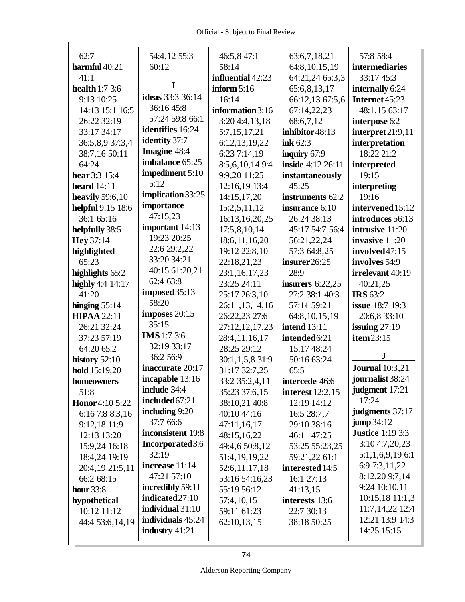| 62:7                  | 54:4,12 55:3            | 46:5,8 47:1       | 63:6,7,18,21        | 57:8 58:4                   |
|-----------------------|-------------------------|-------------------|---------------------|-----------------------------|
| harmful 40:21         | 60:12                   | 58:14             | 64:8, 10, 15, 19    | intermediaries              |
| 41:1                  |                         | influential 42:23 | 64:21,24 65:3,3     | 33:17 45:3                  |
| <b>health</b> 1:7 3:6 | I                       | inform $5:16$     | 65:6,8,13,17        | internally 6:24             |
| 9:13 10:25            | ideas 33:3 36:14        | 16:14             | 66:12,13 67:5,6     | Internet 45:23              |
| 14:13 15:1 16:5       | 36:16 45:8              | information 3:16  | 67:14,22,23         | 48:1,15 63:17               |
| 26:22 32:19           | 57:24 59:8 66:1         | 3:20 4:4,13,18    | 68:6,7,12           | interpose 6:2               |
| 33:17 34:17           | identifies 16:24        | 5:7,15,17,21      | inhibitor 48:13     | $\text{interpret } 21:9,11$ |
| 36:5,8,9 37:3,4       | <b>identity</b> 37:7    | 6:12,13,19,22     | ink 62:3            | interpretation              |
| 38:7,16 50:11         | Imagine 48:4            | 6:23 7:14,19      | inquiry 67:9        | 18:22 21:2                  |
| 64:24                 | imbalance 65:25         | 8:5,6,10,149:4    | inside 4:12 26:11   | interpreted                 |
| hear 3:3 15:4         | impediment 5:10         | 9:9,20 11:25      | instantaneously     | 19:15                       |
| heard $14:11$         | 5:12                    | 12:16,19 13:4     | 45:25               | interpreting                |
| heavily 59:6,10       | implication 33:25       | 14:15,17,20       | instruments 62:2    | 19:16                       |
| helpful 9:15 18:6     | importance              | 15:2,5,11,12      | insurance 6:10      | intervened 15:12            |
| 36:1 65:16            | 47:15,23                | 16:13,16,20,25    | 26:24 38:13         | introduces 56:13            |
| helpfully 38:5        | important 14:13         | 17:5,8,10,14      | 45:17 54:7 56:4     | intrusive 11:20             |
| Hey 37:14             | 19:23 20:25             | 18:6, 11, 16, 20  | 56:21,22,24         | invasive 11:20              |
| highlighted           | 22:6 29:2,22            | 19:12 22:8,10     | 57:3 64:8,25        | involved47:15               |
| 65:23                 | 33:20 34:21             | 22:18,21,23       | insurer26:25        | involves 54:9               |
| highlights 65:2       | 40:15 61:20,21          | 23:1,16,17,23     | 28:9                | irrelevant 40:19            |
| highly 4:4 14:17      | 62:4 63:8               | 23:25 24:11       | insurers $6:22,25$  | 40:21,25                    |
| 41:20                 | imposed 35:13           | 25:17 26:3,10     | 27:2 38:1 40:3      | <b>IRS</b> 63:2             |
| hinging $55:14$       | 58:20                   | 26:11,13,14,16    | 57:11 59:21         | <b>issue</b> 18:7 19:3      |
| <b>HIPAA 22:11</b>    | imposes 20:15           | 26:22,23 27:6     | 64:8, 10, 15, 19    | 20:6,8 33:10                |
| 26:21 32:24           | 35:15                   | 27:12,12,17,23    | <b>intend</b> 13:11 | issuing $27:19$             |
| 37:23 57:19           | <b>IMS</b> 1:7 3:6      | 28:4,11,16,17     | intended 6:21       | item 23:15                  |
| 64:20 65:2            | 32:19 33:17             | 28:25 29:12       | 15:17 48:24         |                             |
| history $52:10$       | 36:2 56:9               | 30:1,1,5,8 31:9   | 50:16 63:24         | ${\bf J}$                   |
| hold 15:19,20         | inaccurate 20:17        | 31:17 32:7,25     | 65:5                | <b>Journal</b> 10:3,21      |
| homeowners            | incapable 13:16         | 33:2 35:2,4,11    | intercede 46:6      | journalist 38:24            |
| 51:8                  | include 34:4            | 35:23 37:6,15     | interest 12:2,15    | judgment 17:21              |
| Honor 4:10 5:22       | included 67:21          | 38:10,21 40:8     | 12:19 14:12         | 17:24                       |
| 6:16 7:8 8:3,16       | including 9:20          | 40:10 44:16       | 16:5 28:7,7         | judgments 37:17             |
| 9:12,18 11:9          | 37:7 66:6               | 47:11,16,17       | 29:10 38:16         | jump 34:12                  |
| 12:13 13:20           | inconsistent 19:8       | 48:15,16,22       | 46:11 47:25         | <b>Justice</b> 1:19 3:3     |
| 15:9,24 16:18         | <b>Incorporated</b> 3:6 | 49:4,6 50:8,12    | 53:25 55:23,25      | 3:104:7,20,23               |
| 18:4,24 19:19         | 32:19                   | 51:4, 19, 19, 22  | 59:21,22 61:1       | $5:1,1,6,9,19$ 6:1          |
| 20:4,19 21:5,11       | increase 11:14          | 52:6,11,17,18     | interested 14:5     | 6:9 7:3,11,22               |
| 66:2 68:15            | 47:21 57:10             | 53:16 54:16,23    | 16:1 27:13          | 8:12,20 9:7,14              |
| <b>hour</b> 33:8      | incredibly 59:11        | 55:19 56:12       | 41:13,15            | 9:24 10:10,11               |
| hypothetical          | indicated 27:10         | 57:4,10,15        | interests 13:6      | 10:15,18 11:1,3             |
| 10:12 11:12           | individual 31:10        | 59:11 61:23       | 22:7 30:13          | 11:7,14,22 12:4             |
| 44:4 53:6,14,19       | individuals 45:24       | 62:10,13,15       | 38:18 50:25         | 12:21 13:9 14:3             |
|                       | industry $41:21$        |                   |                     | 14:25 15:15                 |
|                       |                         |                   |                     |                             |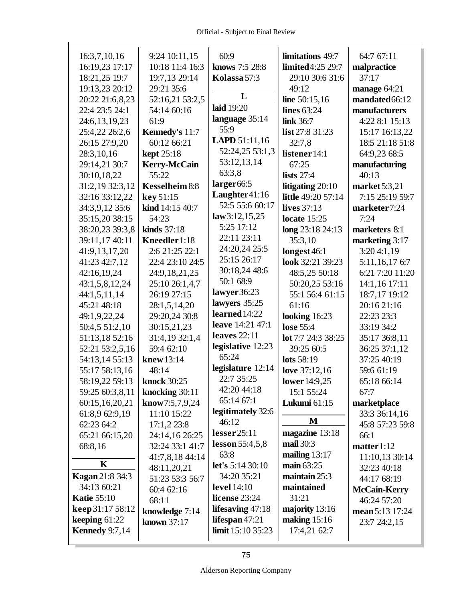| 16:3,7,10,16           | 9:24 10:11,15         | 60:9                    | limitations 49:7    | 64:7 67:11          |
|------------------------|-----------------------|-------------------------|---------------------|---------------------|
| 16:19,23 17:17         | 10:18 11:4 16:3       | knows 7:5 28:8          | limited4:25 29:7    | malpractice         |
| 18:21,25 19:7          | 19:7,13 29:14         | Kolassa 57:3            | 29:10 30:6 31:6     | 37:17               |
| 19:13,23 20:12         | 29:21 35:6            |                         | 49:12               | manage $64:21$      |
| 20:22 21:6,8,23        | 52:16,21 53:2,5       | L                       | line $50:15,16$     | mandated 66:12      |
| 22:4 23:5 24:1         | 54:14 60:16           | laid 19:20              | lines 63:24         | manufacturers       |
| 24:6,13,19,23          | 61:9                  | language 35:14          | link 36:7           | 4:22 8:1 15:13      |
| 25:4,22 26:2,6         | Kennedy's 11:7        | 55:9                    | list 27:8 31:23     | 15:17 16:13,22      |
| 26:15 27:9,20          | 60:12 66:21           | <b>LAPD</b> 51:11,16    | 32:7,8              | 18:5 21:18 51:8     |
| 28:3,10,16             | <b>kept</b> 25:18     | 52:24,25 53:1,3         | listener 14:1       | 64:9,23 68:5        |
| 29:14,21 30:7          | <b>Kerry-McCain</b>   | 53:12,13,14             | 67:25               | manufacturing       |
| 30:10,18,22            | 55:22                 | 63:3,8                  | lists $27:4$        | 40:13               |
| 31:2,19 32:3,12        | <b>Kesselheim 8:8</b> | larger <sub>66:5</sub>  | litigating 20:10    | market 5:3,21       |
| 32:16 33:12,22         | key 51:15             | Laughter41:16           | little 49:20 57:14  | 7:15 25:19 59:7     |
| 34:3,9,12 35:6         | kind 14:15 40:7       | 52:5 55:6 60:17         | lives 37:13         | marketer7:24        |
| 35:15,20 38:15         | 54:23                 | law3:12,15,25           | locate $15:25$      | 7:24                |
| 38:20,23 39:3,8        | kinds $37:18$         | 5:25 17:12              | long 23:18 24:13    | marketers 8:1       |
| 39:11,17 40:11         | Kneedler 1:18         | 22:11 23:11             | 35:3,10             | marketing 3:17      |
| 41:9,13,17,20          | 2:6 21:25 22:1        | 24:20,24 25:5           | longest 46:1        | 3:204:1,19          |
| 41:23 42:7,12          | 22:4 23:10 24:5       | 25:15 26:17             | look 32:21 39:23    | 5:11,16,17 6:7      |
| 42:16,19,24            | 24:9,18,21,25         | 30:18,24 48:6           | 48:5,25 50:18       | 6:21 7:20 11:20     |
| 43:1,5,8,12,24         | 25:10 26:1,4,7        | 50:1 68:9               | 50:20,25 53:16      | 14:1,16 17:11       |
| 44:1,5,11,14           | 26:19 27:15           | lawyer36:23             | 55:1 56:4 61:15     | 18:7,17 19:12       |
| 45:21 48:18            | 28:1,5,14,20          | lawyers 35:25           | 61:16               | 20:16 21:16         |
| 49:1,9,22,24           | 29:20,24 30:8         | learned 14:22           | looking $16:23$     | 22:23 23:3          |
| 50:4,5 51:2,10         | 30:15,21,23           | leave 14:21 47:1        | lose 55:4           | 33:19 34:2          |
| 51:13,18 52:16         | 31:4,19 32:1,4        | leaves $22:11$          | lot 7:7 24:3 38:25  | 35:17 36:8,11       |
| 52:21 53:2,5,16        | 59:4 62:10            | legislative 12:23       | 39:25 60:5          | 36:25 37:1,12       |
| 54:13,14 55:13         | knew 13:14            | 65:24                   | lots 58:19          | 37:25 40:19         |
| 55:17 58:13,16         | 48:14                 | legislature 12:14       | love 37:12,16       | 59:6 61:19          |
| 58:19,22 59:13         | knock 30:25           | 22:7 35:25              | lower 14:9,25       | 65:18 66:14         |
| 59:25 60:3,8,11        | knocking 30:11        | 42:20 44:18             | 15:1 55:24          | 67:7                |
| 60:15,16,20,21         | know $7:5,7,9,24$     | 65:14 67:1              | <b>Lukumi</b> 61:15 | marketplace         |
| 61:8,9 62:9,19         | 11:10 15:22           | legitimately 32:6       |                     | 33:3 36:14,16       |
| 62:23 64:2             | 17:1,223:8            | 46:12                   | M                   | 45:8 57:23 59:8     |
| 65:21 66:15,20         | 24:14,16 26:25        | lesser25:11             | magazine 13:18      | 66:1                |
| 68:8,16                | 32:24 33:1 41:7       | lesson 55:4,5,8         | mail 30:3           | matter 1:12         |
|                        | 41:7,8,18 44:14       | 63:8                    | mailing $13:17$     | 11:10,13 30:14      |
| K                      | 48:11,20,21           | <b>let's</b> 5:14 30:10 | main $63:25$        | 32:23 40:18         |
| <b>Kagan</b> 21:8 34:3 | 51:23 53:3 56:7       | 34:20 35:21             | maintain 25:3       | 44:17 68:19         |
| 34:13 60:21            | 60:4 62:16            | <b>level</b> 14:10      | maintained          | <b>McCain-Kerry</b> |
| <b>Katie 55:10</b>     | 68:11                 | license 23:24           | 31:21               | 46:24 57:20         |
| keep 31:17 58:12       | knowledge 7:14        | lifesaving 47:18        | majority 13:16      | mean 5:13 17:24     |
| keeping $61:22$        | <b>known</b> 37:17    | lifespan $47:21$        | making $15:16$      | 23:7 24:2,15        |
| <b>Kennedy</b> 9:7,14  |                       | limit 15:10 35:23       | 17:4,21 62:7        |                     |
|                        |                       |                         |                     |                     |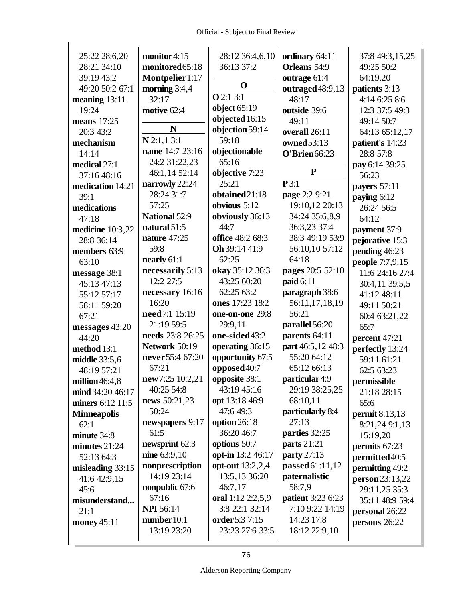$\Gamma$ 

| 25:22 28:6,20      | monitor 4:15         | 28:12 36:4,6,10   | ordinary 64:11           | 37:8 49:3,15,25  |
|--------------------|----------------------|-------------------|--------------------------|------------------|
| 28:21 34:10        | monitored65:18       | 36:13 37:2        | Orleans 54:9             | 49:25 50:2       |
| 39:19 43:2         | Montpelier1:17       |                   | outrage 61:4             | 64:19,20         |
| 49:20 50:2 67:1    | morning $3:4,4$      | O                 | outraged48:9,13          | patients 3:13    |
| meaning $13:11$    | 32:17                | <b>O</b> 2:1 3:1  | 48:17                    | 4:14 6:25 8:6    |
| 19:24              | motive 62:4          | object $65:19$    | outside 39:6             | 12:3 37:5 49:3   |
| means 17:25        |                      | objected 16:15    | 49:11                    | 49:14 50:7       |
| 20:3 43:2          | N                    | objection 59:14   | overall 26:11            | 64:13 65:12,17   |
| mechanism          | $N$ 2:1,1 3:1        | 59:18             | owned53:13               | patient's 14:23  |
| 14:14              | name 14:7 23:16      | objectionable     | O'Brien66:23             | 28:8 57:8        |
| medical 27:1       | 24:2 31:22,23        | 65:16             |                          | pay 6:14 39:25   |
| 37:16 48:16        | 46:1,14 52:14        | objective 7:23    | ${\bf P}$                | 56:23            |
| medication 14:21   | narrowly 22:24       | 25:21             | P3:1                     | payers 57:11     |
| 39:1               | 28:24 31:7           | obtained21:18     | page 2:2 9:21            | paying 6:12      |
| medications        | 57:25                | obvious $5:12$    | 19:10,12 20:13           | 26:24 56:5       |
| 47:18              | <b>National 52:9</b> | obviously 36:13   | 34:24 35:6,8,9           | 64:12            |
| medicine 10:3,22   | natural 51:5         | 44:7              | 36:3,23 37:4             | payment 37:9     |
| 28:8 36:14         | nature 47:25         | office 48:2 68:3  | 38:3 49:19 53:9          | pejorative 15:3  |
| members 63:9       | 59:8                 | Oh 39:14 41:9     | 56:10,10 57:12           | pending 46:23    |
| 63:10              | nearly $61:1$        | 62:25             | 64:18                    | people 7:7,9,15  |
| message 38:1       | necessarily 5:13     | okay 35:12 36:3   | pages 20:5 52:10         | 11:6 24:16 27:4  |
| 45:13 47:13        | 12:2 27:5            | 43:25 60:20       | paid 6:11                | 30:4,11 39:5,5   |
| 55:12 57:17        | necessary 16:16      | 62:25 63:2        | paragraph 38:6           | 41:12 48:11      |
| 58:11 59:20        | 16:20                | ones 17:23 18:2   | 56:11,17,18,19           | 49:11 50:21      |
| 67:21              | need 7:1 15:19       | one-on-one 29:8   | 56:21                    | 60:4 63:21,22    |
| messages 43:20     | 21:19 59:5           | 29:9,11           | parallel 56:20           | 65:7             |
| 44:20              | needs 23:8 26:25     | one-sided43:2     | parents 64:11            | percent 47:21    |
| method 13:1        | <b>Network 50:19</b> | operating 36:15   | part 46:5,12 48:3        | perfectly 13:24  |
| middle 33:5,6      | never 55:4 67:20     | opportunity 67:5  | 55:20 64:12              | 59:11 61:21      |
| 48:19 57:21        | 67:21                | opposed 40:7      | 65:12 66:13              | 62:5 63:23       |
| million $46:4,8$   | new7:25 10:2,21      | opposite 38:1     | particular4:9            | permissible      |
| mid 34:2046:17     | 40:25 54:8           | 43:19 45:16       | 29:19 38:25,25           | 21:18 28:15      |
| miners 6:12 11:5   | news 50:21,23        | opt 13:18 46:9    | 68:10,11                 | 65:6             |
| <b>Minneapolis</b> | 50:24                | 47:6 49:3         | particularly 8:4         | permit $8:13,13$ |
| 62:1               | newspapers 9:17      | option $26:18$    | 27:13                    | 8:21,24 9:1,13   |
| minute 34:8        | 61:5                 | 36:20 46:7        | parties 32:25            | 15:19,20         |
| minutes 21:24      | newsprint 62:3       | options 50:7      | <b>parts</b> 21:21       | permits 67:23    |
| 52:13 64:3         | nine $63:9,10$       | opt-in 13:2 46:17 | party 27:13              | permitted 40:5   |
| misleading 33:15   | nonprescription      | opt-out 13:2,2,4  | passed 61:11,12          | permitting 49:2  |
| 41:6 42:9,15       | 14:19 23:14          | 13:5,13 36:20     | paternalistic            | person 23:13,22  |
| 45:6               | nonpublic 67:6       | 46:7,17           | 58:7,9                   | 29:11,25 35:3    |
| misunderstand      | 67:16                | oral 1:12 2:2,5,9 | <b>patient</b> 3:23 6:23 | 35:11 48:9 59:4  |
| 21:1               | <b>NPI</b> 56:14     | 3:8 22:1 32:14    | 7:10 9:22 14:19          | personal 26:22   |
| money $45:11$      | number $10:1$        | order5:3 7:15     | 14:23 17:8               | persons 26:22    |
|                    | 13:19 23:20          | 23:23 27:6 33:5   | 18:12 22:9,10            |                  |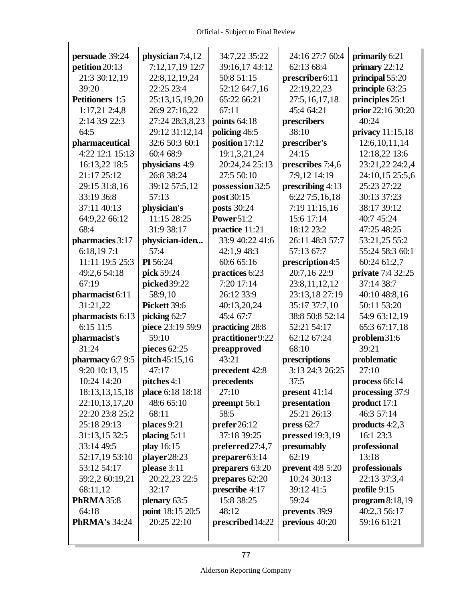| persuade 39:24             | physician 7:4,12   | 34:7,22 35:22    | 24:16 27:7 60:4         | primarily 6:21    |
|----------------------------|--------------------|------------------|-------------------------|-------------------|
| petition 20:13             | 7:12,17,19 12:7    | 39:16,17 43:12   | 62:13 68:4              | primary $22:12$   |
| 21:3 30:12,19              | 22:8,12,19,24      | 50:8 51:15       | prescriber6:11          | principal 55:20   |
| 39:20                      | 22:25 23:4         | 52:12 64:7,16    | 22:19,22,23             | principle 63:25   |
| <b>Petitioners</b> 1:5     | 25:13,15,19,20     | 65:22 66:21      | 27:5,16,17,18           | principles 25:1   |
| $1:17,21$ 2:4,8            | 26:9 27:16,22      | 67:11            | 45:4 64:21              | prior 22:16 30:20 |
| 2:14 3:9 22:3              | 27:24 28:3,8,23    | points $64:18$   | prescribers             | 40:24             |
| 64:5                       | 29:12 31:12,14     | policing 46:5    | 38:10                   | privacy 11:15,18  |
| pharmaceutical             | 32:6 50:3 60:1     | position 17:12   | prescriber's            | 12:6, 10, 11, 14  |
| 4:22 12:1 15:13            | 60:4 68:9          | 19:1,3,21,24     | 24:15                   | 12:18,22 13:6     |
| 16:13,22 18:5              | physicians 4:9     | 20:24,24 25:13   | prescribes 7:4,6        | 23:21,22 24:2,4   |
| 21:17 25:12                | 26:8 38:24         | 27:5 50:10       | 7:9,12 14:19            | 24:10,15 25:5,6   |
| 29:15 31:8,16              | 39:12 57:5,12      | possession 32:5  | prescribing 4:13        | 25:23 27:22       |
| 33:19 36:8                 | 57:13              | post 30:15       | 6:22 7:5,16,18          | 30:13 37:23       |
| 37:11 40:13                | physician's        | posts 30:24      | 7:19 11:15,16           | 38:17 39:12       |
| 64:9,22 66:12              | 11:15 28:25        | Power51:2        | 15:6 17:14              | 40:7 45:24        |
| 68:4                       | 31:9 38:17         | practice 11:21   | 18:12 23:2              | 47:25 48:25       |
| pharmacies 3:17            | physician-iden     | 33:9 40:22 41:6  | 26:11 48:3 57:7         | 53:21,25 55:2     |
| 6:18,197:1                 | 57:4               | 42:1,9 48:3      | 57:13 67:7              | 55:24 58:3 60:1   |
| 11:11 19:5 25:3            | PI 56:24           | 60:6 65:16       | prescription 4:5        | 60:24 61:2,7      |
| 49:2,6 54:18               | pick 59:24         | practices 6:23   | 20:7,16 22:9            | private 7:4 32:25 |
| 67:19                      | picked 39:22       | 7:20 17:14       | 23:8,11,12,12           | 37:14 38:7        |
| pharmacist <sub>6:11</sub> | 58:9,10            | 26:12 33:9       | 23:13,18 27:19          | 40:10 48:8,16     |
| 31:21,22                   | Pickett 39:6       | 40:13,20,24      | 35:17 37:7,10           | 50:11 53:20       |
| pharmacists 6:13           | picking 62:7       | 45:4 67:7        | 38:8 50:8 52:14         | 54:9 63:12,19     |
| 6:15 11:5                  | piece 23:19 59:9   | practicing 28:8  | 52:21 54:17             | 65:3 67:17,18     |
| pharmacist's               | 59:10              | practitioner9:22 | 62:12 67:24             | problem31:6       |
| 31:24                      | pieces 62:25       | preapproved      | 68:10                   | 39:21             |
| pharmacy 6:7 9:5           | pitch 45:15,16     | 43:21            | prescriptions           | problematic       |
| 9:20 10:13,15              | 47:17              | precedent 42:8   | 3:13 24:3 26:25         | 27:10             |
| 10:24 14:20                | <b>pitches</b> 4:1 | precedents       | 37:5                    | process 66:14     |
| 18:13,13,15,18             | place 6:18 18:18   | 27:10            | present $41:14$         | processing 37:9   |
| 22:10,13,17,20             | 48:6 65:10         | preempt 56:1     | presentation            | product 17:1      |
| 22:20 23:8 25:2            | 68:11              | 58:5             | 25:21 26:13             | 46:3 57:14        |
| 25:18 29:13                | places 9:21        | prefer 26:12     | press $62:7$            | products $4:2,3$  |
| 31:13,15 32:5              | placing $5:11$     | 37:18 39:25      | pressed 19:3,19         | 16:1 23:3         |
| 33:14 49:5                 | play 16:15         | preferred27:4,7  | presumably              | professional      |
| 52:17,19 53:10             | player28:23        | preparer 63:14   | 62:19                   | 13:18             |
| 53:12 54:17                | please 3:11        | preparers 63:20  | <b>prevent</b> 4:8 5:20 | professionals     |
| 59:2,2 60:19,21            | 20:22,23 22:5      | prepares 62:20   | 10:24 30:13             | 22:13 37:3,4      |
| 68:11,12                   | 32:17              | prescribe 4:17   | 39:12 41:5              | profile 9:15      |
| <b>PhRMA</b> 35:8          | plenary 63:5       | 15:8 38:25       | 59:24                   | program 8:18,19   |
| 64:18                      | point 18:15 20:5   | 48:12            | prevents 39:9           | 40:2,3 56:17      |
| <b>PhRMA's 34:24</b>       | 20:25 22:10        | prescribed 14:22 | previous 40:20          | 59:16 61:21       |
|                            |                    |                  |                         |                   |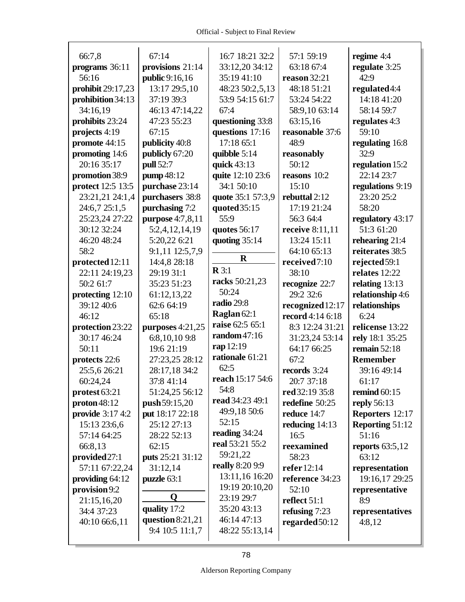| 66:7,8                  | 67:14              | 16:7 18:21 32:2   | 57:1 59:19       | regime 4:4             |
|-------------------------|--------------------|-------------------|------------------|------------------------|
| programs 36:11          | provisions 21:14   | 33:12,20 34:12    | 63:18 67:4       | regulate 3:25          |
| 56:16                   | public 9:16,16     | 35:19 41:10       | reason $32:21$   | 42:9                   |
| prohibit 29:17,23       | 13:17 29:5,10      | 48:23 50:2,5,13   | 48:18 51:21      | regulated4:4           |
| prohibition 34:13       | 37:19 39:3         | 53:9 54:15 61:7   | 53:24 54:22      | 14:18 41:20            |
| 34:16,19                | 46:13 47:14,22     | 67:4              | 58:9,10 63:14    | 58:14 59:7             |
| prohibits 23:24         | 47:23 55:23        | questioning 33:8  | 63:15,16         | regulates 4:3          |
| projects 4:19           | 67:15              | questions 17:16   | reasonable 37:6  | 59:10                  |
| promote 44:15           | publicity 40:8     | 17:18 65:1        | 48:9             | regulating 16:8        |
| promoting 14:6          | publicly 67:20     | quibble 5:14      | reasonably       | 32:9                   |
| 20:16 35:17             | pull 52:7          | quick 43:13       | 50:12            | regulation 15:2        |
| promotion 38:9          | pump 48:12         | quite 12:10 23:6  | reasons 10:2     | 22:14 23:7             |
| protect 12:5 13:5       | purchase 23:14     | 34:1 50:10        | 15:10            | regulations 9:19       |
| 23:21,21 24:1,4         | purchasers 38:8    | quote 35:1 57:3,9 | rebuttal 2:12    | 23:20 25:2             |
| 24:6,7 25:1,5           | purchasing 7:2     | quoted 35:15      | 17:19 21:24      | 58:20                  |
| 25:23,24 27:22          | purpose 4:7,8,11   | 55:9              | 56:3 64:4        | regulatory 43:17       |
| 30:12 32:24             | 5:2,4,12,14,19     | quotes 56:17      | receive 8:11,11  | 51:3 61:20             |
| 46:20 48:24             | 5:20,22 6:21       | quoting 35:14     | 13:24 15:11      | rehearing 21:4         |
| 58:2                    | 9:1,11 12:5,7,9    |                   | 64:10 65:13      | reiterates 38:5        |
| protected 12:11         | 14:4,8 28:18       | $\bf{R}$          | received7:10     | rejected 59:1          |
| 22:11 24:19,23          | 29:19 31:1         | $\mathbb{R} 3:1$  | 38:10            | relates 12:22          |
| 50:2 61:7               | 35:23 51:23        | racks 50:21,23    | recognize 22:7   | relating 13:13         |
| protecting 12:10        | 61:12,13,22        | 50:24             | 29:2 32:6        | relationship 4:6       |
| 39:12 40:6              | 62:6 64:19         | radio 29:8        | recognized 12:17 | relationships          |
| 46:12                   | 65:18              | Raglan 62:1       | record 4:14 6:18 | 6:24                   |
| protection 23:22        | purposes 4:21,25   | raise 62:5 65:1   | 8:3 12:24 31:21  | relicense 13:22        |
| 30:17 46:24             | 6:8,10,109:8       | random 47:16      | 31:23,24 53:14   | rely 18:1 35:25        |
| 50:11                   | 19:6 21:19         | rap 12:19         | 64:17 66:25      | remain $52:18$         |
| protects 22:6           | 27:23,25 28:12     | rationale 61:21   | 67:2             | <b>Remember</b>        |
| 25:5,6 26:21            | 28:17,18 34:2      | 62:5              | records 3:24     | 39:16 49:14            |
| 60:24,24                | 37:8 41:14         | reach 15:17 54:6  | 20:7 37:18       | 61:17                  |
| protest 63:21           | 51:24,25 56:12     | 54:8              | red 32:19 35:8   | remind $60:15$         |
| proton 48:12            | push 59:15,20      | read 34:23 49:1   | redefine 50:25   | <b>reply</b> 56:13     |
| <b>provide</b> 3:17 4:2 | put 18:17 22:18    | 49:9,18 50:6      | reduce 14:7      | Reporters 12:17        |
| 15:13 23:6,6            | 25:12 27:13        | 52:15             | reducing $14:13$ | <b>Reporting 51:12</b> |
| 57:14 64:25             | 28:22 52:13        | reading 34:24     | 16:5             | 51:16                  |
| 66:8,13                 | 62:15              | real 53:21 55:2   | reexamined       | reports $63:5,12$      |
| provided 27:1           | puts 25:21 31:12   | 59:21,22          | 58:23            | 63:12                  |
| 57:11 67:22,24          | 31:12,14           | really 8:20 9:9   | refer 12:14      | representation         |
| providing 64:12         | puzzle 63:1        | 13:11,16 16:20    | reference 34:23  | 19:16,17 29:25         |
| provision 9:2           |                    | 19:19 20:10,20    | 52:10            | representative         |
| 21:15,16,20             | O                  | 23:19 29:7        | reflect 51:1     | 8:9                    |
| 34:4 37:23              | quality 17:2       | 35:20 43:13       | refusing 7:23    | representatives        |
| 40:10 66:6,11           | question $8:21,21$ | 46:14 47:13       | regarded 50:12   | 4:8,12                 |
|                         | 9:4 10:5 11:1,7    | 48:22 55:13,14    |                  |                        |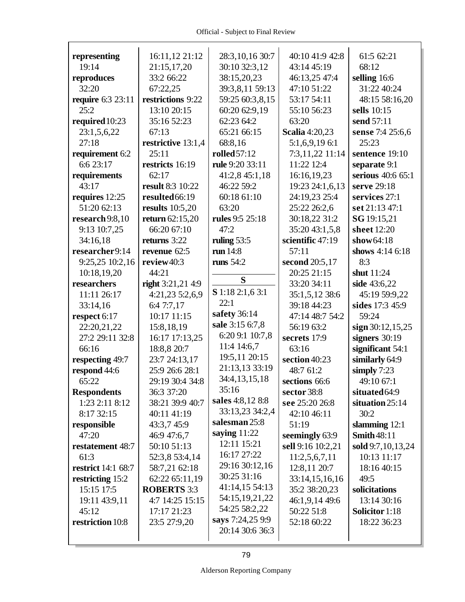| representing              | 16:11,12 21:12          | 28:3,10,16 30:7  | 40:10 41:9 42:8       | 61:5 62:21         |
|---------------------------|-------------------------|------------------|-----------------------|--------------------|
| 19:14                     | 21:15,17,20             | 30:10 32:3,12    | 43:14 45:19           | 68:12              |
| reproduces                | 33:2 66:22              | 38:15,20,23      | 46:13,25 47:4         | selling 16:6       |
| 32:20                     | 67:22,25                | 39:3,8,11 59:13  | 47:10 51:22           | 31:22 40:24        |
| <b>require</b> 6:3 23:11  | restrictions 9:22       | 59:25 60:3,8,15  | 53:17 54:11           | 48:15 58:16,20     |
| 25:2                      | 13:10 20:15             | 60:20 62:9,19    | 55:10 56:23           | sells 10:15        |
| required 10:23            | 35:16 52:23             | 62:23 64:2       | 63:20                 | send 57:11         |
| 23:1,5,6,22               | 67:13                   | 65:21 66:15      | <b>Scalia</b> 4:20,23 | sense 7:4 25:6,6   |
| 27:18                     | restrictive 13:1,4      | 68:8,16          | 5:1,6,9,19 6:1        | 25:23              |
| requirement 6:2           | 25:11                   | rolled 57:12     | 7:3,11,22 11:14       | sentence 19:10     |
| 6:6 23:17                 | restricts 16:19         | rule 9:20 33:11  | 11:22 12:4            | separate 9:1       |
| requirements              | 62:17                   | 41:2,8 45:1,18   | 16:16,19,23           | serious 40:6 65:1  |
| 43:17                     | <b>result 8:3 10:22</b> | 46:22 59:2       | 19:23 24:1,6,13       | serve 29:18        |
| requires 12:25            | resulted 66:19          | 60:18 61:10      | 24:19,23 25:4         | services 27:1      |
| 51:20 62:13               | <b>results</b> 10:5,20  | 63:20            | 25:22 26:2,6          | set 21:13 47:1     |
| research 9:8,10           | return 62:15,20         | rules 9:5 25:18  | 30:18,22 31:2         | SG 19:15,21        |
| 9:13 10:7,25              | 66:20 67:10             | 47:2             | 35:20 43:1,5,8        | sheet 12:20        |
| 34:16,18                  | returns 3:22            | ruling $53:5$    | scientific 47:19      | show $64:18$       |
| researcher9:14            | revenue 62:5            | run 14:8         | 57:11                 | shows 4:14 6:18    |
| 9:25,25 10:2,16           | review40:3              | runs $54:2$      | second 20:5,17        | 8:3                |
| 10:18,19,20               | 44:21                   |                  | 20:25 21:15           | shut 11:24         |
| researchers               | right $3:21,21,4:9$     | S                | 33:20 34:11           | side 43:6,22       |
| 11:11 26:17               | 4:21,23 5:2,6,9         | S 1:18 2:1,6 3:1 | 35:1,5,12 38:6        | 45:19 59:9,22      |
| 33:14,16                  | 6:4 7:7,17              | 22:1             | 39:18 44:23           | sides 17:3 45:9    |
| respect 6:17              | 10:17 11:15             | safety 36:14     | 47:14 48:7 54:2       | 59:24              |
| 22:20,21,22               | 15:8,18,19              | sale 3:15 6:7,8  | 56:19 63:2            | sign 30:12,15,25   |
| 27:2 29:11 32:8           | 16:17 17:13,25          | 6:20 9:1 10:7,8  | secrets 17:9          | signers $30:19$    |
| 66:16                     | 18:8,8 20:7             | 11:4 14:6,7      | 63:16                 | significant 54:1   |
| respecting 49:7           | 23:7 24:13,17           | 19:5,11 20:15    | section 40:23         | similarly 64:9     |
| respond 44:6              | 25:9 26:6 28:1          | 21:13,13 33:19   | 48:7 61:2             | simply $7:23$      |
| 65:22                     | 29:19 30:4 34:8         | 34:4, 13, 15, 18 | sections 66:6         | 49:10 67:1         |
| <b>Respondents</b>        | 36:3 37:20              | 35:16            | sector 38:8           | situated 64:9      |
| 1:23 2:11 8:12            | 38:21 39:9 40:7         | sales 4:8,12 8:8 | see 25:20 26:8        | situation 25:14    |
| 8:17 32:15                | 40:11 41:19             | 33:13,23 34:2,4  | 42:10 46:11           | 30:2               |
| responsible               | 43:3,7 45:9             | salesman 25:8    | 51:19                 | slamming 12:1      |
| 47:20                     | 46:9 47:6,7             | saying $11:22$   | seemingly 63:9        | <b>Smith 48:11</b> |
| restatement 48:7          | 50:10 51:13             | 12:11 15:21      | sell 9:16 10:2,21     | sold 9:7,10,13,24  |
| 61:3                      | 52:3,8 53:4,14          | 16:17 27:22      | 11:2,5,6,7,11         | 10:13 11:17        |
| <b>restrict</b> 14:1 68:7 | 58:7,21 62:18           | 29:16 30:12,16   | 12:8,11 20:7          | 18:16 40:15        |
| restricting 15:2          | 62:22 65:11,19          | 30:25 31:16      | 33:14,15,16,16        | 49:5               |
| 15:15 17:5                | <b>ROBERTS 3:3</b>      | 41:14,15 54:13   | 35:2 38:20,23         | solicitations      |
| 19:11 43:9,11             | 4:7 14:25 15:15         | 54:15,19,21,22   | 46:1,9,14 49:6        | 13:14 30:16        |
| 45:12                     | 17:17 21:23             | 54:25 58:2,22    | 50:22 51:8            | Solicitor 1:18     |
| restriction 10:8          | 23:5 27:9,20            | says 7:24,25 9:9 | 52:18 60:22           | 18:22 36:23        |
|                           |                         | 20:14 30:6 36:3  |                       |                    |
|                           |                         |                  |                       |                    |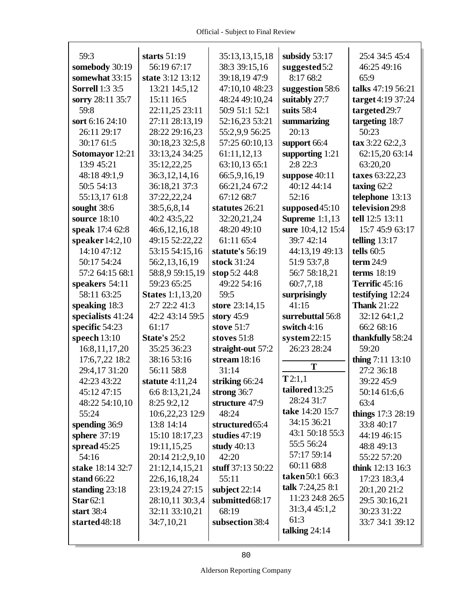| 59:3                   | starts $51:19$          | 35:13,13,15,18    | subsidy $53:17$         | 25:4 34:5 45:4              |
|------------------------|-------------------------|-------------------|-------------------------|-----------------------------|
| somebody 30:19         | 56:19 67:17             | 38:3 39:15,16     | suggested5:2            | 46:25 49:16                 |
| somewhat 33:15         | state 3:12 13:12        | 39:18,19 47:9     | 8:17 68:2               | 65:9                        |
| <b>Sorrell</b> 1:3 3:5 | 13:21 14:5,12           | 47:10,10 48:23    | suggestion 58:6         | talks 47:19 56:21           |
| sorry 28:11 35:7       | 15:11 16:5              | 48:24 49:10,24    | suitably 27:7           | target 4:19 37:24           |
| 59:8                   | 22:11,25 23:11          | 50:9 51:1 52:1    | suits 58:4              | targeted 29:7               |
| sort 6:16 24:10        | 27:11 28:13,19          | 52:16,23 53:21    | summarizing             | targeting 18:7              |
| 26:11 29:17            | 28:22 29:16,23          | 55:2,9,9 56:25    | 20:13                   | 50:23                       |
| 30:17 61:5             | 30:18,23 32:5,8         | 57:25 60:10,13    | support 66:4            | $\textbf{tax } 3:22 62:2,3$ |
| Sotomayor 12:21        | 33:13,24 34:25          | 61:11,12,13       | supporting $1:21$       | 62:15,20 63:14              |
| 13:9 45:21             | 35:12,22,25             | 63:10,13 65:1     | 2:8 22:3                | 63:20,20                    |
| 48:18 49:1,9           | 36:3, 12, 14, 16        | 66:5,9,16,19      | suppose 40:11           | taxes 63:22,23              |
| 50:5 54:13             | 36:18,21 37:3           | 66:21,24 67:2     | 40:12 44:14             | taxing $62:2$               |
| 55:13,17 61:8          | 37:22,22,24             | 67:12 68:7        | 52:16                   | telephone 13:13             |
| sought 38:6            | 38:5,6,8,14             | statutes 26:21    | supposed45:10           | television 29:8             |
| source 18:10           | 40:2 43:5,22            | 32:20,21,24       | <b>Supreme</b> 1:1,13   | tell 12:5 13:11             |
| speak 17:4 62:8        | 46:6,12,16,18           | 48:20 49:10       | sure 10:4,12 15:4       | 15:7 45:9 63:17             |
| speaker $14:2,10$      | 49:15 52:22,22          | 61:11 65:4        | 39:7 42:14              | telling $13:17$             |
| 14:10 47:12            | 53:15 54:15,16          | statute's 56:19   | 44:13,19 49:13          | tells $60:5$                |
| 50:17 54:24            | 56:2,13,16,19           | stock 31:24       | 51:9 53:7,8             | term $24:9$                 |
| 57:2 64:15 68:1        | 58:8,9 59:15,19         | stop 5:2 44:8     | 56:7 58:18,21           | terms $18:19$               |
| speakers 54:11         | 59:23 65:25             | 49:22 54:16       | 60:7,7,18               | Terrific 45:16              |
| 58:11 63:25            | <b>States</b> 1:1,13,20 | 59:5              | surprisingly            | testifying 12:24            |
|                        |                         |                   |                         |                             |
| speaking 18:3          | 2:7 22:2 41:3           | store 23:14,15    | 41:15                   | <b>Thank 21:22</b>          |
| specialists 41:24      | 42:2 43:14 59:5         | story $45:9$      | surrebuttal 56:8        | 32:12 64:1,2                |
| specific 54:23         | 61:17                   | stove 51:7        | switch4:16              | 66:2 68:16                  |
| speech 13:10           | <b>State's 25:2</b>     | stoves 51:8       | system22:15             | thankfully 58:24            |
| 16:8,11,17,20          | 35:25 36:23             | straight-out 57:2 | 26:23 28:24             | 59:20                       |
| 17:6,7,22 18:2         | 38:16 53:16             | stream $18:16$    |                         | thing 7:11 13:10            |
| 29:4,17 31:20          | 56:11 58:8              | 31:14             | T                       | 27:2 36:18                  |
| 42:23 43:22            | statute $4:11,24$       | striking 66:24    | T2:1,1                  | 39:22 45:9                  |
| 45:12 47:15            | 6:6 8:13,21,24          | strong $36:7$     | tailored 13:25          | 50:14 61:6,6                |
| 48:22 54:10,10         | 8:25 9:2,12             | structure 47:9    | 28:24 31:7              | 63:4                        |
| 55:24                  | 10:6,22,23 12:9         | 48:24             | take 14:20 15:7         | things 17:3 28:19           |
| spending 36:9          | 13:8 14:14              | structured 65:4   | 34:15 36:21             | 33:8 40:17                  |
| sphere 37:19           | 15:10 18:17,23          | studies 47:19     | 43:1 50:18 55:3         | 44:19 46:15                 |
| spread $45:25$         | 19:11,15,25             | study 40:13       | 55:5 56:24              | 48:8 49:13                  |
| 54:16                  | 20:14 21:2,9,10         | 42:20             | 57:17 59:14             | 55:22 57:20                 |
| stake 18:14 32:7       | 21:12,14,15,21          | stuff 37:13 50:22 | 60:11 68:8              | <b>think</b> 12:13 16:3     |
| stand 66:22            | 22:6, 16, 18, 24        | 55:11             | taken 50:1 66:3         | 17:23 18:3,4                |
| standing $23:18$       | 23:19,24 27:15          | subject $22:14$   | talk 7:24,25 8:1        | 20:1,20 21:2                |
| Star $62:1$            | 28:10,11 30:3,4         | submitted68:17    | 11:23 24:8 26:5         | 29:5 30:16,21               |
| start 38:4             | 32:11 33:10,21          | 68:19             | 31:3,4 45:1,2           | 30:23 31:22                 |
| started48:18           | 34:7,10,21              | subsection 38:4   | 61:3<br>talking $24:14$ | 33:7 34:1 39:12             |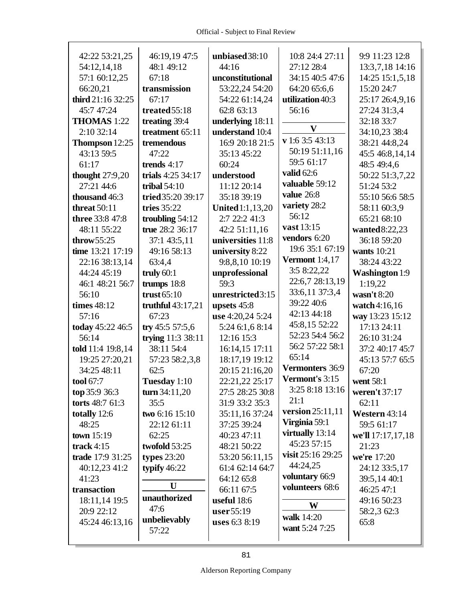$\Gamma$ 

|                        |                     |                         | 10:8 24:4 27:11       |                       |
|------------------------|---------------------|-------------------------|-----------------------|-----------------------|
| 42:22 53:21,25         | 46:19,19 47:5       | unbiased 38:10          |                       | 9:9 11:23 12:8        |
| 54:12,14,18            | 48:1 49:12          | 44:16                   | 27:12 28:4            | 13:3,7,18 14:16       |
| 57:1 60:12,25          | 67:18               | unconstitutional        | 34:15 40:5 47:6       | 14:25 15:1,5,18       |
| 66:20,21               | transmission        | 53:22,24 54:20          | 64:20 65:6,6          | 15:20 24:7            |
| third 21:16 32:25      | 67:17               | 54:22 61:14,24          | utilization 40:3      | 25:17 26:4,9,16       |
| 45:7 47:24             | treated 55:18       | 62:8 63:13              | 56:16                 | 27:24 31:3,4          |
| THOMAS 1:22            | treating 39:4       | underlying 18:11        | $\mathbf{V}$          | 32:18 33:7            |
| 2:10 32:14             | treatment 65:11     | understand 10:4         |                       | 34:10,23 38:4         |
| Thompson 12:25         | tremendous          | 16:9 20:18 21:5         | v 1:6 3:5 43:13       | 38:21 44:8,24         |
| 43:13 59:5             | 47:22               | 35:13 45:22             | 50:19 51:11,16        | 45:5 46:8,14,14       |
| 61:17                  | trends $4:17$       | 60:24                   | 59:5 61:17            | 48:5 49:4,6           |
| thought $27:9,20$      | trials 4:25 34:17   | understood              | valid 62:6            | 50:22 51:3,7,22       |
| 27:21 44:6             | tribal $54:10$      | 11:12 20:14             | valuable 59:12        | 51:24 53:2            |
| thousand 46:3          | tried 35:20 39:17   | 35:18 39:19             | value 26:8            | 55:10 56:6 58:5       |
| threat $50:11$         | tries 35:22         | <b>United</b> 1:1,13,20 | variety 28:2          | 58:11 60:3,9          |
| <b>three</b> 33:8 47:8 | troubling $54:12$   | 2:7 22:2 41:3           | 56:12                 | 65:21 68:10           |
| 48:11 55:22            | true 28:2 36:17     | 42:2 51:11,16           | vast 13:15            | wanted8:22,23         |
| throw $55:25$          | 37:1 43:5,11        | universities 11:8       | vendors 6:20          | 36:18 59:20           |
| time 13:21 17:19       | 49:16 58:13         | university 8:22         | 19:6 35:1 67:19       | <b>wants</b> 10:21    |
| 22:16 38:13,14         | 63:4,4              | 9:8,8,10 10:19          | <b>Vermont</b> 1:4,17 | 38:24 43:22           |
| 44:24 45:19            | truly $60:1$        | unprofessional          | 3:5 8:22,22           | <b>Washington 1:9</b> |
| 46:1 48:21 56:7        | trumps 18:8         | 59:3                    | 22:6,7 28:13,19       | 1:19,22               |
| 56:10                  | trust $65:10$       | unrestricted3:15        | 33:6,11 37:3,4        | wasn't 8:20           |
| times 48:12            | truthful $43:17,21$ | upsets 45:8             | 39:22 40:6            | watch4:16,16          |
| 57:16                  | 67:23               | use 4:20,24 5:24        | 42:13 44:18           | way 13:23 15:12       |
| today 45:22 46:5       | try 45:5 57:5,6     | 5:24 6:1,6 8:14         | 45:8,15 52:22         | 17:13 24:11           |
| 56:14                  | trying 11:3 38:11   | 12:16 15:3              | 52:23 54:4 56:2       | 26:10 31:24           |
| told 11:4 19:8,14      | 38:11 54:4          | 16:14,15 17:11          | 56:2 57:22 58:1       | 37:2 40:17 45:7       |
| 19:25 27:20,21         | 57:23 58:2,3,8      | 18:17,19 19:12          | 65:14                 | 45:13 57:7 65:5       |
| 34:25 48:11            | 62:5                | 20:15 21:16,20          | Vermonters 36:9       | 67:20                 |
| tool 67:7              | Tuesday 1:10        | 22:21,22 25:17          | Vermont's 3:15        | went 58:1             |
| top 35:9 36:3          | turn $34:11,20$     | 27:5 28:25 30:8         | 3:25 8:18 13:16       | weren't 37:17         |
| torts 48:7 61:3        | 35:5                | 31:9 33:2 35:3          | 21:1                  | 62:11                 |
| totally 12:6           | two 6:16 15:10      | 35:11,16 37:24          | version 25:11,11      | Western 43:14         |
| 48:25                  | 22:12 61:11         | 37:25 39:24             | Virginia 59:1         | 59:5 61:17            |
| town 15:19             | 62:25               | 40:23 47:11             | virtually 13:14       | we'll 17:17,17,18     |
| track $4:15$           | twofold 53:25       | 48:21 50:22             | 45:23 57:15           | 21:23                 |
| trade 17:9 31:25       | types $23:20$       | 53:20 56:11,15          | visit 25:16 29:25     | we're 17:20           |
| 40:12,23 41:2          | typify $46:22$      | 61:4 62:14 64:7         | 44:24,25              | 24:12 33:5,17         |
| 41:23                  |                     | 64:12 65:8              | voluntary 66:9        | 39:5,14 40:1          |
| transaction            | U                   | 66:11 67:5              | volunteers 68:6       | 46:25 47:1            |
| 18:11,14 19:5          | unauthorized        | useful 18:6             | W                     | 49:16 50:23           |
| 20:9 22:12             | 47:6                | user55:19               |                       | 58:2,3 62:3           |
| 45:24 46:13,16         | unbelievably        | uses 6:3 8:19           | walk 14:20            | 65:8                  |
|                        | 57:22               |                         | want 5:24 7:25        |                       |